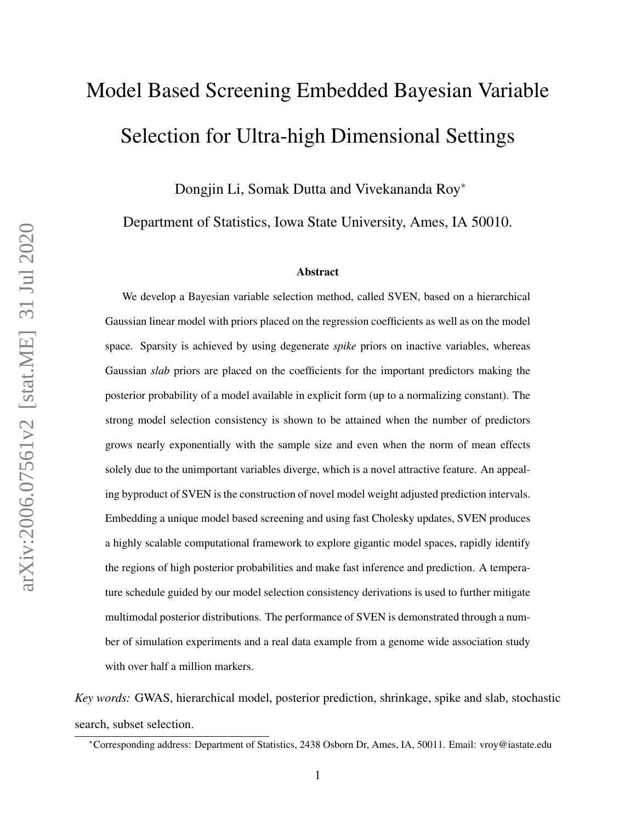# Model Based Screening Embedded Bayesian Variable Selection for Ultra-high Dimensional Settings

Dongjin Li, Somak Dutta and Vivekananda Roy<sup>∗</sup>

Department of Statistics, Iowa State University, Ames, IA 50010.

#### Abstract

We develop a Bayesian variable selection method, called SVEN, based on a hierarchical Gaussian linear model with priors placed on the regression coefficients as well as on the model space. Sparsity is achieved by using degenerate *spike* priors on inactive variables, whereas Gaussian *slab* priors are placed on the coefficients for the important predictors making the posterior probability of a model available in explicit form (up to a normalizing constant). The strong model selection consistency is shown to be attained when the number of predictors grows nearly exponentially with the sample size and even when the norm of mean effects solely due to the unimportant variables diverge, which is a novel attractive feature. An appealing byproduct of SVEN is the construction of novel model weight adjusted prediction intervals. Embedding a unique model based screening and using fast Cholesky updates, SVEN produces a highly scalable computational framework to explore gigantic model spaces, rapidly identify the regions of high posterior probabilities and make fast inference and prediction. A temperature schedule guided by our model selection consistency derivations is used to further mitigate multimodal posterior distributions. The performance of SVEN is demonstrated through a number of simulation experiments and a real data example from a genome wide association study with over half a million markers.

*Key words:* GWAS, hierarchical model, posterior prediction, shrinkage, spike and slab, stochastic search, subset selection.

<sup>∗</sup>Corresponding address: Department of Statistics, 2438 Osborn Dr, Ames, IA, 50011. Email: vroy@iastate.edu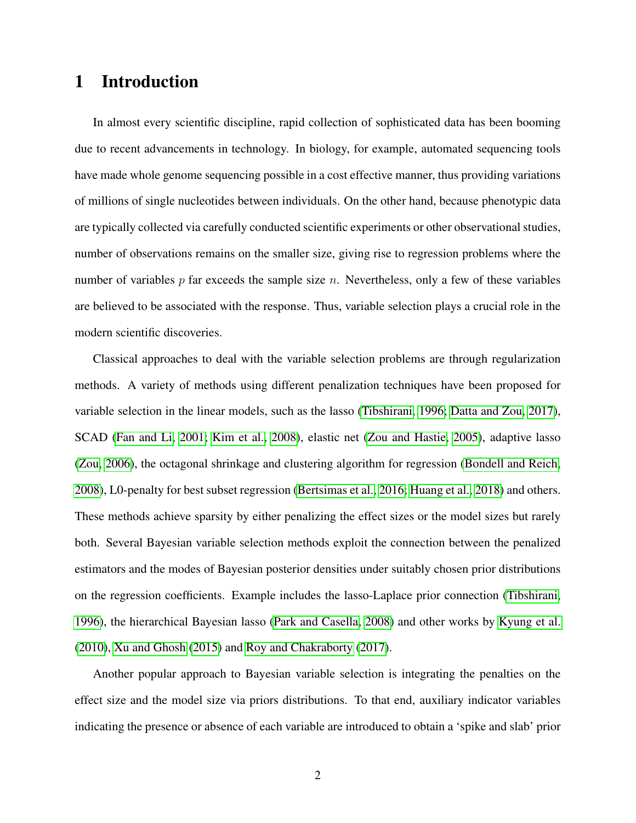# <span id="page-1-0"></span>1 Introduction

In almost every scientific discipline, rapid collection of sophisticated data has been booming due to recent advancements in technology. In biology, for example, automated sequencing tools have made whole genome sequencing possible in a cost effective manner, thus providing variations of millions of single nucleotides between individuals. On the other hand, because phenotypic data are typically collected via carefully conducted scientific experiments or other observational studies, number of observations remains on the smaller size, giving rise to regression problems where the number of variables  $p$  far exceeds the sample size  $n$ . Nevertheless, only a few of these variables are believed to be associated with the response. Thus, variable selection plays a crucial role in the modern scientific discoveries.

Classical approaches to deal with the variable selection problems are through regularization methods. A variety of methods using different penalization techniques have been proposed for variable selection in the linear models, such as the lasso [\(Tibshirani, 1996;](#page-33-0) [Datta and Zou, 2017\)](#page-32-0), SCAD [\(Fan and Li, 2001;](#page-32-1) [Kim et al., 2008\)](#page-32-2), elastic net [\(Zou and Hastie, 2005\)](#page-34-0), adaptive lasso [\(Zou, 2006\)](#page-34-1), the octagonal shrinkage and clustering algorithm for regression [\(Bondell and Reich,](#page-32-3) [2008\)](#page-32-3), L0-penalty for best subset regression [\(Bertsimas et al., 2016;](#page-32-4) [Huang et al., 2018\)](#page-32-5) and others. These methods achieve sparsity by either penalizing the effect sizes or the model sizes but rarely both. Several Bayesian variable selection methods exploit the connection between the penalized estimators and the modes of Bayesian posterior densities under suitably chosen prior distributions on the regression coefficients. Example includes the lasso-Laplace prior connection [\(Tibshirani,](#page-33-0) [1996\)](#page-33-0), the hierarchical Bayesian lasso [\(Park and Casella, 2008\)](#page-33-1) and other works by [Kyung et al.](#page-33-2) [\(2010\)](#page-33-2), [Xu and Ghosh](#page-34-2) [\(2015\)](#page-34-2) and [Roy and Chakraborty](#page-33-3) [\(2017\)](#page-33-3).

Another popular approach to Bayesian variable selection is integrating the penalties on the effect size and the model size via priors distributions. To that end, auxiliary indicator variables indicating the presence or absence of each variable are introduced to obtain a 'spike and slab' prior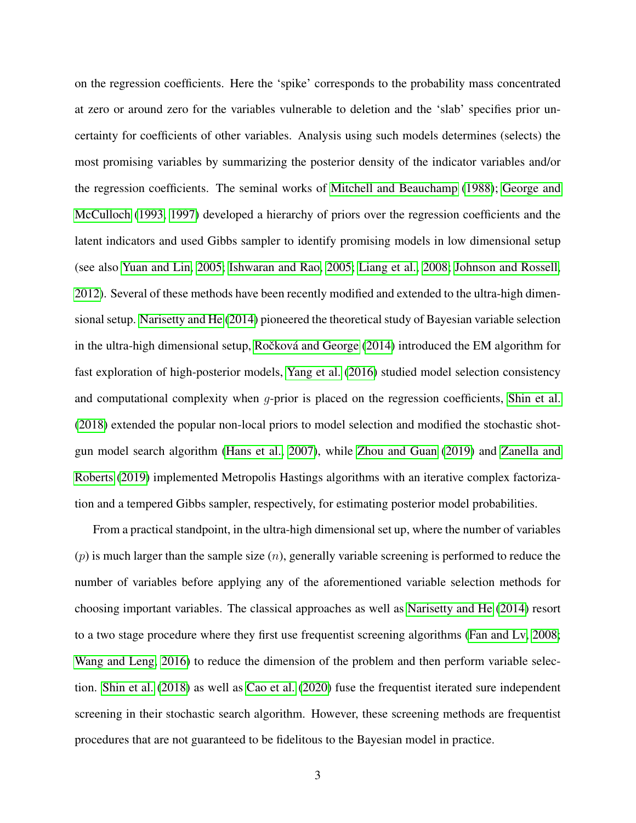on the regression coefficients. Here the 'spike' corresponds to the probability mass concentrated at zero or around zero for the variables vulnerable to deletion and the 'slab' specifies prior uncertainty for coefficients of other variables. Analysis using such models determines (selects) the most promising variables by summarizing the posterior density of the indicator variables and/or the regression coefficients. The seminal works of [Mitchell and Beauchamp](#page-33-4) [\(1988\)](#page-33-4); [George and](#page-32-6) [McCulloch](#page-32-6) [\(1993,](#page-32-6) [1997\)](#page-32-7) developed a hierarchy of priors over the regression coefficients and the latent indicators and used Gibbs sampler to identify promising models in low dimensional setup (see also [Yuan and Lin, 2005;](#page-34-3) [Ishwaran and Rao, 2005;](#page-32-8) [Liang et al., 2008;](#page-33-5) [Johnson and Rossell,](#page-32-9) [2012\)](#page-32-9). Several of these methods have been recently modified and extended to the ultra-high dimensional setup. [Narisetty and He](#page-33-6) [\(2014\)](#page-33-6) pioneered the theoretical study of Bayesian variable selection in the ultra-high dimensional setup, Ročková and George  $(2014)$  introduced the EM algorithm for fast exploration of high-posterior models, [Yang et al.](#page-34-4) [\(2016\)](#page-34-4) studied model selection consistency and computational complexity when  $g$ -prior is placed on the regression coefficients, [Shin et al.](#page-33-8) [\(2018\)](#page-33-8) extended the popular non-local priors to model selection and modified the stochastic shotgun model search algorithm [\(Hans et al., 2007\)](#page-32-10), while [Zhou and Guan](#page-34-5) [\(2019\)](#page-34-5) and [Zanella and](#page-34-6) [Roberts](#page-34-6) [\(2019\)](#page-34-6) implemented Metropolis Hastings algorithms with an iterative complex factorization and a tempered Gibbs sampler, respectively, for estimating posterior model probabilities.

From a practical standpoint, in the ultra-high dimensional set up, where the number of variables  $(p)$  is much larger than the sample size  $(n)$ , generally variable screening is performed to reduce the number of variables before applying any of the aforementioned variable selection methods for choosing important variables. The classical approaches as well as [Narisetty and He](#page-33-6) [\(2014\)](#page-33-6) resort to a two stage procedure where they first use frequentist screening algorithms [\(Fan and Lv, 2008;](#page-32-11) [Wang and Leng, 2016\)](#page-33-9) to reduce the dimension of the problem and then perform variable selection. [Shin et al.](#page-33-8) [\(2018\)](#page-33-8) as well as [Cao et al.](#page-32-12) [\(2020\)](#page-32-12) fuse the frequentist iterated sure independent screening in their stochastic search algorithm. However, these screening methods are frequentist procedures that are not guaranteed to be fidelitous to the Bayesian model in practice.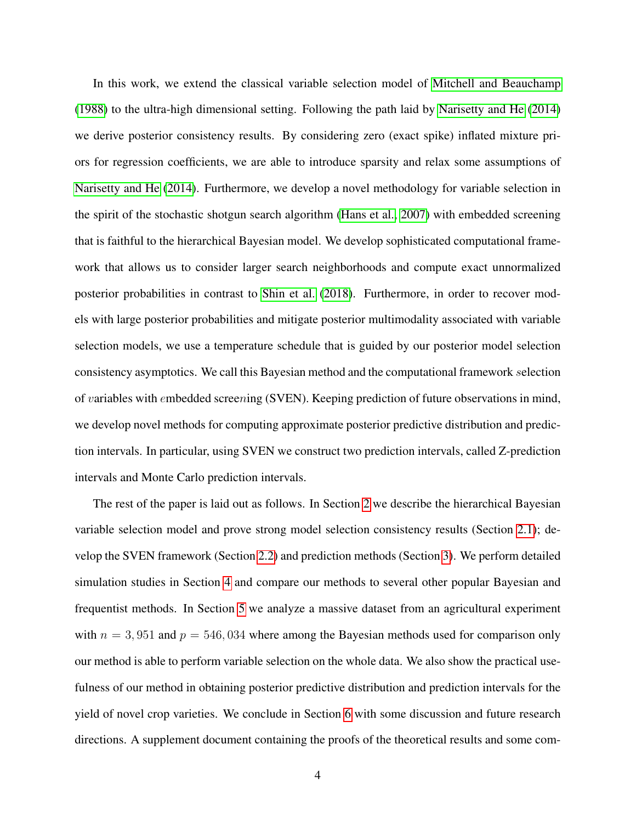In this work, we extend the classical variable selection model of [Mitchell and Beauchamp](#page-33-4) [\(1988\)](#page-33-4) to the ultra-high dimensional setting. Following the path laid by [Narisetty and He](#page-33-6) [\(2014\)](#page-33-6) we derive posterior consistency results. By considering zero (exact spike) inflated mixture priors for regression coefficients, we are able to introduce sparsity and relax some assumptions of [Narisetty and He](#page-33-6) [\(2014\)](#page-33-6). Furthermore, we develop a novel methodology for variable selection in the spirit of the stochastic shotgun search algorithm [\(Hans et al., 2007\)](#page-32-10) with embedded screening that is faithful to the hierarchical Bayesian model. We develop sophisticated computational framework that allows us to consider larger search neighborhoods and compute exact unnormalized posterior probabilities in contrast to [Shin et al.](#page-33-8) [\(2018\)](#page-33-8). Furthermore, in order to recover models with large posterior probabilities and mitigate posterior multimodality associated with variable selection models, we use a temperature schedule that is guided by our posterior model selection consistency asymptotics. We call this Bayesian method and the computational framework selection of variables with embedded screening (SVEN). Keeping prediction of future observations in mind, we develop novel methods for computing approximate posterior predictive distribution and prediction intervals. In particular, using SVEN we construct two prediction intervals, called Z-prediction intervals and Monte Carlo prediction intervals.

The rest of the paper is laid out as follows. In Section [2](#page-4-0) we describe the hierarchical Bayesian variable selection model and prove strong model selection consistency results (Section [2.1\)](#page-4-1); develop the SVEN framework (Section [2.2\)](#page-11-0) and prediction methods (Section [3\)](#page-16-0). We perform detailed simulation studies in Section [4](#page-19-0) and compare our methods to several other popular Bayesian and frequentist methods. In Section [5](#page-26-0) we analyze a massive dataset from an agricultural experiment with  $n = 3,951$  and  $p = 546,034$  where among the Bayesian methods used for comparison only our method is able to perform variable selection on the whole data. We also show the practical usefulness of our method in obtaining posterior predictive distribution and prediction intervals for the yield of novel crop varieties. We conclude in Section [6](#page-30-0) with some discussion and future research directions. A supplement document containing the proofs of the theoretical results and some com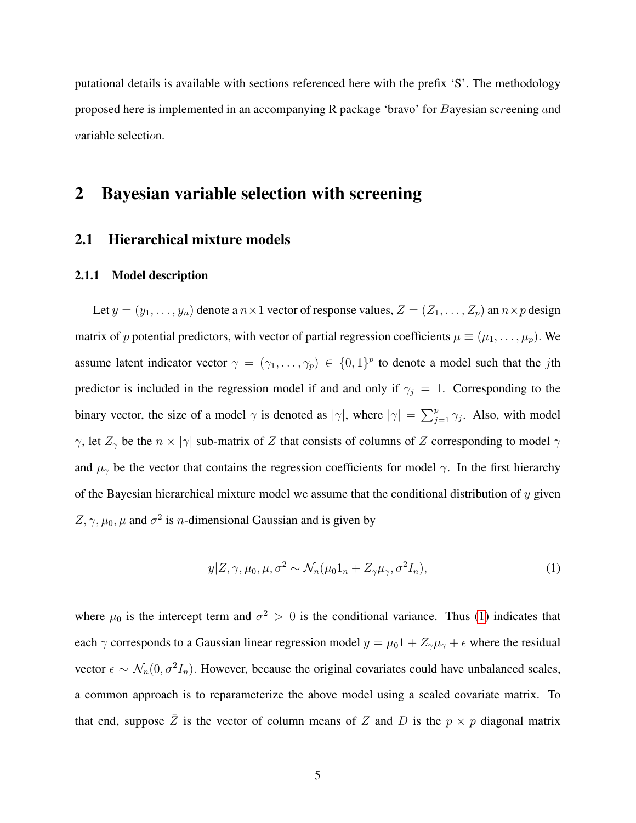putational details is available with sections referenced here with the prefix 'S'. The methodology proposed here is implemented in an accompanying R package 'bravo' for Bayesian screening and variable selection.

# <span id="page-4-0"></span>2 Bayesian variable selection with screening

#### <span id="page-4-1"></span>2.1 Hierarchical mixture models

#### <span id="page-4-3"></span>2.1.1 Model description

Let  $y = (y_1, \ldots, y_n)$  denote a  $n \times 1$  vector of response values,  $Z = (Z_1, \ldots, Z_p)$  an  $n \times p$  design matrix of p potential predictors, with vector of partial regression coefficients  $\mu \equiv (\mu_1, \dots, \mu_p)$ . We assume latent indicator vector  $\gamma = (\gamma_1, \dots, \gamma_p) \in \{0,1\}^p$  to denote a model such that the jth predictor is included in the regression model if and and only if  $\gamma_j = 1$ . Corresponding to the binary vector, the size of a model  $\gamma$  is denoted as  $|\gamma|$ , where  $|\gamma| = \sum_{j=1}^{p} \gamma_j$ . Also, with model  $\gamma$ , let  $Z_{\gamma}$  be the  $n \times |\gamma|$  sub-matrix of Z that consists of columns of Z corresponding to model  $\gamma$ and  $\mu_{\gamma}$  be the vector that contains the regression coefficients for model  $\gamma$ . In the first hierarchy of the Bayesian hierarchical mixture model we assume that the conditional distribution of  $y$  given  $Z, \gamma, \mu_0, \mu$  and  $\sigma^2$  is *n*-dimensional Gaussian and is given by

<span id="page-4-2"></span>
$$
y|Z, \gamma, \mu_0, \mu, \sigma^2 \sim \mathcal{N}_n(\mu_0 1_n + Z_\gamma \mu_\gamma, \sigma^2 I_n), \tag{1}
$$

where  $\mu_0$  is the intercept term and  $\sigma^2 > 0$  is the conditional variance. Thus [\(1\)](#page-4-2) indicates that each  $\gamma$  corresponds to a Gaussian linear regression model  $y = \mu_0 1 + Z_\gamma \mu_\gamma + \epsilon$  where the residual vector  $\epsilon \sim \mathcal{N}_n(0, \sigma^2 I_n)$ . However, because the original covariates could have unbalanced scales, a common approach is to reparameterize the above model using a scaled covariate matrix. To that end, suppose  $\overline{Z}$  is the vector of column means of Z and D is the  $p \times p$  diagonal matrix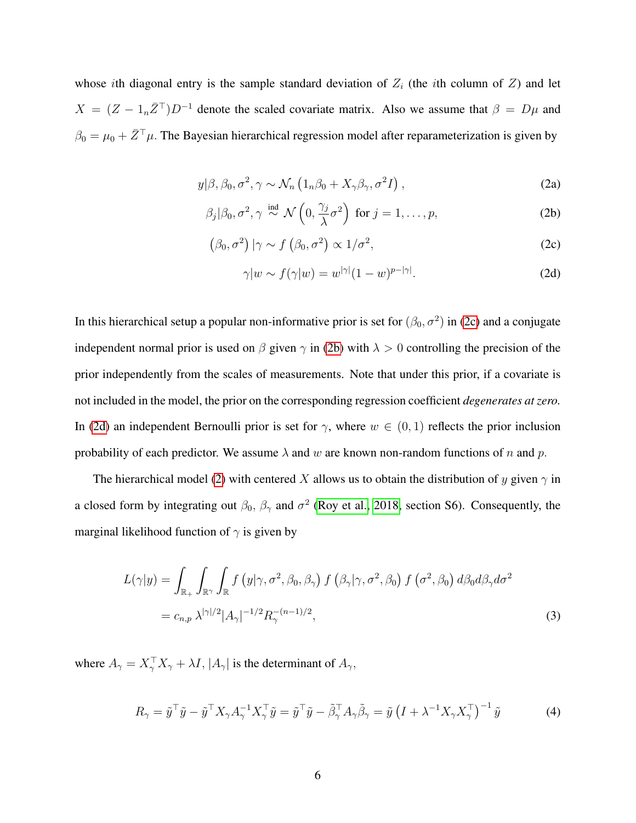whose ith diagonal entry is the sample standard deviation of  $Z_i$  (the ith column of  $Z_i$ ) and let  $X = (Z - 1<sub>n</sub>Z<sup>T</sup>)D<sup>-1</sup>$  denote the scaled covariate matrix. Also we assume that  $\beta = D\mu$  and  $\beta_0 = \mu_0 + \bar{Z}^\top \mu$ . The Bayesian hierarchical regression model after reparameterization is given by

$$
y|\beta, \beta_0, \sigma^2, \gamma \sim \mathcal{N}_n \left(1_n \beta_0 + X_\gamma \beta_\gamma, \sigma^2 I\right), \qquad (2a)
$$

$$
\beta_j|\beta_0, \sigma^2, \gamma \stackrel{\text{ind}}{\sim} \mathcal{N}\left(0, \frac{\gamma_j}{\lambda}\sigma^2\right) \text{ for } j = 1, \dots, p,
$$
 (2b)

$$
(\beta_0, \sigma^2) | \gamma \sim f\left(\beta_0, \sigma^2\right) \propto 1/\sigma^2, \tag{2c}
$$

<span id="page-5-3"></span><span id="page-5-2"></span><span id="page-5-1"></span><span id="page-5-0"></span>
$$
\gamma|w \sim f(\gamma|w) = w^{|\gamma|}(1-w)^{p-|\gamma|}.
$$
 (2d)

In this hierarchical setup a popular non-informative prior is set for  $(\beta_0, \sigma^2)$  in [\(2c\)](#page-5-0) and a conjugate independent normal prior is used on  $\beta$  given  $\gamma$  in [\(2b\)](#page-5-1) with  $\lambda > 0$  controlling the precision of the prior independently from the scales of measurements. Note that under this prior, if a covariate is not included in the model, the prior on the corresponding regression coefficient *degenerates at zero.* In [\(2d\)](#page-5-2) an independent Bernoulli prior is set for  $\gamma$ , where  $w \in (0,1)$  reflects the prior inclusion probability of each predictor. We assume  $\lambda$  and w are known non-random functions of n and p.

The hierarchical model [\(2\)](#page-5-3) with centered X allows us to obtain the distribution of y given  $\gamma$  in a closed form by integrating out  $\beta_0$ ,  $\beta_{\gamma}$  and  $\sigma^2$  [\(Roy et al., 2018,](#page-33-10) section S6). Consequently, the marginal likelihood function of  $\gamma$  is given by

<span id="page-5-4"></span>
$$
L(\gamma|y) = \int_{\mathbb{R}_+} \int_{\mathbb{R}^\gamma} \int_{\mathbb{R}} f\left(y|\gamma, \sigma^2, \beta_0, \beta_\gamma\right) f\left(\beta_\gamma|\gamma, \sigma^2, \beta_0\right) f\left(\sigma^2, \beta_0\right) d\beta_0 d\beta_\gamma d\sigma^2
$$
  
=  $c_{n,p} \lambda^{|\gamma|/2} |A_\gamma|^{-1/2} R_\gamma^{-(n-1)/2},$  (3)

where  $A_{\gamma} = X_{\gamma}^{\top} X_{\gamma} + \lambda I$ ,  $|A_{\gamma}|$  is the determinant of  $A_{\gamma}$ ,

<span id="page-5-5"></span>
$$
R_{\gamma} = \tilde{y}^{\top} \tilde{y} - \tilde{y}^{\top} X_{\gamma} A_{\gamma}^{-1} X_{\gamma}^{\top} \tilde{y} = \tilde{y}^{\top} \tilde{y} - \tilde{\beta}_{\gamma}^{\top} A_{\gamma} \tilde{\beta}_{\gamma} = \tilde{y} \left( I + \lambda^{-1} X_{\gamma} X_{\gamma}^{\top} \right)^{-1} \tilde{y}
$$
(4)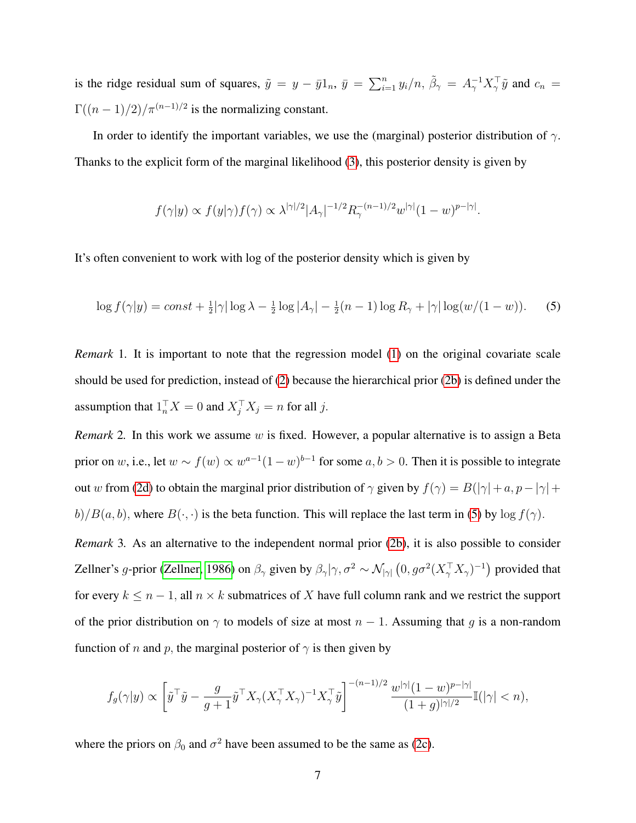is the ridge residual sum of squares,  $\tilde{y} = y - \bar{y}1_n$ ,  $\bar{y} = \sum_{i=1}^n y_i/n$ ,  $\tilde{\beta}_{\gamma} = A_{\gamma}^{-1}X_{\gamma}^{\top}\tilde{y}$  and  $c_n =$  $\Gamma((n-1)/2)/\pi^{(n-1)/2}$  is the normalizing constant.

In order to identify the important variables, we use the (marginal) posterior distribution of  $\gamma$ . Thanks to the explicit form of the marginal likelihood [\(3\)](#page-5-4), this posterior density is given by

$$
f(\gamma|y) \propto f(y|\gamma) f(\gamma) \propto \lambda^{|\gamma|/2} |A_{\gamma}|^{-1/2} R_{\gamma}^{-(n-1)/2} w^{|\gamma|} (1-w)^{p-|\gamma|}.
$$

It's often convenient to work with log of the posterior density which is given by

<span id="page-6-0"></span>
$$
\log f(\gamma|y) = const + \frac{1}{2} |\gamma| \log \lambda - \frac{1}{2} \log |A_{\gamma}| - \frac{1}{2}(n-1) \log R_{\gamma} + |\gamma| \log (w/(1-w)).
$$
 (5)

*Remark* 1. It is important to note that the regression model [\(1\)](#page-4-2) on the original covariate scale should be used for prediction, instead of [\(2\)](#page-5-3) because the hierarchical prior [\(2b\)](#page-5-1) is defined under the assumption that  $1_n^{\top} X = 0$  and  $X_j^{\top} X_j = n$  for all j.

*Remark* 2*.* In this work we assume w is fixed. However, a popular alternative is to assign a Beta prior on w, i.e., let  $w \sim f(w) \propto w^{a-1}(1-w)^{b-1}$  for some  $a, b > 0$ . Then it is possible to integrate out w from [\(2d\)](#page-5-2) to obtain the marginal prior distribution of  $\gamma$  given by  $f(\gamma) = B(|\gamma| + a, p - |\gamma| + a)$  $b)/B(a, b)$ , where  $B(\cdot, \cdot)$  is the beta function. This will replace the last term in [\(5\)](#page-6-0) by  $\log f(\gamma)$ .

*Remark* 3*.* As an alternative to the independent normal prior [\(2b\)](#page-5-1), it is also possible to consider Zellner's g-prior [\(Zellner, 1986\)](#page-34-7) on  $\beta_{\gamma}$  given by  $\beta_{\gamma}|\gamma,\sigma^2 \sim \mathcal{N}_{|\gamma|}\left(0, g\sigma^2 (X_{\gamma}^{\top} X_{\gamma})^{-1}\right)$  provided that for every  $k \leq n - 1$ , all  $n \times k$  submatrices of X have full column rank and we restrict the support of the prior distribution on  $\gamma$  to models of size at most  $n - 1$ . Assuming that g is a non-random function of n and p, the marginal posterior of  $\gamma$  is then given by

$$
f_g(\gamma|y) \propto \left[ \tilde{y}^\top \tilde{y} - \frac{g}{g+1} \tilde{y}^\top X_\gamma (X_\gamma^\top X_\gamma)^{-1} X_\gamma^\top \tilde{y} \right]^{-(n-1)/2} \frac{w^{|\gamma|} (1-w)^{p-|\gamma|}}{(1+g)^{|\gamma|/2}} \mathbb{I}(|\gamma| < n),
$$

where the priors on  $\beta_0$  and  $\sigma^2$  have been assumed to be the same as [\(2c\)](#page-5-0).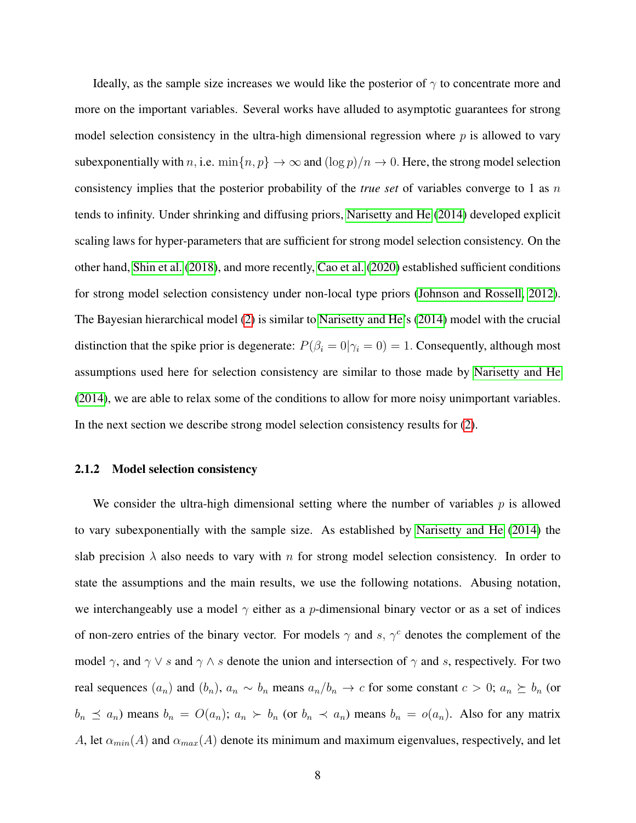Ideally, as the sample size increases we would like the posterior of  $\gamma$  to concentrate more and more on the important variables. Several works have alluded to asymptotic guarantees for strong model selection consistency in the ultra-high dimensional regression where  $p$  is allowed to vary subexponentially with n, i.e.  $\min\{n, p\} \to \infty$  and  $(\log p)/n \to 0$ . Here, the strong model selection consistency implies that the posterior probability of the *true set* of variables converge to 1 as n tends to infinity. Under shrinking and diffusing priors, [Narisetty and He](#page-33-6) [\(2014\)](#page-33-6) developed explicit scaling laws for hyper-parameters that are sufficient for strong model selection consistency. On the other hand, [Shin et al.](#page-33-8) [\(2018\)](#page-33-8), and more recently, [Cao et al.](#page-32-12) [\(2020\)](#page-32-12) established sufficient conditions for strong model selection consistency under non-local type priors [\(Johnson and Rossell, 2012\)](#page-32-9). The Bayesian hierarchical model [\(2\)](#page-5-3) is similar to [Narisetty and He'](#page-33-6)s [\(2014\)](#page-33-6) model with the crucial distinction that the spike prior is degenerate:  $P(\beta_i = 0 | \gamma_i = 0) = 1$ . Consequently, although most assumptions used here for selection consistency are similar to those made by [Narisetty and He](#page-33-6) [\(2014\)](#page-33-6), we are able to relax some of the conditions to allow for more noisy unimportant variables. In the next section we describe strong model selection consistency results for [\(2\)](#page-5-3).

#### 2.1.2 Model selection consistency

We consider the ultra-high dimensional setting where the number of variables  $p$  is allowed to vary subexponentially with the sample size. As established by [Narisetty and He](#page-33-6) [\(2014\)](#page-33-6) the slab precision  $\lambda$  also needs to vary with n for strong model selection consistency. In order to state the assumptions and the main results, we use the following notations. Abusing notation, we interchangeably use a model  $\gamma$  either as a p-dimensional binary vector or as a set of indices of non-zero entries of the binary vector. For models  $\gamma$  and s,  $\gamma^c$  denotes the complement of the model  $\gamma$ , and  $\gamma \vee s$  and  $\gamma \wedge s$  denote the union and intersection of  $\gamma$  and s, respectively. For two real sequences  $(a_n)$  and  $(b_n)$ ,  $a_n \sim b_n$  means  $a_n/b_n \to c$  for some constant  $c > 0$ ;  $a_n \succeq b_n$  (or  $b_n \preceq a_n$ ) means  $b_n = O(a_n)$ ;  $a_n \succ b_n$  (or  $b_n \prec a_n$ ) means  $b_n = O(a_n)$ . Also for any matrix A, let  $\alpha_{min}(A)$  and  $\alpha_{max}(A)$  denote its minimum and maximum eigenvalues, respectively, and let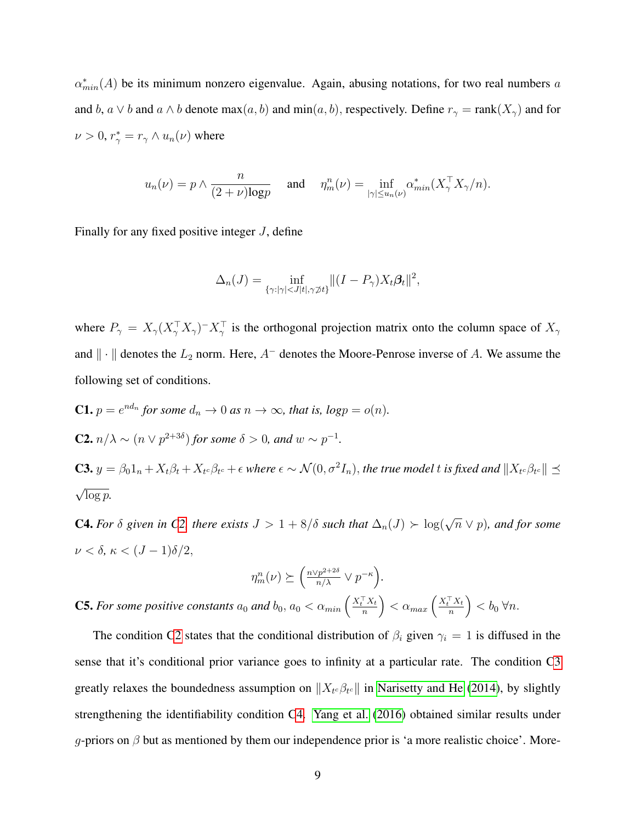$\alpha^*_{min}(A)$  be its minimum nonzero eigenvalue. Again, abusing notations, for two real numbers a and b,  $a \vee b$  and  $a \wedge b$  denote  $max(a, b)$  and  $min(a, b)$ , respectively. Define  $r_{\gamma} = rank(X_{\gamma})$  and for  $\nu > 0$ ,  $r^*_{\gamma} = r_{\gamma} \wedge u_n(\nu)$  where

$$
u_n(\nu) = p \wedge \frac{n}{(2+\nu)\log p}
$$
 and  $\eta_m^n(\nu) = \inf_{|\gamma| \le u_n(\nu)} \alpha_{\min}^*(X_\gamma^\top X_\gamma/n).$ 

Finally for any fixed positive integer  $J$ , define

$$
\Delta_n(J) = \inf_{\{\gamma: |\gamma| < J|t|, \gamma \neq t\}} \|(I - P_\gamma) X_t \beta_t\|^2,
$$

where  $P_{\gamma} = X_{\gamma} (X_{\gamma}^{\top} X_{\gamma})^{-} X_{\gamma}^{\top}$  is the orthogonal projection matrix onto the column space of  $X_{\gamma}$ and  $\|\cdot\|$  denotes the  $L_2$  norm. Here,  $A^-$  denotes the Moore-Penrose inverse of A. We assume the following set of conditions.

<span id="page-8-1"></span><span id="page-8-0"></span>\n- **C1.** 
$$
p = e^{nd_n}
$$
 for some  $d_n \to 0$  as  $n \to \infty$ , that is,  $log p = o(n)$ .
\n- **C2.**  $n/\lambda \sim (n \vee p^{2+3\delta})$  for some  $\delta > 0$ , and  $w \sim p^{-1}$ .
\n- **C3.**  $y = \beta_0 1_n + X_t \beta_t + X_{t^c} \beta_{t^c} + \epsilon$  where  $\epsilon \sim \mathcal{N}(0, \sigma^2 I_n)$ , the true model  $t$  is fixed and  $||X_{t^c} \beta_{t^c}|| \preceq \sqrt{\log p}$ .
\n

<span id="page-8-2"></span>**C4.** For  $\delta$  given in [C2,](#page-8-0) there exists  $J > 1 + 8/\delta$  such that  $\Delta_n(J) > \log(\sqrt{n} \vee p)$ , and for some  $\nu < \delta$ ,  $\kappa < (J - 1)\delta/2$ ,

$$
\eta_m^n(\nu) \succeq \left(\frac{n \vee p^{2+2\delta}}{n/\lambda} \vee p^{-\kappa}\right).
$$

<span id="page-8-3"></span>**C5.** For some positive constants  $a_0$  and  $b_0$ ,  $a_0 < \alpha_{min} \left( \frac{X_t^T X_t}{n} \right)$  $\left(\frac{X_t}{n}\right) < \alpha_{max} \left(\frac{X_t^\top X_t}{n}\right)$  $\left(\frac{f(X_t)}{n}\right) < b_0 \,\forall n.$ 

The condition [C2](#page-8-0) states that the conditional distribution of  $\beta_i$  given  $\gamma_i = 1$  is diffused in the sense that it's conditional prior variance goes to infinity at a particular rate. The condition [C3](#page-8-1) greatly relaxes the boundedness assumption on  $||X_{t}e\beta_{t}e||$  in [Narisetty and He](#page-33-6) [\(2014\)](#page-33-6), by slightly strengthening the identifiability condition [C4.](#page-8-2) [Yang et al.](#page-34-4) [\(2016\)](#page-34-4) obtained similar results under g-priors on  $\beta$  but as mentioned by them our independence prior is 'a more realistic choice'. More-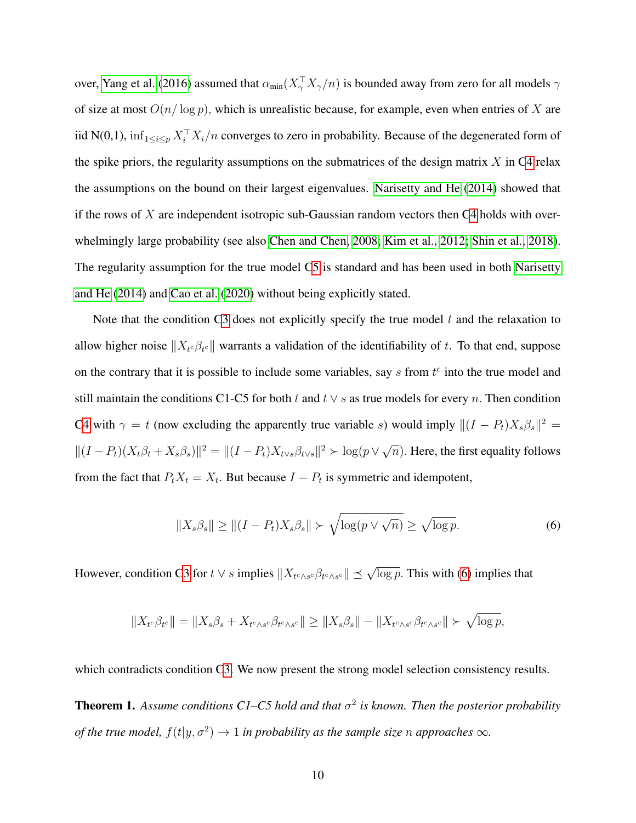over, [Yang et al.](#page-34-4) [\(2016\)](#page-34-4) assumed that  $\alpha_{min}(X^{\top}_{\gamma}X_{\gamma}/n)$  is bounded away from zero for all models  $\gamma$ of size at most  $O(n/\log p)$ , which is unrealistic because, for example, even when entries of X are iid N(0,1),  $\inf_{1 \le i \le p} X_i^\top X_i/n$  converges to zero in probability. Because of the degenerated form of the spike priors, the regularity assumptions on the submatrices of the design matrix  $X$  in [C4](#page-8-2) relax the assumptions on the bound on their largest eigenvalues. [Narisetty and He](#page-33-6) [\(2014\)](#page-33-6) showed that if the rows of  $X$  are independent isotropic sub-Gaussian random vectors then [C4](#page-8-2) holds with overwhelmingly large probability (see also [Chen and Chen, 2008;](#page-32-13) [Kim et al., 2012;](#page-33-11) [Shin et al., 2018\)](#page-33-8). The regularity assumption for the true model [C5](#page-8-3) is standard and has been used in both [Narisetty](#page-33-6) [and He](#page-33-6) [\(2014\)](#page-33-6) and [Cao et al.](#page-32-12) [\(2020\)](#page-32-12) without being explicitly stated.

Note that the condition [C3](#page-8-1) does not explicitly specify the true model  $t$  and the relaxation to allow higher noise  $||X_t \beta_{t^c}||$  warrants a validation of the identifiability of t. To that end, suppose on the contrary that it is possible to include some variables, say  $s$  from  $t<sup>c</sup>$  into the true model and still maintain the conditions C1-C5 for both t and  $t \vee s$  as true models for every n. Then condition [C4](#page-8-2) with  $\gamma = t$  (now excluding the apparently true variable s) would imply  $\|(I - P_t)X_s\beta_s\|^2 =$  $||(I - P_t)(X_t\beta_t + X_s\beta_s)||^2 = ||(I - P_t)X_{t\vee s}\beta_{t\vee s}||^2 > \log(p\vee\sqrt{\beta_t\beta_{t\vee s}})$  $\overline{n}$ ). Here, the first equality follows from the fact that  $P_t X_t = X_t$ . But because  $I - P_t$  is symmetric and idempotent,

<span id="page-9-0"></span>
$$
||X_s \beta_s|| \ge ||(I - P_t)X_s \beta_s|| \succ \sqrt{\log(p \vee \sqrt{n})} \ge \sqrt{\log p}.
$$
 (6)

However, condition [C3](#page-8-1) for  $t \vee s$  implies  $||X_{t^c \wedge s^c} \beta_{t^c \wedge s^c}|| \preceq \sqrt{\log p}$ . This with [\(6\)](#page-9-0) implies that

$$
||X_{t^c}\beta_{t^c}|| = ||X_s\beta_s + X_{t^c\wedge s^c}\beta_{t^c\wedge s^c}|| \ge ||X_s\beta_s|| - ||X_{t^c\wedge s^c}\beta_{t^c\wedge s^c}|| \succ \sqrt{\log p},
$$

which contradicts condition [C3.](#page-8-1) We now present the strong model selection consistency results.

<span id="page-9-1"></span>**Theorem 1.** Assume conditions C1–C5 hold and that  $\sigma^2$  is known. Then the posterior probability *of the true model,*  $f(t|y, \sigma^2) \rightarrow 1$  *in probability as the sample size* n *approaches*  $\infty$ *.*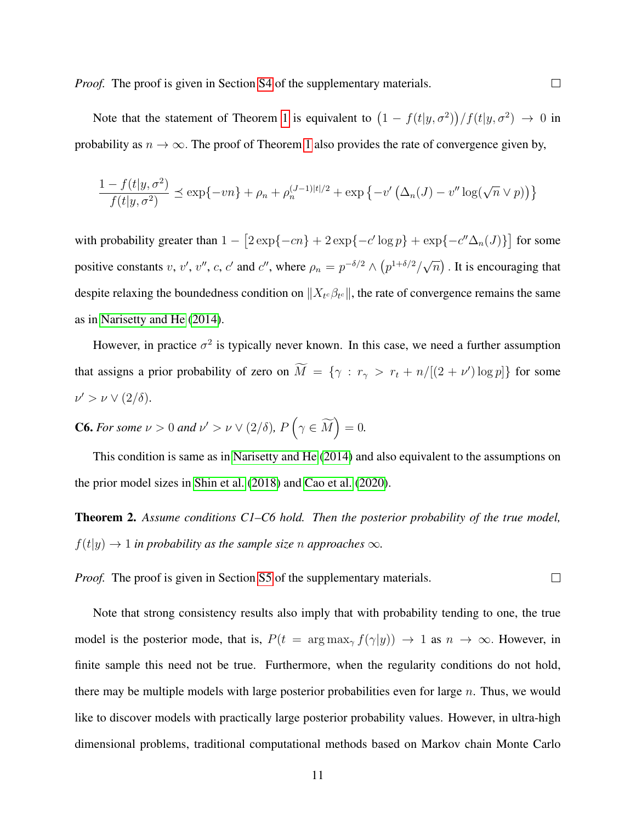*Proof.* The proof is given in Section [S4](#page-19-0) of the supplementary materials.

Note that the statement of Theorem [1](#page-9-1) is equivalent to  $(1 - f(t|y, \sigma^2))/f(t|y, \sigma^2) \rightarrow 0$  in probability as  $n \to \infty$ . The proof of Theorem [1](#page-9-1) also provides the rate of convergence given by,

$$
\frac{1 - f(t|y, \sigma^2)}{f(t|y, \sigma^2)} \le \exp\{-vn\} + \rho_n + \rho_n^{(J-1)|t|/2} + \exp\{-v'\left(\Delta_n(J) - v''\log(\sqrt{n}\vee p)\right)\}
$$

with probability greater than  $1 - \left[2 \exp\{-cn\} + 2 \exp\{-c' \log p\} + \exp\{-c'' \Delta_n(J)\}\right]$  for some positive constants v, v', v'', c, c' and c'', where  $\rho_n = p^{-\delta/2} \wedge (p^{1+\delta/2}/\sqrt{\sqrt{\frac{p_1^2}{\delta}}})$  $\overline{n}$ ). It is encouraging that despite relaxing the boundedness condition on  $||X_{t^c}\beta_{t^c}||$ , the rate of convergence remains the same as in [Narisetty and He](#page-33-6) [\(2014\)](#page-33-6).

However, in practice  $\sigma^2$  is typically never known. In this case, we need a further assumption that assigns a prior probability of zero on  $\overline{M} = \{ \gamma : r_{\gamma} > r_t + n/[(2 + \nu') \log p] \}$  for some  $\nu' > \nu \vee (2/\delta).$ 

**C6.** For some  $\nu > 0$  and  $\nu' > \nu \vee (2/\delta)$ ,  $P(\gamma \in \widetilde{M}) = 0$ .

This condition is same as in [Narisetty and He](#page-33-6) [\(2014\)](#page-33-6) and also equivalent to the assumptions on the prior model sizes in [Shin et al.](#page-33-8) [\(2018\)](#page-33-8) and [Cao et al.](#page-32-12) [\(2020\)](#page-32-12).

<span id="page-10-0"></span>Theorem 2. *Assume conditions C1–C6 hold. Then the posterior probability of the true model,*  $f(t|y) \rightarrow 1$  *in probability as the sample size n approaches*  $\infty$ *.* 

*Proof.* The proof is given in Section [S5](#page-26-0) of the supplementary materials.  $\Box$ 

Note that strong consistency results also imply that with probability tending to one, the true model is the posterior mode, that is,  $P(t = \arg \max_{\gamma} f(\gamma|y)) \rightarrow 1$  as  $n \rightarrow \infty$ . However, in finite sample this need not be true. Furthermore, when the regularity conditions do not hold, there may be multiple models with large posterior probabilities even for large  $n$ . Thus, we would like to discover models with practically large posterior probability values. However, in ultra-high dimensional problems, traditional computational methods based on Markov chain Monte Carlo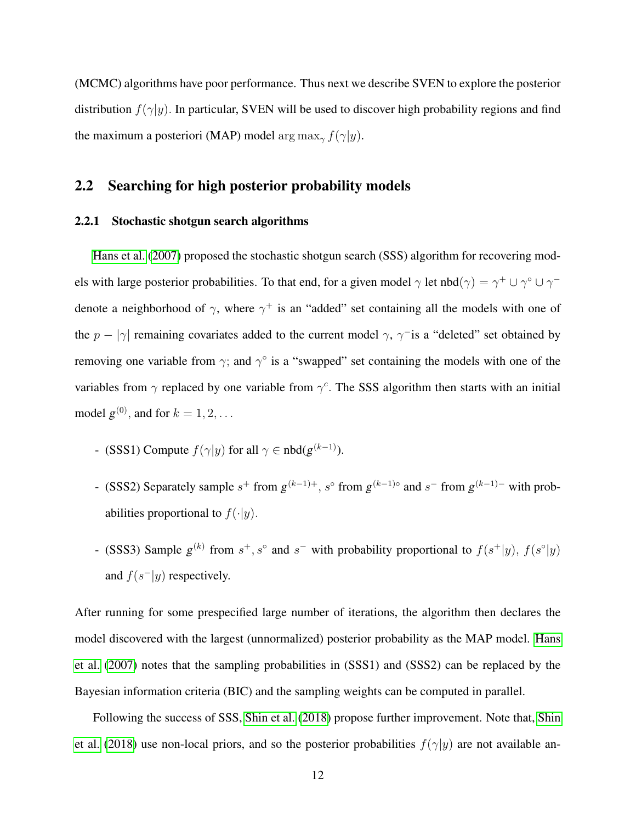(MCMC) algorithms have poor performance. Thus next we describe SVEN to explore the posterior distribution  $f(\gamma|y)$ . In particular, SVEN will be used to discover high probability regions and find the maximum a posteriori (MAP) model arg max<sub>γ</sub>  $f(\gamma|y)$ .

#### <span id="page-11-0"></span>2.2 Searching for high posterior probability models

#### 2.2.1 Stochastic shotgun search algorithms

[Hans et al.](#page-32-10) [\(2007\)](#page-32-10) proposed the stochastic shotgun search (SSS) algorithm for recovering models with large posterior probabilities. To that end, for a given model  $\gamma$  let nbd $(\gamma) = \gamma^+ \cup \gamma^{\circ} \cup \gamma^$ denote a neighborhood of  $\gamma$ , where  $\gamma^+$  is an "added" set containing all the models with one of the  $p - |\gamma|$  remaining covariates added to the current model  $\gamma$ ,  $\gamma$ <sup>-</sup> is a "deleted" set obtained by removing one variable from  $\gamma$ ; and  $\gamma^{\circ}$  is a "swapped" set containing the models with one of the variables from  $\gamma$  replaced by one variable from  $\gamma^c$ . The SSS algorithm then starts with an initial model  $g^{(0)}$ , and for  $k = 1, 2, \ldots$ 

- (SSS1) Compute  $f(\gamma|y)$  for all  $\gamma \in \text{nbd}(g^{(k-1)})$ .
- (SSS2) Separately sample  $s^+$  from  $g^{(k-1)+}$ ,  $s^{\circ}$  from  $g^{(k-1)\circ}$  and  $s^-$  from  $g^{(k-1)-}$  with probabilities proportional to  $f(\cdot|y)$ .
- (SSS3) Sample  $g^{(k)}$  from  $s^+, s^{\circ}$  and  $s^-$  with probability proportional to  $f(s^+|y), f(s^{\circ}|y)$ and  $f(s^-|y)$  respectively.

After running for some prespecified large number of iterations, the algorithm then declares the model discovered with the largest (unnormalized) posterior probability as the MAP model. [Hans](#page-32-10) [et al.](#page-32-10) [\(2007\)](#page-32-10) notes that the sampling probabilities in (SSS1) and (SSS2) can be replaced by the Bayesian information criteria (BIC) and the sampling weights can be computed in parallel.

Following the success of SSS, [Shin et al.](#page-33-8) [\(2018\)](#page-33-8) propose further improvement. Note that, [Shin](#page-33-8) [et al.](#page-33-8) [\(2018\)](#page-33-8) use non-local priors, and so the posterior probabilities  $f(\gamma|y)$  are not available an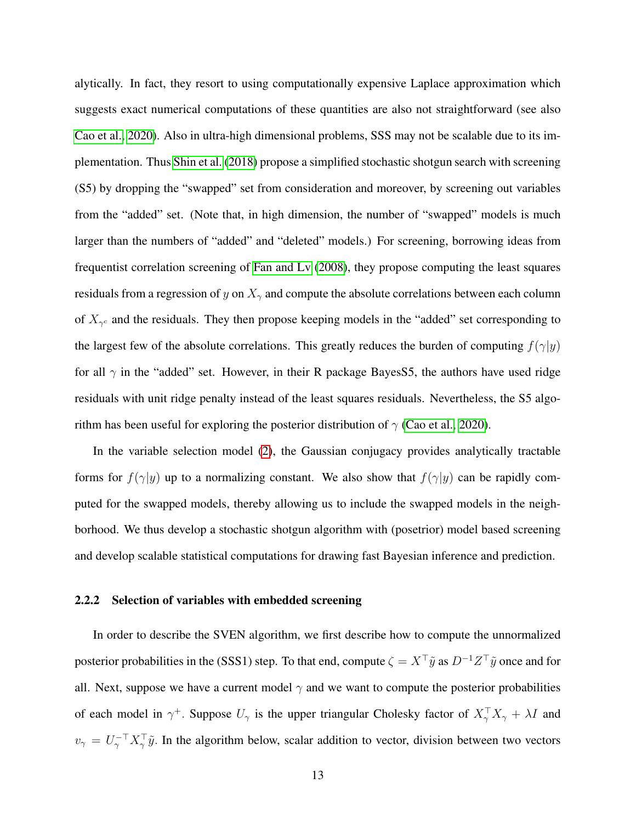alytically. In fact, they resort to using computationally expensive Laplace approximation which suggests exact numerical computations of these quantities are also not straightforward (see also [Cao et al., 2020\)](#page-32-12). Also in ultra-high dimensional problems, SSS may not be scalable due to its implementation. Thus [Shin et al.](#page-33-8) [\(2018\)](#page-33-8) propose a simplified stochastic shotgun search with screening (S5) by dropping the "swapped" set from consideration and moreover, by screening out variables from the "added" set. (Note that, in high dimension, the number of "swapped" models is much larger than the numbers of "added" and "deleted" models.) For screening, borrowing ideas from frequentist correlation screening of [Fan and Lv](#page-32-11) [\(2008\)](#page-32-11), they propose computing the least squares residuals from a regression of y on  $X_{\gamma}$  and compute the absolute correlations between each column of  $X_{\gamma^c}$  and the residuals. They then propose keeping models in the "added" set corresponding to the largest few of the absolute correlations. This greatly reduces the burden of computing  $f(\gamma|y)$ for all  $\gamma$  in the "added" set. However, in their R package Bayes S5, the authors have used ridge residuals with unit ridge penalty instead of the least squares residuals. Nevertheless, the S5 algorithm has been useful for exploring the posterior distribution of  $\gamma$  [\(Cao et al., 2020\)](#page-32-12).

In the variable selection model [\(2\)](#page-5-3), the Gaussian conjugacy provides analytically tractable forms for  $f(\gamma|y)$  up to a normalizing constant. We also show that  $f(\gamma|y)$  can be rapidly computed for the swapped models, thereby allowing us to include the swapped models in the neighborhood. We thus develop a stochastic shotgun algorithm with (posetrior) model based screening and develop scalable statistical computations for drawing fast Bayesian inference and prediction.

#### <span id="page-12-0"></span>2.2.2 Selection of variables with embedded screening

In order to describe the SVEN algorithm, we first describe how to compute the unnormalized posterior probabilities in the (SSS1) step. To that end, compute  $\zeta = X^\top \tilde{y}$  as  $D^{-1}Z^\top \tilde{y}$  once and for all. Next, suppose we have a current model  $\gamma$  and we want to compute the posterior probabilities of each model in  $\gamma^+$ . Suppose  $U_{\gamma}$  is the upper triangular Cholesky factor of  $X_{\gamma}^{\top}X_{\gamma} + \lambda I$  and  $v_{\gamma} = U_{\gamma}^{-\top} X_{\gamma}^{\top} \tilde{y}$ . In the algorithm below, scalar addition to vector, division between two vectors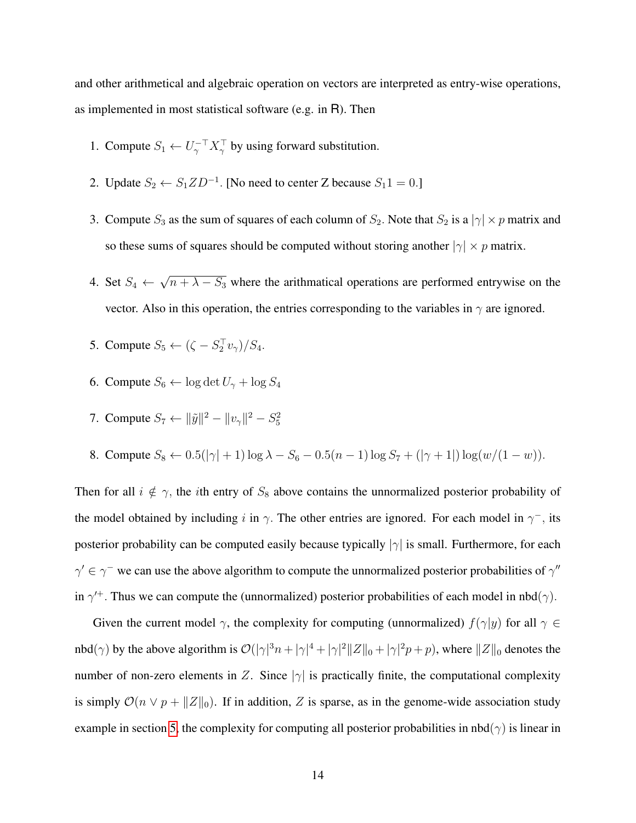and other arithmetical and algebraic operation on vectors are interpreted as entry-wise operations, as implemented in most statistical software (e.g. in R). Then

- 1. Compute  $S_1 \leftarrow U_\gamma^{-\top} X_\gamma^{\top}$  by using forward substitution.
- 2. Update  $S_2 \leftarrow S_1 Z D^{-1}$ . [No need to center Z because  $S_1 1 = 0$ .]
- 3. Compute  $S_3$  as the sum of squares of each column of  $S_2$ . Note that  $S_2$  is a  $|\gamma| \times p$  matrix and so these sums of squares should be computed without storing another  $|\gamma| \times p$  matrix.
- 4. Set  $S_4 \leftarrow$ √  $n + \lambda - S_3$  where the arithmatical operations are performed entrywise on the vector. Also in this operation, the entries corresponding to the variables in  $\gamma$  are ignored.
- 5. Compute  $S_5 \leftarrow (\zeta S_2^{\top} v_{\gamma})/S_4$ .
- 6. Compute  $S_6 \leftarrow \log \det U_\gamma + \log S_4$
- 7. Compute  $S_7 \leftarrow ||\tilde{y}||^2 ||v_\gamma||^2 S_5^2$
- 8. Compute  $S_8 \leftarrow 0.5(|\gamma|+1) \log \lambda S_6 0.5(n-1) \log S_7 + (|\gamma + 1|) \log (w/(1-w)).$

Then for all  $i \notin \gamma$ , the *i*th entry of  $S_8$  above contains the unnormalized posterior probability of the model obtained by including i in  $\gamma$ . The other entries are ignored. For each model in  $\gamma$ <sup>-</sup>, its posterior probability can be computed easily because typically  $|\gamma|$  is small. Furthermore, for each  $\gamma' \in \gamma^-$  we can use the above algorithm to compute the unnormalized posterior probabilities of  $\gamma''$ in  $\gamma^+$ . Thus we can compute the (unnormalized) posterior probabilities of each model in nbd( $\gamma$ ).

Given the current model  $\gamma$ , the complexity for computing (unnormalized)  $f(\gamma|y)$  for all  $\gamma \in$ nbd( $\gamma$ ) by the above algorithm is  $\mathcal{O}(|\gamma|^3 n + |\gamma|^4 + |\gamma|^2 ||Z||_0 + |\gamma|^2 p + p)$ , where  $||Z||_0$  denotes the number of non-zero elements in Z. Since  $|\gamma|$  is practically finite, the computational complexity is simply  $\mathcal{O}(n \vee p + ||Z||_0)$ . If in addition, Z is sparse, as in the genome-wide association study example in section [5,](#page-26-0) the complexity for computing all posterior probabilities in  $nbd(\gamma)$  is linear in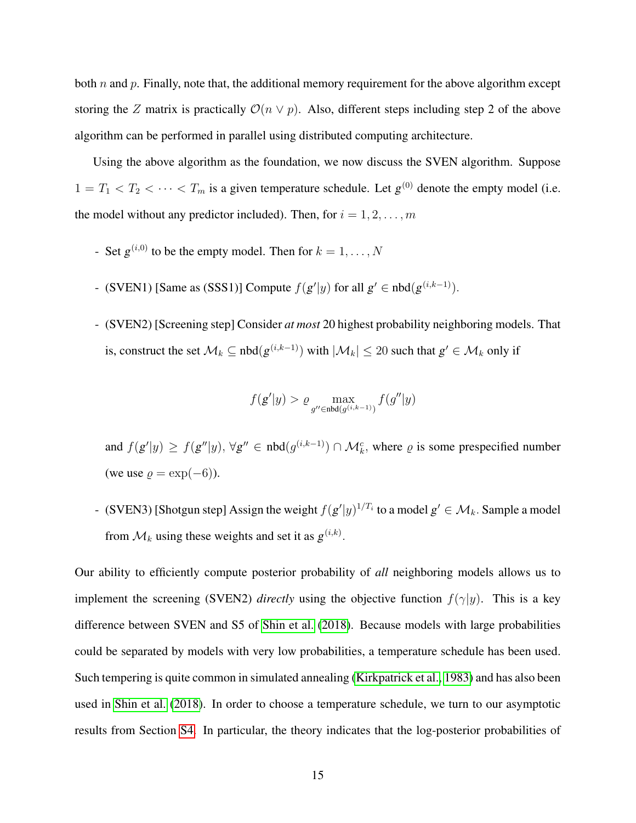both  $n$  and  $p$ . Finally, note that, the additional memory requirement for the above algorithm except storing the Z matrix is practically  $\mathcal{O}(n \vee p)$ . Also, different steps including step 2 of the above algorithm can be performed in parallel using distributed computing architecture.

Using the above algorithm as the foundation, we now discuss the SVEN algorithm. Suppose  $1 = T_1 < T_2 < \cdots < T_m$  is a given temperature schedule. Let  $g^{(0)}$  denote the empty model (i.e. the model without any predictor included). Then, for  $i = 1, 2, \ldots, m$ 

- Set  $g^{(i,0)}$  to be the empty model. Then for  $k = 1, \ldots, N$
- (SVEN1) [Same as (SSS1)] Compute  $f(g'|y)$  for all  $g' \in \text{nbd}(g^{(i,k-1)})$ .
- (SVEN2) [Screening step] Consider *at most* 20 highest probability neighboring models. That is, construct the set  $\mathcal{M}_k \subseteq \text{nbd}(g^{(i,k-1)})$  with  $|\mathcal{M}_k| \leq 20$  such that  $g' \in \mathcal{M}_k$  only if

$$
f(g'|y) > \varrho \max_{g'' \in \text{nbd}(g^{(i,k-1)})} f(g''|y)
$$

and  $f(g'|y) \ge f(g''|y)$ ,  $\forall g'' \in \text{nbd}(g^{(i,k-1)}) \cap \mathcal{M}_k^c$ , where  $\varrho$  is some prespecified number (we use  $\rho = \exp(-6)$ ).

- (SVEN3) [Shotgun step] Assign the weight  $f(g'|y)^{1/T_i}$  to a model  $g' \in \mathcal{M}_k$ . Sample a model from  $\mathcal{M}_k$  using these weights and set it as  $g^{(i,k)}$ .

Our ability to efficiently compute posterior probability of *all* neighboring models allows us to implement the screening (SVEN2) *directly* using the objective function  $f(\gamma|y)$ . This is a key difference between SVEN and S5 of [Shin et al.](#page-33-8) [\(2018\)](#page-33-8). Because models with large probabilities could be separated by models with very low probabilities, a temperature schedule has been used. Such tempering is quite common in simulated annealing [\(Kirkpatrick et al., 1983\)](#page-33-12) and has also been used in [Shin et al.](#page-33-8) [\(2018\)](#page-33-8). In order to choose a temperature schedule, we turn to our asymptotic results from Section [S4.](#page-19-0) In particular, the theory indicates that the log-posterior probabilities of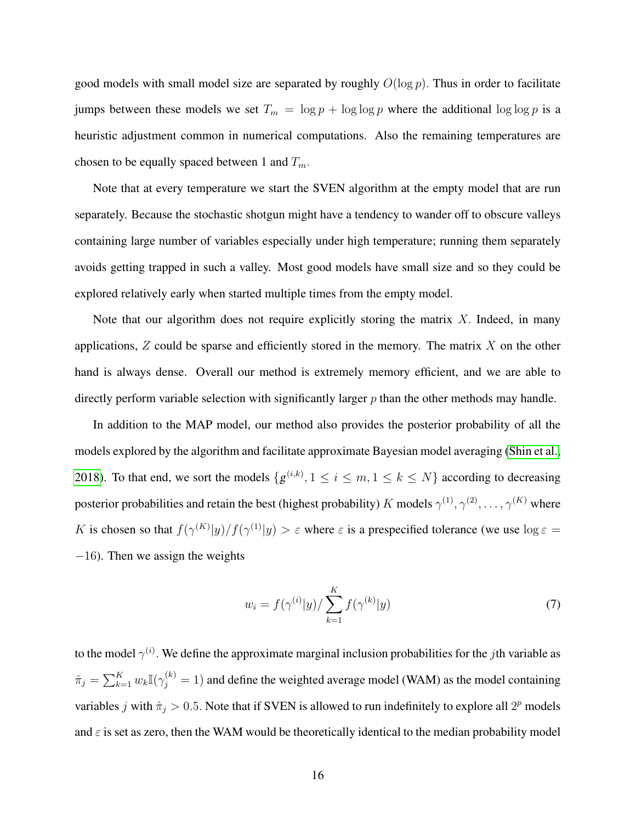good models with small model size are separated by roughly  $O(\log p)$ . Thus in order to facilitate jumps between these models we set  $T_m = \log p + \log \log p$  where the additional  $\log \log p$  is a heuristic adjustment common in numerical computations. Also the remaining temperatures are chosen to be equally spaced between 1 and  $T_m$ .

Note that at every temperature we start the SVEN algorithm at the empty model that are run separately. Because the stochastic shotgun might have a tendency to wander off to obscure valleys containing large number of variables especially under high temperature; running them separately avoids getting trapped in such a valley. Most good models have small size and so they could be explored relatively early when started multiple times from the empty model.

Note that our algorithm does not require explicitly storing the matrix  $X$ . Indeed, in many applications,  $Z$  could be sparse and efficiently stored in the memory. The matrix  $X$  on the other hand is always dense. Overall our method is extremely memory efficient, and we are able to directly perform variable selection with significantly larger  $p$  than the other methods may handle.

In addition to the MAP model, our method also provides the posterior probability of all the models explored by the algorithm and facilitate approximate Bayesian model averaging [\(Shin et al.,](#page-33-8) [2018\)](#page-33-8). To that end, we sort the models  $\{g^{(i,k)}, 1 \le i \le m, 1 \le k \le N\}$  according to decreasing posterior probabilities and retain the best (highest probability) K models  $\gamma^{(1)},\gamma^{(2)},\ldots,\gamma^{(K)}$  where K is chosen so that  $f(\gamma^{(K)}|y)/f(\gamma^{(1)}|y) > \varepsilon$  where  $\varepsilon$  is a prespecified tolerance (we use  $\log \varepsilon =$  $-16$ ). Then we assign the weights

<span id="page-15-0"></span>
$$
w_i = f(\gamma^{(i)}|y) / \sum_{k=1}^{K} f(\gamma^{(k)}|y)
$$
\n(7)

to the model  $\gamma^{(i)}$ . We define the approximate marginal inclusion probabilities for the jth variable as  $\hat{\pi}_j = \sum_{k=1}^K w_k \mathbb{I}(\gamma_j^{(k)} = 1)$  and define the weighted average model (WAM) as the model containing variables j with  $\hat{\pi}_j > 0.5$ . Note that if SVEN is allowed to run indefinitely to explore all  $2^p$  models and  $\varepsilon$  is set as zero, then the WAM would be theoretically identical to the median probability model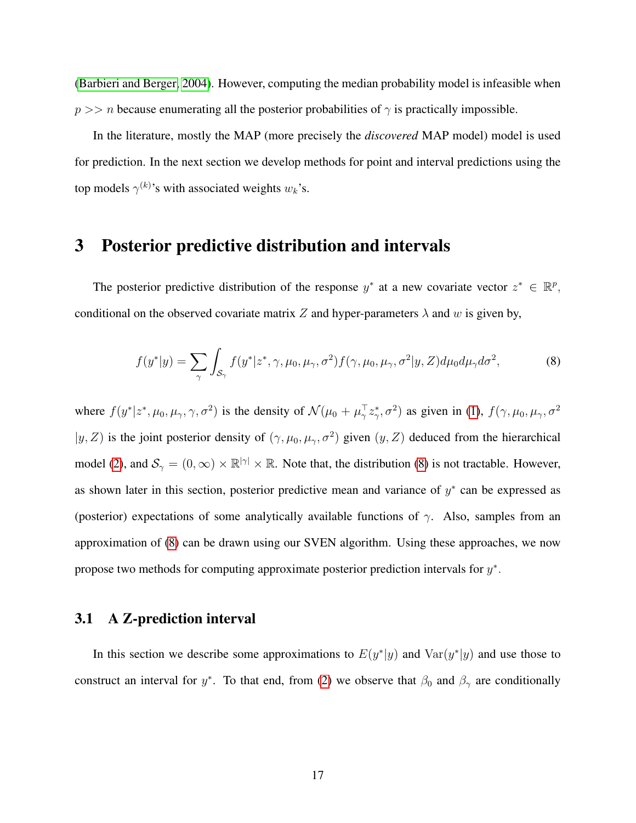[\(Barbieri and Berger, 2004\)](#page-31-0). However, computing the median probability model is infeasible when  $p \gg$  n because enumerating all the posterior probabilities of  $\gamma$  is practically impossible.

In the literature, mostly the MAP (more precisely the *discovered* MAP model) model is used for prediction. In the next section we develop methods for point and interval predictions using the top models  $\gamma^{(k)}$ 's with associated weights  $w_k$ 's.

# <span id="page-16-0"></span>3 Posterior predictive distribution and intervals

The posterior predictive distribution of the response  $y^*$  at a new covariate vector  $z^* \in \mathbb{R}^p$ , conditional on the observed covariate matrix Z and hyper-parameters  $\lambda$  and w is given by,

<span id="page-16-1"></span>
$$
f(y^*|y) = \sum_{\gamma} \int_{\mathcal{S}_{\gamma}} f(y^*|z^*, \gamma, \mu_0, \mu_\gamma, \sigma^2) f(\gamma, \mu_0, \mu_\gamma, \sigma^2 | y, Z) d\mu_0 d\mu_\gamma d\sigma^2, \tag{8}
$$

where  $f(y^*|z^*, \mu_0, \mu_\gamma, \gamma, \sigma^2)$  is the density of  $\mathcal{N}(\mu_0 + \mu_\gamma^\top z^*_\gamma, \sigma^2)$  as given in [\(1\)](#page-4-2),  $f(\gamma, \mu_0, \mu_\gamma, \sigma^2)$  $|y, Z\rangle$  is the joint posterior density of  $(\gamma, \mu_0, \mu_\gamma, \sigma^2)$  given  $(y, Z)$  deduced from the hierarchical model [\(2\)](#page-5-3), and  $S_\gamma = (0,\infty) \times \mathbb{R}^{|\gamma|} \times \mathbb{R}$ . Note that, the distribution [\(8\)](#page-16-1) is not tractable. However, as shown later in this section, posterior predictive mean and variance of  $y^*$  can be expressed as (posterior) expectations of some analytically available functions of  $\gamma$ . Also, samples from an approximation of [\(8\)](#page-16-1) can be drawn using our SVEN algorithm. Using these approaches, we now propose two methods for computing approximate posterior prediction intervals for  $y^*$ .

#### 3.1 A Z-prediction interval

In this section we describe some approximations to  $E(y^*|y)$  and  $Var(y^*|y)$  and use those to construct an interval for y<sup>\*</sup>. To that end, from [\(2\)](#page-5-3) we observe that  $\beta_0$  and  $\beta_\gamma$  are conditionally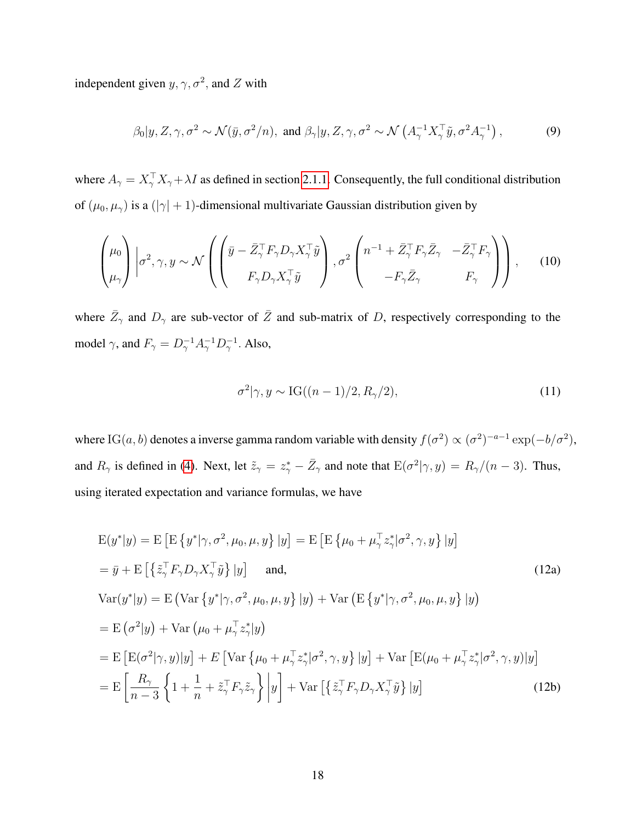independent given  $y, \gamma, \sigma^2$ , and Z with

<span id="page-17-3"></span>
$$
\beta_0|y, Z, \gamma, \sigma^2 \sim \mathcal{N}(\bar{y}, \sigma^2/n)
$$
, and  $\beta_{\gamma}|y, Z, \gamma, \sigma^2 \sim \mathcal{N}\left(A_{\gamma}^{-1}X_{\gamma}^{\top}\tilde{y}, \sigma^2A_{\gamma}^{-1}\right)$ , (9)

where  $A_{\gamma} = X_{\gamma}^{\top} X_{\gamma} + \lambda I$  as defined in section [2.1.1.](#page-4-3) Consequently, the full conditional distribution of  $(\mu_0, \mu_\gamma)$  is a  $(|\gamma| + 1)$ -dimensional multivariate Gaussian distribution given by

<span id="page-17-4"></span>
$$
\begin{pmatrix} \mu_0 \\ \mu_\gamma \end{pmatrix} \left| \sigma^2, \gamma, y \sim \mathcal{N} \left( \begin{pmatrix} \bar{y} - \bar{Z}_{\gamma}^{\top} F_{\gamma} D_{\gamma} X_{\gamma}^{\top} \tilde{y} \\ F_{\gamma} D_{\gamma} X_{\gamma}^{\top} \tilde{y} \end{pmatrix}, \sigma^2 \begin{pmatrix} n^{-1} + \bar{Z}_{\gamma}^{\top} F_{\gamma} \bar{Z}_{\gamma} & -\bar{Z}_{\gamma}^{\top} F_{\gamma} \\ -F_{\gamma} \bar{Z}_{\gamma} & F_{\gamma} \end{pmatrix} \right), \quad (10)
$$

where  $\bar{Z}_{\gamma}$  and  $D_{\gamma}$  are sub-vector of  $\bar{Z}$  and sub-matrix of D, respectively corresponding to the model  $\gamma$ , and  $F_{\gamma} = D_{\gamma}^{-1} A_{\gamma}^{-1} D_{\gamma}^{-1}$ . Also,

<span id="page-17-2"></span><span id="page-17-1"></span><span id="page-17-0"></span>
$$
\sigma^2|\gamma, y \sim \text{IG}((n-1)/2, R_\gamma/2),\tag{11}
$$

where IG(a, b) denotes a inverse gamma random variable with density  $f(\sigma^2) \propto (\sigma^2)^{-a-1} \exp(-b/\sigma^2)$ , and  $R_{\gamma}$  is defined in [\(4\)](#page-5-5). Next, let  $\tilde{z}_{\gamma} = z_{\gamma}^* - \bar{Z}_{\gamma}$  and note that  $E(\sigma^2|\gamma, y) = R_{\gamma}/(n-3)$ . Thus, using iterated expectation and variance formulas, we have

$$
E(y^*|y) = E [E \{y^*|\gamma, \sigma^2, \mu_0, \mu, y\} | y] = E [E \{\mu_0 + \mu_\gamma^\top z_\gamma^* |\sigma^2, \gamma, y\} | y]
$$
  
\n
$$
= \bar{y} + E [\{\tilde{z}_\gamma^\top F_\gamma D_\gamma X_\gamma^\top \tilde{y}\} | y] \text{ and,}
$$
\n
$$
Var(y^*|y) = E (Var \{y^*|\gamma, \sigma^2, \mu_0, \mu, y\} | y) + Var (E \{y^*|\gamma, \sigma^2, \mu_0, \mu, y\} | y)
$$
  
\n
$$
= E (\sigma^2|y) + Var (\mu_0 + \mu_\gamma^\top z_\gamma^* | y)
$$
  
\n
$$
= E [E(\sigma^2|\gamma, y)|y] + E [Var \{\mu_0 + \mu_\gamma^\top z_\gamma^* |\sigma^2, \gamma, y\} | y] + Var [E(\mu_0 + \mu_\gamma^\top z_\gamma^* |\sigma^2, \gamma, y)|y]
$$
  
\n
$$
= E \left[ \frac{R_\gamma}{n-3} \{ 1 + \frac{1}{n} + \tilde{z}_\gamma^\top F_\gamma \tilde{z}_\gamma \} | y] + Var \left[ \{\tilde{z}_\gamma^\top F_\gamma D_\gamma X_\gamma^\top \tilde{y}\} | y \right] \right]
$$
\n
$$
(12b)
$$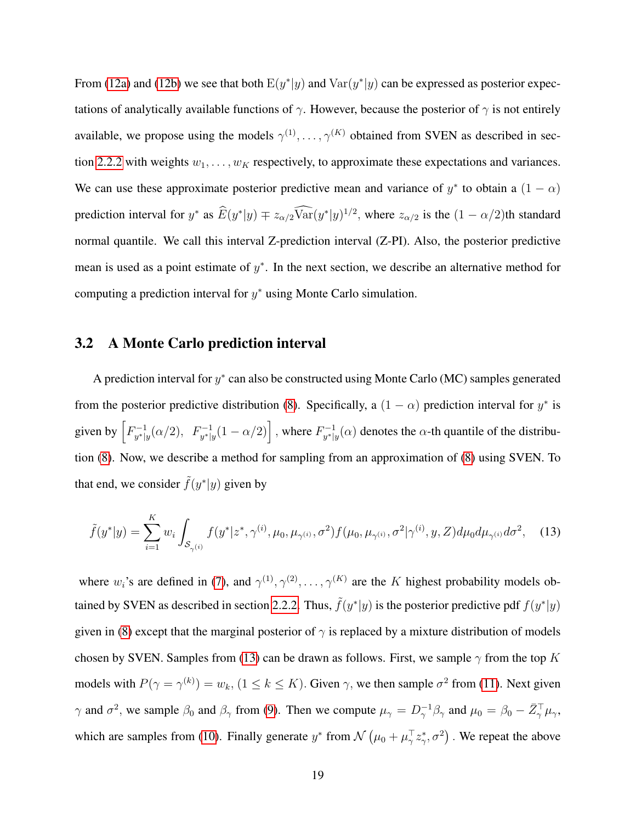From [\(12a\)](#page-17-0) and [\(12b\)](#page-17-1) we see that both  $E(y^*|y)$  and  $Var(y^*|y)$  can be expressed as posterior expectations of analytically available functions of  $\gamma$ . However, because the posterior of  $\gamma$  is not entirely available, we propose using the models  $\gamma^{(1)}, \ldots, \gamma^{(K)}$  obtained from SVEN as described in sec-tion [2.2.2](#page-12-0) with weights  $w_1, \ldots, w_K$  respectively, to approximate these expectations and variances. We can use these approximate posterior predictive mean and variance of  $y^*$  to obtain a  $(1 - \alpha)$ prediction interval for  $y^*$  as  $\hat{E}(y^*|y) \mp z_{\alpha/2} \overline{\text{Var}}(y^*|y)^{1/2}$ , where  $z_{\alpha/2}$  is the  $(1 - \alpha/2)$ th standard normal quantile. We call this interval Z-prediction interval (Z-PI). Also, the posterior predictive mean is used as a point estimate of  $y^*$ . In the next section, we describe an alternative method for computing a prediction interval for  $y^*$  using Monte Carlo simulation.

#### 3.2 A Monte Carlo prediction interval

A prediction interval for  $y^*$  can also be constructed using Monte Carlo (MC) samples generated from the posterior predictive distribution [\(8\)](#page-16-1). Specifically, a  $(1 - \alpha)$  prediction interval for  $y^*$  is given by  $\left[F_{u^*}^{-1}\right]$  $\int_{y^*|y}^{-1} (\alpha/2), F_{y^*|y}^{-1}(1-\alpha/2) \right]$ , where  $F_{y^*|y}^{-1}$  $y_{y^*|y}^{-1}(\alpha)$  denotes the  $\alpha$ -th quantile of the distribution [\(8\)](#page-16-1). Now, we describe a method for sampling from an approximation of [\(8\)](#page-16-1) using SVEN. To that end, we consider  $\tilde{f}(y^*|y)$  given by

<span id="page-18-0"></span>
$$
\tilde{f}(y^*|y) = \sum_{i=1}^K w_i \int_{\mathcal{S}_{\gamma^{(i)}}} f(y^*|z^*, \gamma^{(i)}, \mu_0, \mu_{\gamma^{(i)}}, \sigma^2) f(\mu_0, \mu_{\gamma^{(i)}}, \sigma^2 | \gamma^{(i)}, y, Z) d\mu_0 d\mu_{\gamma^{(i)}} d\sigma^2, \quad (13)
$$

where  $w_i$ 's are defined in [\(7\)](#page-15-0), and  $\gamma^{(1)}, \gamma^{(2)}, \ldots, \gamma^{(K)}$  are the K highest probability models ob-tained by SVEN as described in section [2.2.2.](#page-12-0) Thus,  $\tilde{f}(y^*|y)$  is the posterior predictive pdf  $f(y^*|y)$ given in [\(8\)](#page-16-1) except that the marginal posterior of  $\gamma$  is replaced by a mixture distribution of models chosen by SVEN. Samples from [\(13\)](#page-18-0) can be drawn as follows. First, we sample  $\gamma$  from the top K models with  $P(\gamma = \gamma^{(k)}) = w_k$ ,  $(1 \le k \le K)$ . Given  $\gamma$ , we then sample  $\sigma^2$  from [\(11\)](#page-17-2). Next given  $\gamma$  and  $\sigma^2$ , we sample  $\beta_0$  and  $\beta_\gamma$  from [\(9\)](#page-17-3). Then we compute  $\mu_\gamma = D_\gamma^{-1} \beta_\gamma$  and  $\mu_0 = \beta_0 - \bar{Z}_\gamma^\top \mu_\gamma$ , which are samples from [\(10\)](#page-17-4). Finally generate  $y^*$  from  $\mathcal{N}(\mu_0 + \mu_2^{\top} z^*, \sigma^2)$ . We repeat the above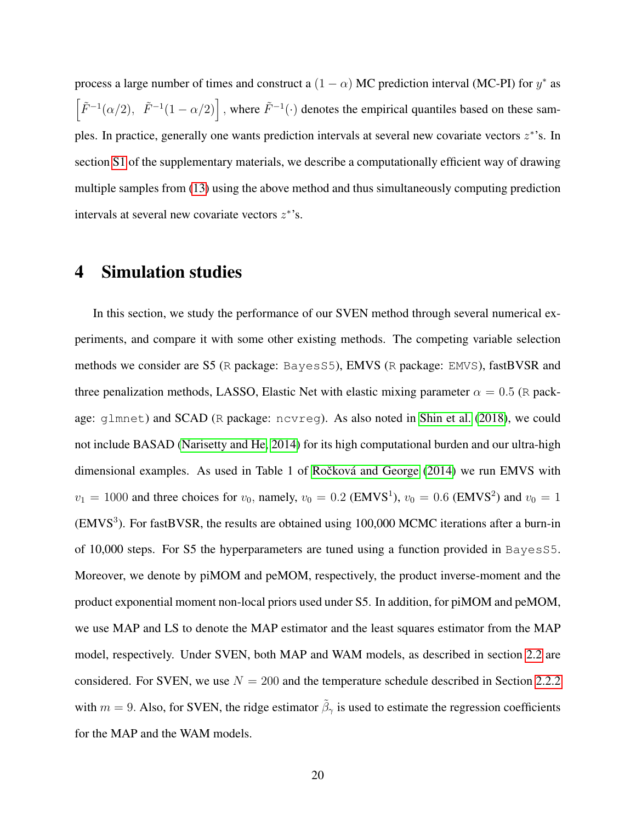process a large number of times and construct a  $(1 - \alpha)$  MC prediction interval (MC-PI) for  $y^*$  as  $\left[\tilde{F}^{-1}(\alpha/2), \ \tilde{F}^{-1}(1-\alpha/2)\right]$ , where  $\tilde{F}^{-1}(\cdot)$  denotes the empirical quantiles based on these samples. In practice, generally one wants prediction intervals at several new covariate vectors  $z^*$ 's. In section [S1](#page-1-0) of the supplementary materials, we describe a computationally efficient way of drawing multiple samples from [\(13\)](#page-18-0) using the above method and thus simultaneously computing prediction intervals at several new covariate vectors  $z^*$ 's.

# <span id="page-19-0"></span>4 Simulation studies

In this section, we study the performance of our SVEN method through several numerical experiments, and compare it with some other existing methods. The competing variable selection methods we consider are S5 (R package: BayesS5), EMVS (R package: EMVS), fastBVSR and three penalization methods, LASSO, Elastic Net with elastic mixing parameter  $\alpha = 0.5$  (R package: glmnet) and SCAD (R package: ncvreg). As also noted in [Shin et al.](#page-33-8) [\(2018\)](#page-33-8), we could not include BASAD [\(Narisetty and He, 2014\)](#page-33-6) for its high computational burden and our ultra-high dimensional examples. As used in Table 1 of Ročková and George [\(2014\)](#page-33-7) we run EMVS with  $v_1 = 1000$  and three choices for  $v_0$ , namely,  $v_0 = 0.2$  (EMVS<sup>1</sup>),  $v_0 = 0.6$  (EMVS<sup>2</sup>) and  $v_0 = 1$ (EMVS<sup>3</sup>). For fastBVSR, the results are obtained using 100,000 MCMC iterations after a burn-in of 10,000 steps. For S5 the hyperparameters are tuned using a function provided in BayesS5. Moreover, we denote by piMOM and peMOM, respectively, the product inverse-moment and the product exponential moment non-local priors used under S5. In addition, for piMOM and peMOM, we use MAP and LS to denote the MAP estimator and the least squares estimator from the MAP model, respectively. Under SVEN, both MAP and WAM models, as described in section [2.2](#page-11-0) are considered. For SVEN, we use  $N = 200$  and the temperature schedule described in Section [2.2.2](#page-12-0) with  $m = 9$ . Also, for SVEN, the ridge estimator  $\tilde{\beta}_{\gamma}$  is used to estimate the regression coefficients for the MAP and the WAM models.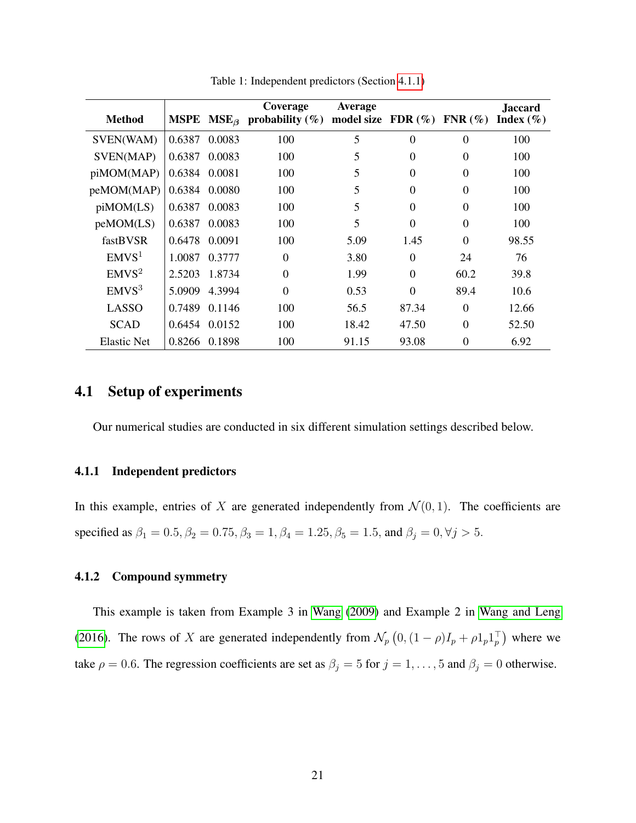<span id="page-20-2"></span>

| <b>Method</b>     |               |               | Coverage<br><b>MSPE</b> $MSE_{\beta}$ probability (%) | Average<br>model size FDR $(\% )$ |              | $FNR(\%)$ | <b>Jaccard</b><br>Index $(\% )$ |
|-------------------|---------------|---------------|-------------------------------------------------------|-----------------------------------|--------------|-----------|---------------------------------|
| SVEN(WAM)         | 0.6387        | 0.0083        | 100                                                   | 5                                 | $\Omega$     | $\theta$  | 100                             |
| SVEN(MAP)         | 0.6387        | 0.0083        | 100                                                   | 5                                 | $\theta$     | $\theta$  | 100                             |
| piMOM(MAP)        | 0.6384 0.0081 |               | 100                                                   | 5                                 | $\Omega$     | $\Omega$  | 100                             |
| peMOM(MAP)        |               | 0.6384 0.0080 | 100                                                   | 5                                 | $\mathbf{0}$ | 0         | 100                             |
| piMOM(LS)         | 0.6387        | 0.0083        | 100                                                   | 5                                 | $\Omega$     | $\Omega$  | 100                             |
| peMOM(LS)         | 0.6387        | 0.0083        | 100                                                   | 5                                 | $\theta$     | $\Omega$  | 100                             |
| fastBVSR          | 0.6478        | 0.0091        | 100                                                   | 5.09                              | 1.45         | $\Omega$  | 98.55                           |
| EMVS <sup>1</sup> | 1.0087        | 0.3777        | $\theta$                                              | 3.80                              | $\Omega$     | 24        | 76                              |
| EMVS <sup>2</sup> | 2.5203        | 1.8734        | $\Omega$                                              | 1.99                              | $\Omega$     | 60.2      | 39.8                            |
| EMVS <sup>3</sup> | 5.0909        | 4.3994        | $\theta$                                              | 0.53                              | $\theta$     | 89.4      | 10.6                            |
| LASSO             | 0.7489        | 0.1146        | 100                                                   | 56.5                              | 87.34        | $\Omega$  | 12.66                           |
| <b>SCAD</b>       |               | 0.6454 0.0152 | 100                                                   | 18.42                             | 47.50        | $\Omega$  | 52.50                           |
| Elastic Net       |               | 0.8266 0.1898 | 100                                                   | 91.15                             | 93.08        | $\Omega$  | 6.92                            |

Table 1: Independent predictors (Section [4.1.1\)](#page-20-0)

## 4.1 Setup of experiments

Our numerical studies are conducted in six different simulation settings described below.

#### <span id="page-20-0"></span>4.1.1 Independent predictors

In this example, entries of X are generated independently from  $\mathcal{N}(0, 1)$ . The coefficients are specified as  $\beta_1 = 0.5, \beta_2 = 0.75, \beta_3 = 1, \beta_4 = 1.25, \beta_5 = 1.5,$  and  $\beta_j = 0, \forall j > 5.$ 

#### <span id="page-20-1"></span>4.1.2 Compound symmetry

This example is taken from Example 3 in [Wang](#page-33-13) [\(2009\)](#page-33-13) and Example 2 in [Wang and Leng](#page-33-9) [\(2016\)](#page-33-9). The rows of X are generated independently from  $\mathcal{N}_p(0, (1 - \rho)I_p + \rho 1_p 1_p^{\top})$  where we take  $\rho = 0.6$ . The regression coefficients are set as  $\beta_j = 5$  for  $j = 1, ..., 5$  and  $\beta_j = 0$  otherwise.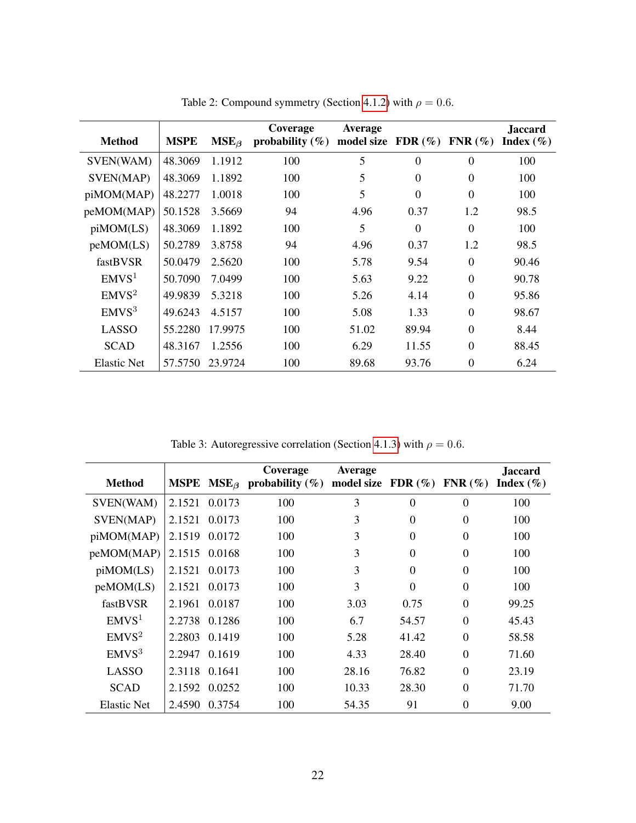| <b>Method</b>      | <b>MSPE</b> | $MSE_{\beta}$ | Coverage<br>probability $(\%)$ | <b>Average</b><br>model size FDR $(\% )$ |          | $FNR(\%)$      | <b>Jaccard</b><br>Index $(\% )$ |
|--------------------|-------------|---------------|--------------------------------|------------------------------------------|----------|----------------|---------------------------------|
| SVEN(WAM)          | 48.3069     | 1.1912        | 100                            | 5                                        | $\theta$ | $\overline{0}$ | 100                             |
| SVEN(MAP)          | 48.3069     | 1.1892        | 100                            | 5                                        | $\Omega$ | $\Omega$       | 100                             |
| piMOM(MAP)         | 48.2277     | 1.0018        | 100                            | 5                                        | $\Omega$ | $\theta$       | 100                             |
| peMOM(MAP)         | 50.1528     | 3.5669        | 94                             | 4.96                                     | 0.37     | 1.2            | 98.5                            |
| piMOM(LS)          | 48.3069     | 1.1892        | 100                            | 5                                        | $\Omega$ | $\Omega$       | 100                             |
| peMOM(LS)          | 50.2789     | 3.8758        | 94                             | 4.96                                     | 0.37     | 1.2            | 98.5                            |
| fastBVSR           | 50.0479     | 2.5620        | 100                            | 5.78                                     | 9.54     | $\theta$       | 90.46                           |
| EMVS <sup>1</sup>  | 50.7090     | 7.0499        | 100                            | 5.63                                     | 9.22     | $\theta$       | 90.78                           |
| EMVS <sup>2</sup>  | 49.9839     | 5.3218        | 100                            | 5.26                                     | 4.14     | $\theta$       | 95.86                           |
| EMVS <sup>3</sup>  | 49.6243     | 4.5157        | 100                            | 5.08                                     | 1.33     | $\theta$       | 98.67                           |
| <b>LASSO</b>       | 55.2280     | 17.9975       | 100                            | 51.02                                    | 89.94    | $\Omega$       | 8.44                            |
| <b>SCAD</b>        | 48.3167     | 1.2556        | 100                            | 6.29                                     | 11.55    | $\theta$       | 88.45                           |
| <b>Elastic Net</b> | 57.5750     | 23.9724       | 100                            | 89.68                                    | 93.76    | $\theta$       | 6.24                            |

Table 2: Compound symmetry (Section [4.1.2\)](#page-20-1) with  $\rho = 0.6$ .

Table 3: Autoregressive correlation (Section [4.1.3\)](#page-23-0) with  $\rho = 0.6$ .

| <b>Method</b>     |        |               | Coverage<br><b>MSPE</b> $MSE_{\beta}$ probability (%) | Average<br>model size FDR $(\%)$ FNR $(\%)$ |              |                | <b>Jaccard</b><br>Index $(\% )$ |
|-------------------|--------|---------------|-------------------------------------------------------|---------------------------------------------|--------------|----------------|---------------------------------|
| SVEN(WAM)         | 2.1521 | 0.0173        | 100                                                   | 3                                           | $\theta$     | $\overline{0}$ | 100                             |
| SVEN(MAP)         | 2.1521 | 0.0173        | 100                                                   | 3                                           | $\theta$     | $\theta$       | 100                             |
| piMOM(MAP)        | 2.1519 | 0.0172        | 100                                                   | 3                                           | $\Omega$     | $\Omega$       | 100                             |
| peMOM(MAP)        |        | 2.1515 0.0168 | 100                                                   | 3                                           | $\mathbf{0}$ | $\theta$       | 100                             |
| piMOM(LS)         | 2.1521 | 0.0173        | 100                                                   | 3                                           | $\Omega$     | $\Omega$       | 100                             |
| peMOM(LS)         | 2.1521 | 0.0173        | 100                                                   | 3                                           | $\theta$     | $\overline{0}$ | 100                             |
| fastBVSR          | 2.1961 | 0.0187        | 100                                                   | 3.03                                        | 0.75         | $\Omega$       | 99.25                           |
| EMVS <sup>1</sup> | 2.2738 | 0.1286        | 100                                                   | 6.7                                         | 54.57        | $\theta$       | 45.43                           |
| EMVS <sup>2</sup> | 2.2803 | 0.1419        | 100                                                   | 5.28                                        | 41.42        | $\Omega$       | 58.58                           |
| EMVS <sup>3</sup> | 2.2947 | 0.1619        | 100                                                   | 4.33                                        | 28.40        | $\Omega$       | 71.60                           |
| LASSO             |        | 2.3118 0.1641 | 100                                                   | 28.16                                       | 76.82        | $\Omega$       | 23.19                           |
| <b>SCAD</b>       | 2.1592 | 0.0252        | 100                                                   | 10.33                                       | 28.30        | $\Omega$       | 71.70                           |
| Elastic Net       | 2.4590 | 0.3754        | 100                                                   | 54.35                                       | 91           | $\theta$       | 9.00                            |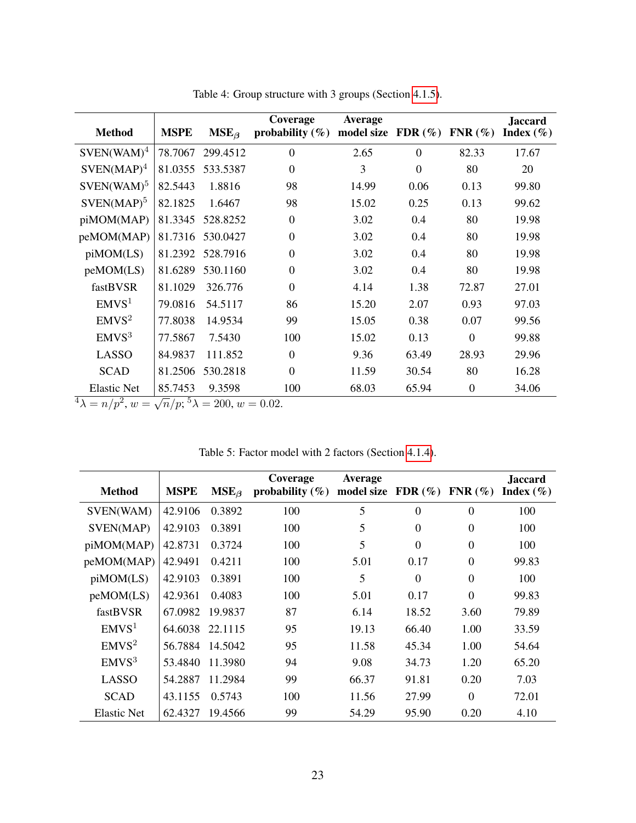<span id="page-22-1"></span>

| <b>Method</b>      | <b>MSPE</b> | $MSE_{\beta}$ | Coverage<br>probability $(\%)$ | <b>Average</b><br>model size | FDR $(\%)$ FNR $(\%)$ |                | <b>Jaccard</b><br>Index $(\% )$ |
|--------------------|-------------|---------------|--------------------------------|------------------------------|-----------------------|----------------|---------------------------------|
| $SVEN(WAM)^4$      | 78.7067     | 299.4512      | $\theta$                       | 2.65                         | $\theta$              | 82.33          | 17.67                           |
| $SVEN(MAP)^4$      | 81.0355     | 533.5387      | $\theta$                       | 3                            | $\theta$              | 80             | 20                              |
| $SVEN(WAM)^5$      | 82.5443     | 1.8816        | 98                             | 14.99                        | 0.06                  | 0.13           | 99.80                           |
| $SVEN(MAP)^5$      | 82.1825     | 1.6467        | 98                             | 15.02                        | 0.25                  | 0.13           | 99.62                           |
| piMOM(MAP)         | 81.3345     | 528.8252      | $\Omega$                       | 3.02                         | 0.4                   | 80             | 19.98                           |
| peMOM(MAP)         | 81.7316     | 530.0427      | $\theta$                       | 3.02                         | 0.4                   | 80             | 19.98                           |
| piMOM(LS)          | 81.2392     | 528.7916      | $\theta$                       | 3.02                         | 0.4                   | 80             | 19.98                           |
| peMOM(LS)          | 81.6289     | 530.1160      | $\theta$                       | 3.02                         | 0.4                   | 80             | 19.98                           |
| fastBVSR           | 81.1029     | 326.776       | $\theta$                       | 4.14                         | 1.38                  | 72.87          | 27.01                           |
| EMVS <sup>1</sup>  | 79.0816     | 54.5117       | 86                             | 15.20                        | 2.07                  | 0.93           | 97.03                           |
| EMVS <sup>2</sup>  | 77.8038     | 14.9534       | 99                             | 15.05                        | 0.38                  | 0.07           | 99.56                           |
| EMVS <sup>3</sup>  | 77.5867     | 7.5430        | 100                            | 15.02                        | 0.13                  | $\theta$       | 99.88                           |
| <b>LASSO</b>       | 84.9837     | 111.852       | $\theta$                       | 9.36                         | 63.49                 | 28.93          | 29.96                           |
| <b>SCAD</b>        | 81.2506     | 530.2818      | $\Omega$                       | 11.59                        | 30.54                 | 80             | 16.28                           |
| <b>Elastic Net</b> | 85.7453     | 9.3598        | 100                            | 68.03                        | 65.94                 | $\overline{0}$ | 34.06                           |

Table 4: Group structure with 3 groups (Section [4.1.5\)](#page-24-0).

**Example 180:**  $\sqrt{n}$  (p):  $\sqrt[3]{\lambda} = 200$ ,  $w = 0.02$ .

<span id="page-22-0"></span>

|                    |             |               | Coverage            | <b>Average</b>       |                |                | <b>Jaccard</b> |
|--------------------|-------------|---------------|---------------------|----------------------|----------------|----------------|----------------|
| <b>Method</b>      | <b>MSPE</b> | $MSE_{\beta}$ | probability $(\% )$ | model size $FDR(\%)$ |                | $FNR(\%)$      | Index $(\% )$  |
| SVEN(WAM)          | 42.9106     | 0.3892        | 100                 | 5                    | $\overline{0}$ | $\theta$       | 100            |
| SVEN(MAP)          | 42.9103     | 0.3891        | 100                 | 5                    | $\Omega$       | $\overline{0}$ | 100            |
| piMOM(MAP)         | 42.8731     | 0.3724        | 100                 | 5                    | $\Omega$       | $\Omega$       | 100            |
| peMOM(MAP)         | 42.9491     | 0.4211        | 100                 | 5.01                 | 0.17           | $\overline{0}$ | 99.83          |
| piMOM(LS)          | 42.9103     | 0.3891        | 100                 | 5                    | $\Omega$       | $\Omega$       | 100            |
| peMOM(LS)          | 42.9361     | 0.4083        | 100                 | 5.01                 | 0.17           | $\theta$       | 99.83          |
| fastBVSR           | 67.0982     | 19.9837       | 87                  | 6.14                 | 18.52          | 3.60           | 79.89          |
| EMVS <sup>1</sup>  | 64.6038     | 22.1115       | 95                  | 19.13                | 66.40          | 1.00           | 33.59          |
| EMVS <sup>2</sup>  | 56.7884     | 14.5042       | 95                  | 11.58                | 45.34          | 1.00           | 54.64          |
| EMVS <sup>3</sup>  | 53.4840     | 11.3980       | 94                  | 9.08                 | 34.73          | 1.20           | 65.20          |
| LASSO              | 54.2887     | 11.2984       | 99                  | 66.37                | 91.81          | 0.20           | 7.03           |
| <b>SCAD</b>        | 43.1155     | 0.5743        | 100                 | 11.56                | 27.99          | $\Omega$       | 72.01          |
| <b>Elastic Net</b> | 62.4327     | 19.4566       | 99                  | 54.29                | 95.90          | 0.20           | 4.10           |

Table 5: Factor model with 2 factors (Section [4.1.4\)](#page-23-1).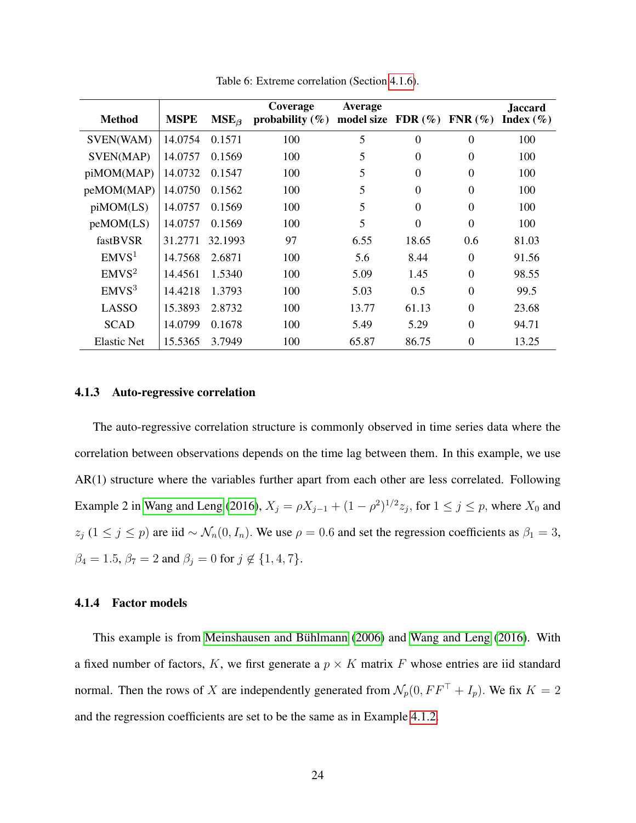<span id="page-23-2"></span>

| <b>Method</b>      | <b>MSPE</b> | $MSE_{\beta}$ | Coverage<br>probability $(\%)$ | <b>Average</b><br>model size | FDR $(\%)$ FNR $(\%)$ |          | Jaccard<br>Index $(\% )$ |
|--------------------|-------------|---------------|--------------------------------|------------------------------|-----------------------|----------|--------------------------|
| SVEN(WAM)          | 14.0754     | 0.1571        | 100                            | 5                            | $\theta$              | $\theta$ | 100                      |
| SVEN(MAP)          | 14.0757     | 0.1569        | 100                            | 5                            | $\Omega$              | $\theta$ | 100                      |
| piMOM(MAP)         | 14.0732     | 0.1547        | 100                            | 5                            | $\Omega$              | $\theta$ | 100                      |
| peMOM(MAP)         | 14.0750     | 0.1562        | 100                            | 5                            | $\Omega$              | $\theta$ | 100                      |
| piMOM(LS)          | 14.0757     | 0.1569        | 100                            | 5                            | $\Omega$              | $\Omega$ | 100                      |
| peMOM(LS)          | 14.0757     | 0.1569        | 100                            | 5                            | $\theta$              | $\theta$ | 100                      |
| fastBVSR           | 31.2771     | 32.1993       | 97                             | 6.55                         | 18.65                 | 0.6      | 81.03                    |
| EMVS <sup>1</sup>  | 14.7568     | 2.6871        | 100                            | 5.6                          | 8.44                  | $\theta$ | 91.56                    |
| EMVS <sup>2</sup>  | 14.4561     | 1.5340        | 100                            | 5.09                         | 1.45                  | $\Omega$ | 98.55                    |
| EMVS <sup>3</sup>  | 14.4218     | 1.3793        | 100                            | 5.03                         | 0.5                   | $\theta$ | 99.5                     |
| <b>LASSO</b>       | 15.3893     | 2.8732        | 100                            | 13.77                        | 61.13                 | $\Omega$ | 23.68                    |
| <b>SCAD</b>        | 14.0799     | 0.1678        | 100                            | 5.49                         | 5.29                  | $\theta$ | 94.71                    |
| <b>Elastic Net</b> | 15.5365     | 3.7949        | 100                            | 65.87                        | 86.75                 | $\theta$ | 13.25                    |

Table 6: Extreme correlation (Section [4.1.6\)](#page-24-1).

#### <span id="page-23-0"></span>4.1.3 Auto-regressive correlation

The auto-regressive correlation structure is commonly observed in time series data where the correlation between observations depends on the time lag between them. In this example, we use AR(1) structure where the variables further apart from each other are less correlated. Following Example 2 in [Wang and Leng](#page-33-9) [\(2016\)](#page-33-9),  $X_j = \rho X_{j-1} + (1 - \rho^2)^{1/2} z_j$ , for  $1 \le j \le p$ , where  $X_0$  and  $z_j$  (1 ≤ j ≤ p) are iid ~  $\mathcal{N}_n(0, I_n)$ . We use  $\rho = 0.6$  and set the regression coefficients as  $\beta_1 = 3$ ,  $\beta_4 = 1.5$ ,  $\beta_7 = 2$  and  $\beta_j = 0$  for  $j \notin \{1, 4, 7\}.$ 

#### <span id="page-23-1"></span>4.1.4 Factor models

This example is from Meinshausen and Bühlmann [\(2006\)](#page-33-14) and [Wang and Leng](#page-33-9) [\(2016\)](#page-33-9). With a fixed number of factors,  $K$ , we first generate a  $p \times K$  matrix F whose entries are iid standard normal. Then the rows of X are independently generated from  $\mathcal{N}_p(0, FF^\top + I_p)$ . We fix  $K = 2$ and the regression coefficients are set to be the same as in Example [4.1.2.](#page-20-1)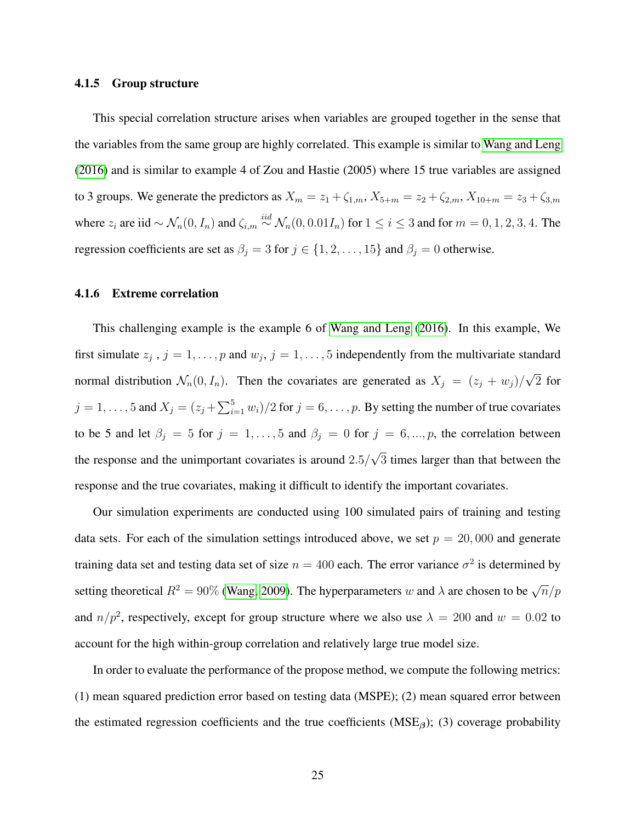#### <span id="page-24-0"></span>4.1.5 Group structure

This special correlation structure arises when variables are grouped together in the sense that the variables from the same group are highly correlated. This example is similar to [Wang and Leng](#page-33-9) [\(2016\)](#page-33-9) and is similar to example 4 of Zou and Hastie (2005) where 15 true variables are assigned to 3 groups. We generate the predictors as  $X_m = z_1 + \zeta_{1,m}$ ,  $X_{5+m} = z_2 + \zeta_{2,m}$ ,  $X_{10+m} = z_3 + \zeta_{3,m}$ where  $z_i$  are iid  $\sim \mathcal{N}_n(0, I_n)$  and  $\zeta_{i,m} \stackrel{iid}{\sim} \mathcal{N}_n(0, 0.01I_n)$  for  $1 \le i \le 3$  and for  $m = 0, 1, 2, 3, 4$ . The regression coefficients are set as  $\beta_j = 3$  for  $j \in \{1, 2, ..., 15\}$  and  $\beta_j = 0$  otherwise.

#### <span id="page-24-1"></span>4.1.6 Extreme correlation

This challenging example is the example 6 of [Wang and Leng](#page-33-9) [\(2016\)](#page-33-9). In this example, We first simulate  $z_j$ ,  $j = 1, \ldots, p$  and  $w_j$ ,  $j = 1, \ldots, 5$  independently from the multivariate standard normal distribution  $\mathcal{N}_n(0, I_n)$ . Then the covariates are generated as  $X_j = (z_j + w_j)/j$ √ 2 for  $j = 1, \ldots, 5$  and  $X_j = (z_j + \sum_{i=1}^5 w_i)/2$  for  $j = 6, \ldots, p$ . By setting the number of true covariates to be 5 and let  $\beta_j = 5$  for  $j = 1, ..., 5$  and  $\beta_j = 0$  for  $j = 6, ..., p$ , the correlation between the response and the unimportant covariates is around 2.5/ √ 3 times larger than that between the response and the true covariates, making it difficult to identify the important covariates.

Our simulation experiments are conducted using 100 simulated pairs of training and testing data sets. For each of the simulation settings introduced above, we set  $p = 20,000$  and generate training data set and testing data set of size  $n = 400$  each. The error variance  $\sigma^2$  is determined by setting theoretical  $R^2 = 90\%$  [\(Wang, 2009\)](#page-33-13). The hyperparameters w and  $\lambda$  are chosen to be  $\sqrt{n}/p$ and  $n/p^2$ , respectively, except for group structure where we also use  $\lambda = 200$  and  $w = 0.02$  to account for the high within-group correlation and relatively large true model size.

In order to evaluate the performance of the propose method, we compute the following metrics: (1) mean squared prediction error based on testing data (MSPE); (2) mean squared error between the estimated regression coefficients and the true coefficients ( $MSE<sub>β</sub>$ ); (3) coverage probability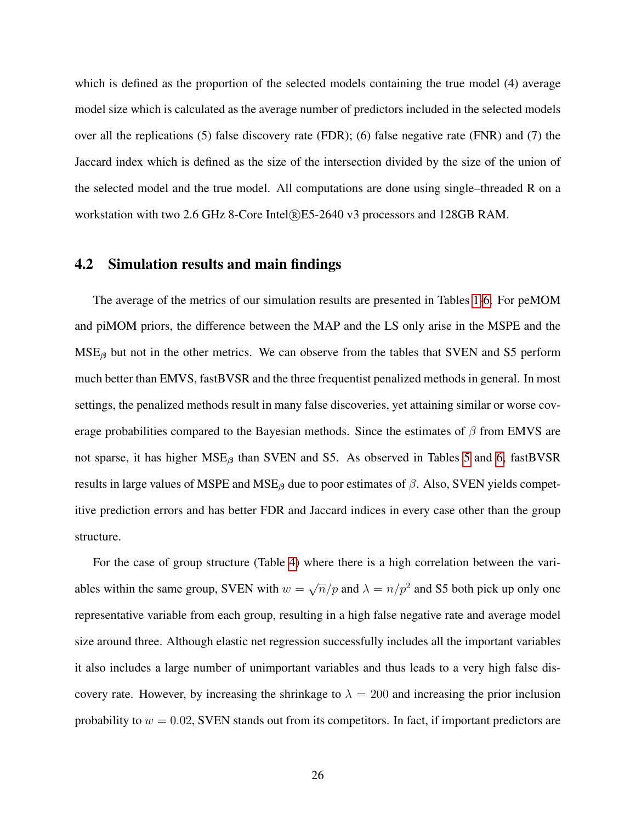which is defined as the proportion of the selected models containing the true model (4) average model size which is calculated as the average number of predictors included in the selected models over all the replications (5) false discovery rate (FDR); (6) false negative rate (FNR) and (7) the Jaccard index which is defined as the size of the intersection divided by the size of the union of the selected model and the true model. All computations are done using single–threaded R on a workstation with two 2.6 GHz 8-Core Intel®E5-2640 v3 processors and 128GB RAM.

#### <span id="page-25-0"></span>4.2 Simulation results and main findings

The average of the metrics of our simulation results are presented in Tables [1-](#page-20-2)[6.](#page-23-2) For peMOM and piMOM priors, the difference between the MAP and the LS only arise in the MSPE and the  $MSE<sub>β</sub>$  but not in the other metrics. We can observe from the tables that SVEN and S5 perform much better than EMVS, fastBVSR and the three frequentist penalized methods in general. In most settings, the penalized methods result in many false discoveries, yet attaining similar or worse coverage probabilities compared to the Bayesian methods. Since the estimates of  $\beta$  from EMVS are not sparse, it has higher  $MSE_\beta$  than SVEN and S5. As observed in Tables [5](#page-22-0) and [6,](#page-23-2) fastBVSR results in large values of MSPE and MSE<sub>β</sub> due to poor estimates of  $\beta$ . Also, SVEN yields competitive prediction errors and has better FDR and Jaccard indices in every case other than the group structure.

For the case of group structure (Table [4\)](#page-22-1) where there is a high correlation between the variables within the same group, SVEN with  $w =$  $\sqrt{n}/p$  and  $\lambda = n/p^2$  and S5 both pick up only one representative variable from each group, resulting in a high false negative rate and average model size around three. Although elastic net regression successfully includes all the important variables it also includes a large number of unimportant variables and thus leads to a very high false discovery rate. However, by increasing the shrinkage to  $\lambda = 200$  and increasing the prior inclusion probability to  $w = 0.02$ , SVEN stands out from its competitors. In fact, if important predictors are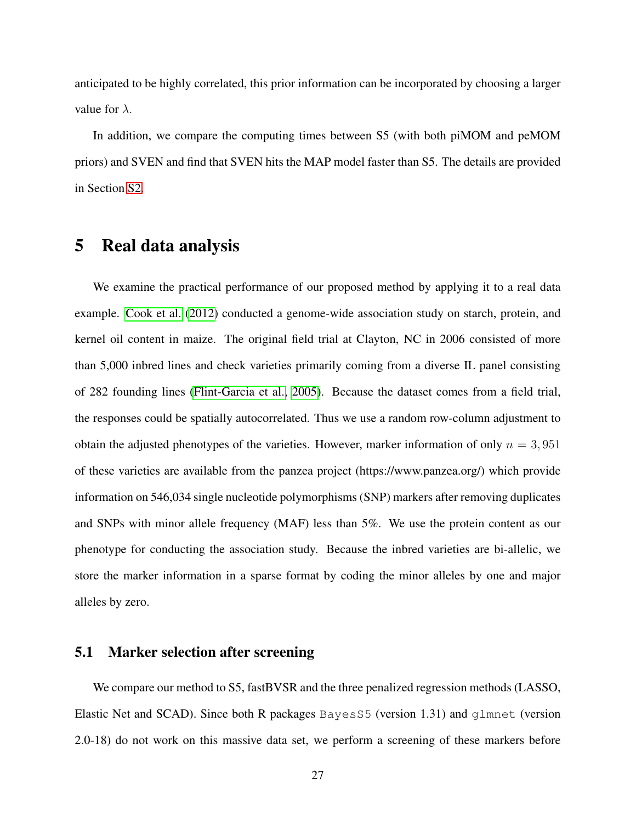anticipated to be highly correlated, this prior information can be incorporated by choosing a larger value for  $\lambda$ .

In addition, we compare the computing times between S5 (with both piMOM and peMOM priors) and SVEN and find that SVEN hits the MAP model faster than S5. The details are provided in Section [S2.](#page-4-0)

# <span id="page-26-0"></span>5 Real data analysis

We examine the practical performance of our proposed method by applying it to a real data example. [Cook et al.](#page-32-14) [\(2012\)](#page-32-14) conducted a genome-wide association study on starch, protein, and kernel oil content in maize. The original field trial at Clayton, NC in 2006 consisted of more than 5,000 inbred lines and check varieties primarily coming from a diverse IL panel consisting of 282 founding lines [\(Flint-Garcia et al., 2005\)](#page-32-15). Because the dataset comes from a field trial, the responses could be spatially autocorrelated. Thus we use a random row-column adjustment to obtain the adjusted phenotypes of the varieties. However, marker information of only  $n = 3,951$ of these varieties are available from the panzea project (https://www.panzea.org/) which provide information on 546,034 single nucleotide polymorphisms (SNP) markers after removing duplicates and SNPs with minor allele frequency (MAF) less than 5%. We use the protein content as our phenotype for conducting the association study. Because the inbred varieties are bi-allelic, we store the marker information in a sparse format by coding the minor alleles by one and major alleles by zero.

## <span id="page-26-1"></span>5.1 Marker selection after screening

We compare our method to S5, fastBVSR and the three penalized regression methods (LASSO, Elastic Net and SCAD). Since both R packages BayesS5 (version 1.31) and glmnet (version 2.0-18) do not work on this massive data set, we perform a screening of these markers before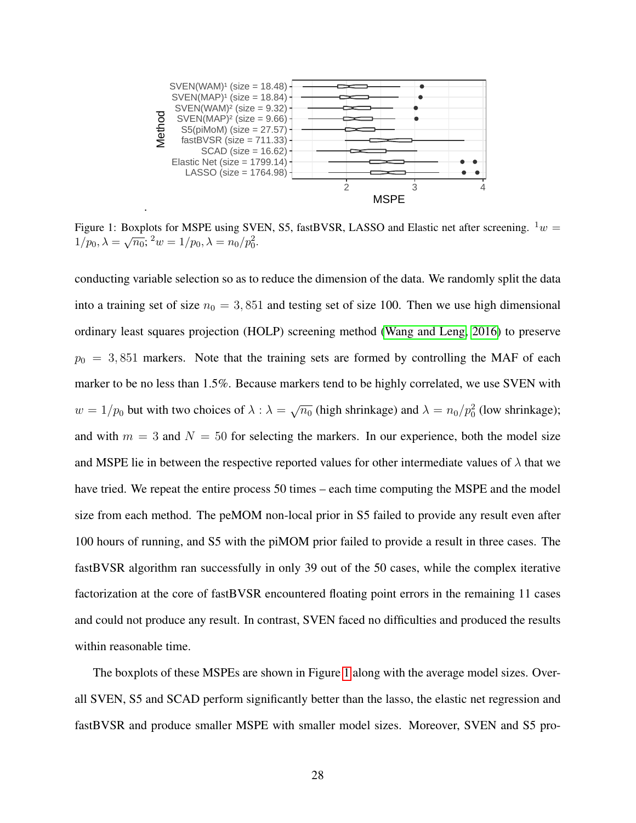<span id="page-27-0"></span>

Figure 1: Boxplots for MSPE using SVEN, S5, fastBVSR, LASSO and Elastic net after screening.  $1_w =$ 1/p<sub>0</sub>,  $\lambda = \sqrt{n_0}$ ; <sup>2</sup>w = 1/p<sub>0</sub>,  $\lambda = n_0/p_0^2$ .

conducting variable selection so as to reduce the dimension of the data. We randomly split the data into a training set of size  $n_0 = 3,851$  and testing set of size 100. Then we use high dimensional ordinary least squares projection (HOLP) screening method [\(Wang and Leng, 2016\)](#page-33-9) to preserve  $p_0 = 3,851$  markers. Note that the training sets are formed by controlling the MAF of each marker to be no less than 1.5%. Because markers tend to be highly correlated, we use SVEN with  $w = 1/p_0$  but with two choices of  $\lambda : \lambda = \sqrt{n_0}$  (high shrinkage) and  $\lambda = n_0/p_0^2$  (low shrinkage); and with  $m = 3$  and  $N = 50$  for selecting the markers. In our experience, both the model size and MSPE lie in between the respective reported values for other intermediate values of  $\lambda$  that we have tried. We repeat the entire process 50 times – each time computing the MSPE and the model size from each method. The peMOM non-local prior in S5 failed to provide any result even after 100 hours of running, and S5 with the piMOM prior failed to provide a result in three cases. The fastBVSR algorithm ran successfully in only 39 out of the 50 cases, while the complex iterative factorization at the core of fastBVSR encountered floating point errors in the remaining 11 cases and could not produce any result. In contrast, SVEN faced no difficulties and produced the results within reasonable time.

The boxplots of these MSPEs are shown in Figure [1](#page-27-0) along with the average model sizes. Overall SVEN, S5 and SCAD perform significantly better than the lasso, the elastic net regression and fastBVSR and produce smaller MSPE with smaller model sizes. Moreover, SVEN and S5 pro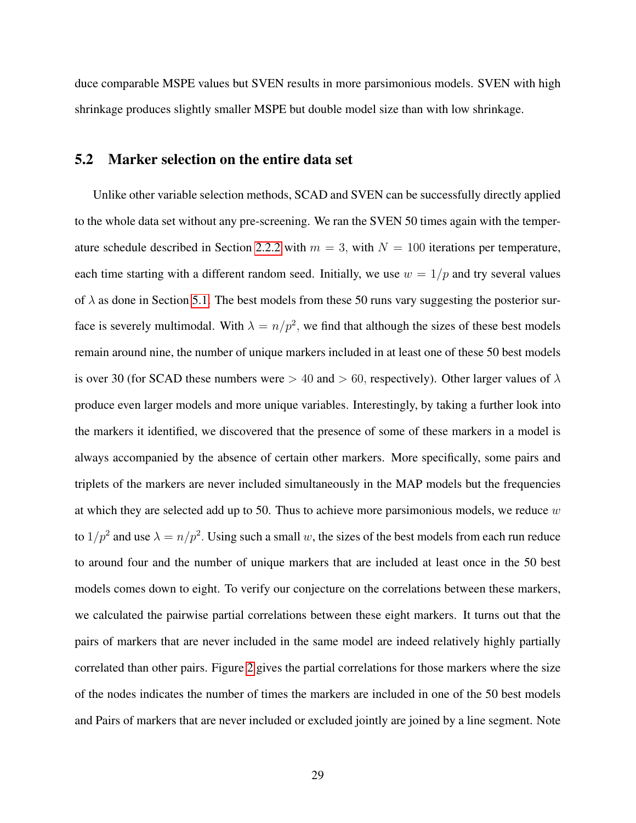duce comparable MSPE values but SVEN results in more parsimonious models. SVEN with high shrinkage produces slightly smaller MSPE but double model size than with low shrinkage.

#### 5.2 Marker selection on the entire data set

Unlike other variable selection methods, SCAD and SVEN can be successfully directly applied to the whole data set without any pre-screening. We ran the SVEN 50 times again with the temper-ature schedule described in Section [2.2.2](#page-12-0) with  $m = 3$ , with  $N = 100$  iterations per temperature, each time starting with a different random seed. Initially, we use  $w = 1/p$  and try several values of  $\lambda$  as done in Section [5.1.](#page-26-1) The best models from these 50 runs vary suggesting the posterior surface is severely multimodal. With  $\lambda = n/p^2$ , we find that although the sizes of these best models remain around nine, the number of unique markers included in at least one of these 50 best models is over 30 (for SCAD these numbers were  $> 40$  and  $> 60$ , respectively). Other larger values of  $\lambda$ produce even larger models and more unique variables. Interestingly, by taking a further look into the markers it identified, we discovered that the presence of some of these markers in a model is always accompanied by the absence of certain other markers. More specifically, some pairs and triplets of the markers are never included simultaneously in the MAP models but the frequencies at which they are selected add up to 50. Thus to achieve more parsimonious models, we reduce  $w$ to  $1/p^2$  and use  $\lambda = n/p^2$ . Using such a small w, the sizes of the best models from each run reduce to around four and the number of unique markers that are included at least once in the 50 best models comes down to eight. To verify our conjecture on the correlations between these markers, we calculated the pairwise partial correlations between these eight markers. It turns out that the pairs of markers that are never included in the same model are indeed relatively highly partially correlated than other pairs. Figure [2](#page-29-0) gives the partial correlations for those markers where the size of the nodes indicates the number of times the markers are included in one of the 50 best models and Pairs of markers that are never included or excluded jointly are joined by a line segment. Note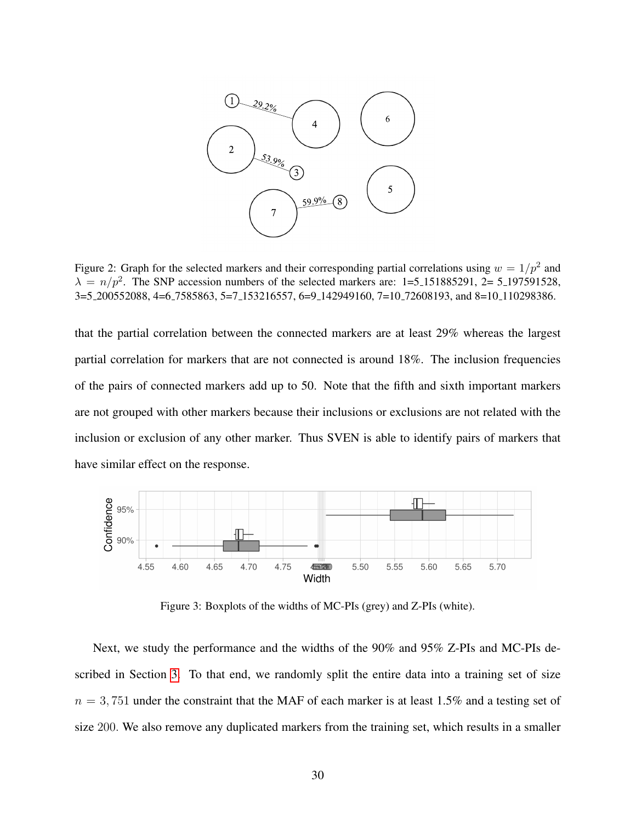<span id="page-29-0"></span>

Figure 2: Graph for the selected markers and their corresponding partial correlations using  $w = 1/p^2$  and  $\lambda = n/p^2$ . The SNP accession numbers of the selected markers are: 1=5.151885291, 2= 5.197591528, 3=5 200552088, 4=6 7585863, 5=7 153216557, 6=9 142949160, 7=10 72608193, and 8=10 110298386.

that the partial correlation between the connected markers are at least 29% whereas the largest partial correlation for markers that are not connected is around 18%. The inclusion frequencies of the pairs of connected markers add up to 50. Note that the fifth and sixth important markers are not grouped with other markers because their inclusions or exclusions are not related with the inclusion or exclusion of any other marker. Thus SVEN is able to identify pairs of markers that have similar effect on the response.

<span id="page-29-1"></span>

Figure 3: Boxplots of the widths of MC-PIs (grey) and Z-PIs (white).

Next, we study the performance and the widths of the 90% and 95% Z-PIs and MC-PIs described in Section [3.](#page-16-0) To that end, we randomly split the entire data into a training set of size  $n = 3,751$  under the constraint that the MAF of each marker is at least 1.5% and a testing set of size 200. We also remove any duplicated markers from the training set, which results in a smaller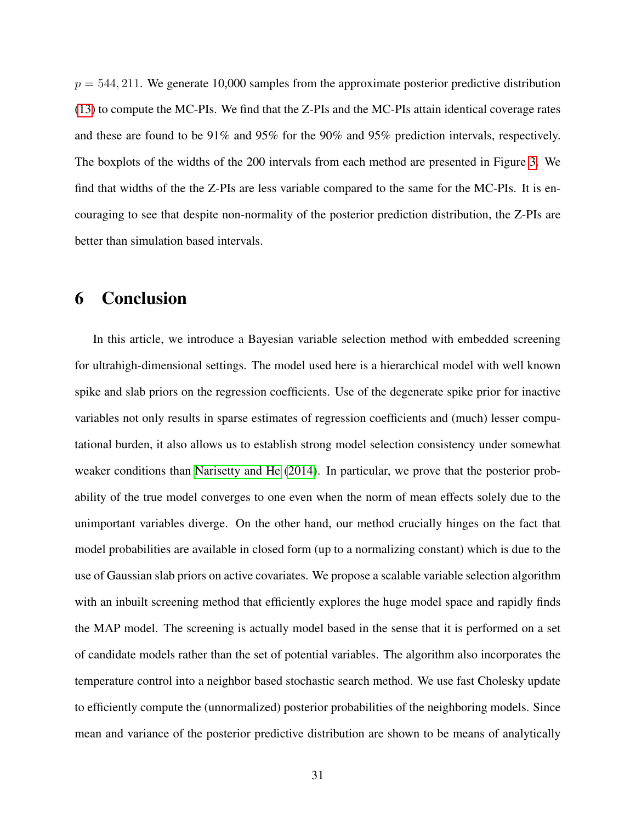$p = 544, 211$ . We generate 10,000 samples from the approximate posterior predictive distribution [\(13\)](#page-18-0) to compute the MC-PIs. We find that the Z-PIs and the MC-PIs attain identical coverage rates and these are found to be 91% and 95% for the 90% and 95% prediction intervals, respectively. The boxplots of the widths of the 200 intervals from each method are presented in Figure [3.](#page-29-1) We find that widths of the the Z-PIs are less variable compared to the same for the MC-PIs. It is encouraging to see that despite non-normality of the posterior prediction distribution, the Z-PIs are better than simulation based intervals.

# <span id="page-30-0"></span>6 Conclusion

In this article, we introduce a Bayesian variable selection method with embedded screening for ultrahigh-dimensional settings. The model used here is a hierarchical model with well known spike and slab priors on the regression coefficients. Use of the degenerate spike prior for inactive variables not only results in sparse estimates of regression coefficients and (much) lesser computational burden, it also allows us to establish strong model selection consistency under somewhat weaker conditions than [Narisetty and He](#page-33-6) [\(2014\)](#page-33-6). In particular, we prove that the posterior probability of the true model converges to one even when the norm of mean effects solely due to the unimportant variables diverge. On the other hand, our method crucially hinges on the fact that model probabilities are available in closed form (up to a normalizing constant) which is due to the use of Gaussian slab priors on active covariates. We propose a scalable variable selection algorithm with an inbuilt screening method that efficiently explores the huge model space and rapidly finds the MAP model. The screening is actually model based in the sense that it is performed on a set of candidate models rather than the set of potential variables. The algorithm also incorporates the temperature control into a neighbor based stochastic search method. We use fast Cholesky update to efficiently compute the (unnormalized) posterior probabilities of the neighboring models. Since mean and variance of the posterior predictive distribution are shown to be means of analytically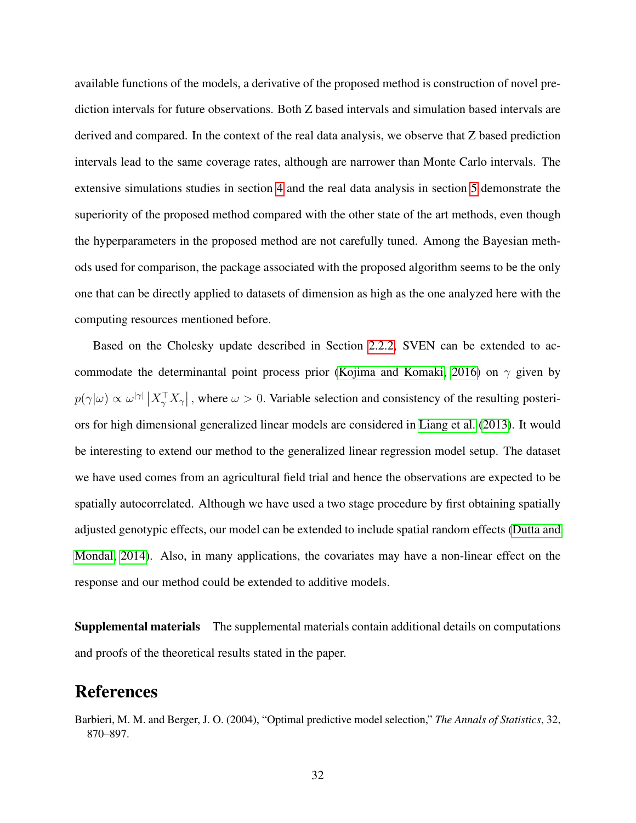available functions of the models, a derivative of the proposed method is construction of novel prediction intervals for future observations. Both Z based intervals and simulation based intervals are derived and compared. In the context of the real data analysis, we observe that Z based prediction intervals lead to the same coverage rates, although are narrower than Monte Carlo intervals. The extensive simulations studies in section [4](#page-19-0) and the real data analysis in section [5](#page-26-0) demonstrate the superiority of the proposed method compared with the other state of the art methods, even though the hyperparameters in the proposed method are not carefully tuned. Among the Bayesian methods used for comparison, the package associated with the proposed algorithm seems to be the only one that can be directly applied to datasets of dimension as high as the one analyzed here with the computing resources mentioned before.

Based on the Cholesky update described in Section [2.2.2,](#page-12-0) SVEN can be extended to ac-commodate the determinantal point process prior [\(Kojima and Komaki, 2016\)](#page-33-15) on  $\gamma$  given by  $p(\gamma|\omega) \propto \omega^{|\gamma|} |X_{\gamma}^{\top}X_{\gamma}|$ , where  $\omega > 0$ . Variable selection and consistency of the resulting posteriors for high dimensional generalized linear models are considered in [Liang et al.](#page-33-16) [\(2013\)](#page-33-16). It would be interesting to extend our method to the generalized linear regression model setup. The dataset we have used comes from an agricultural field trial and hence the observations are expected to be spatially autocorrelated. Although we have used a two stage procedure by first obtaining spatially adjusted genotypic effects, our model can be extended to include spatial random effects [\(Dutta and](#page-32-16) [Mondal, 2014\)](#page-32-16). Also, in many applications, the covariates may have a non-linear effect on the response and our method could be extended to additive models.

Supplemental materials The supplemental materials contain additional details on computations and proofs of the theoretical results stated in the paper.

# References

<span id="page-31-0"></span>Barbieri, M. M. and Berger, J. O. (2004), "Optimal predictive model selection," *The Annals of Statistics*, 32, 870–897.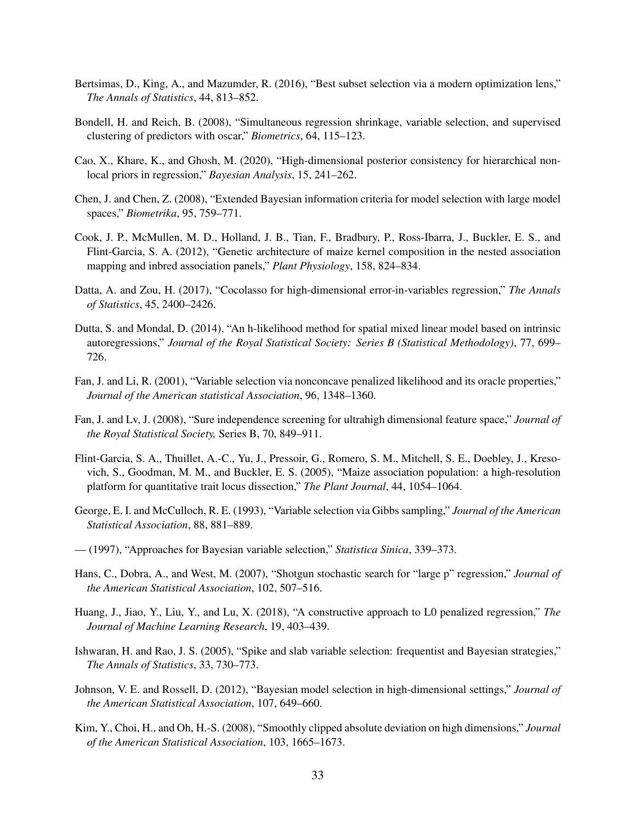- <span id="page-32-4"></span>Bertsimas, D., King, A., and Mazumder, R. (2016), "Best subset selection via a modern optimization lens," *The Annals of Statistics*, 44, 813–852.
- <span id="page-32-3"></span>Bondell, H. and Reich, B. (2008), "Simultaneous regression shrinkage, variable selection, and supervised clustering of predictors with oscar," *Biometrics*, 64, 115–123.
- <span id="page-32-12"></span>Cao, X., Khare, K., and Ghosh, M. (2020), "High-dimensional posterior consistency for hierarchical nonlocal priors in regression," *Bayesian Analysis*, 15, 241–262.
- <span id="page-32-13"></span>Chen, J. and Chen, Z. (2008), "Extended Bayesian information criteria for model selection with large model spaces," *Biometrika*, 95, 759–771.
- <span id="page-32-14"></span>Cook, J. P., McMullen, M. D., Holland, J. B., Tian, F., Bradbury, P., Ross-Ibarra, J., Buckler, E. S., and Flint-Garcia, S. A. (2012), "Genetic architecture of maize kernel composition in the nested association mapping and inbred association panels," *Plant Physiology*, 158, 824–834.
- <span id="page-32-0"></span>Datta, A. and Zou, H. (2017), "Cocolasso for high-dimensional error-in-variables regression," *The Annals of Statistics*, 45, 2400–2426.
- <span id="page-32-16"></span>Dutta, S. and Mondal, D. (2014), "An h-likelihood method for spatial mixed linear model based on intrinsic autoregressions," *Journal of the Royal Statistical Society: Series B (Statistical Methodology)*, 77, 699– 726.
- <span id="page-32-1"></span>Fan, J. and Li, R. (2001), "Variable selection via nonconcave penalized likelihood and its oracle properties," *Journal of the American statistical Association*, 96, 1348–1360.
- <span id="page-32-11"></span>Fan, J. and Lv, J. (2008), "Sure independence screening for ultrahigh dimensional feature space," *Journal of the Royal Statistical Society,* Series B, 70, 849–911.
- <span id="page-32-15"></span>Flint-Garcia, S. A., Thuillet, A.-C., Yu, J., Pressoir, G., Romero, S. M., Mitchell, S. E., Doebley, J., Kresovich, S., Goodman, M. M., and Buckler, E. S. (2005), "Maize association population: a high-resolution platform for quantitative trait locus dissection," *The Plant Journal*, 44, 1054–1064.
- <span id="page-32-6"></span>George, E. I. and McCulloch, R. E. (1993), "Variable selection via Gibbs sampling," *Journal of the American Statistical Association*, 88, 881–889.
- <span id="page-32-7"></span>— (1997), "Approaches for Bayesian variable selection," *Statistica Sinica*, 339–373.
- <span id="page-32-10"></span>Hans, C., Dobra, A., and West, M. (2007), "Shotgun stochastic search for "large p" regression," *Journal of the American Statistical Association*, 102, 507–516.
- <span id="page-32-5"></span>Huang, J., Jiao, Y., Liu, Y., and Lu, X. (2018), "A constructive approach to L0 penalized regression," *The Journal of Machine Learning Research*, 19, 403–439.
- <span id="page-32-8"></span>Ishwaran, H. and Rao, J. S. (2005), "Spike and slab variable selection: frequentist and Bayesian strategies," *The Annals of Statistics*, 33, 730–773.
- <span id="page-32-9"></span>Johnson, V. E. and Rossell, D. (2012), "Bayesian model selection in high-dimensional settings," *Journal of the American Statistical Association*, 107, 649–660.
- <span id="page-32-2"></span>Kim, Y., Choi, H., and Oh, H.-S. (2008), "Smoothly clipped absolute deviation on high dimensions," *Journal of the American Statistical Association*, 103, 1665–1673.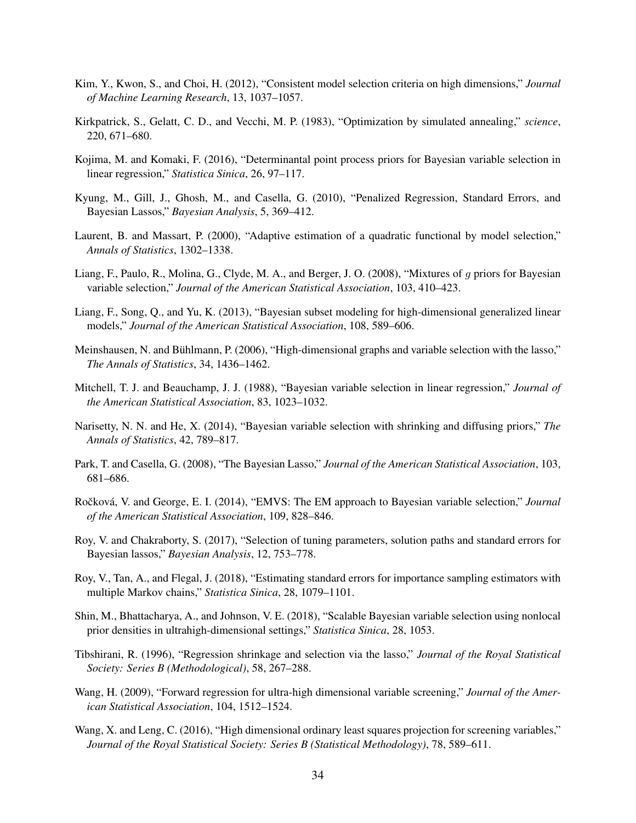- <span id="page-33-11"></span>Kim, Y., Kwon, S., and Choi, H. (2012), "Consistent model selection criteria on high dimensions," *Journal of Machine Learning Research*, 13, 1037–1057.
- <span id="page-33-12"></span>Kirkpatrick, S., Gelatt, C. D., and Vecchi, M. P. (1983), "Optimization by simulated annealing," *science*, 220, 671–680.
- <span id="page-33-15"></span>Kojima, M. and Komaki, F. (2016), "Determinantal point process priors for Bayesian variable selection in linear regression," *Statistica Sinica*, 26, 97–117.
- <span id="page-33-2"></span>Kyung, M., Gill, J., Ghosh, M., and Casella, G. (2010), "Penalized Regression, Standard Errors, and Bayesian Lassos," *Bayesian Analysis*, 5, 369–412.
- <span id="page-33-17"></span>Laurent, B. and Massart, P. (2000), "Adaptive estimation of a quadratic functional by model selection," *Annals of Statistics*, 1302–1338.
- <span id="page-33-5"></span>Liang, F., Paulo, R., Molina, G., Clyde, M. A., and Berger, J. O. (2008), "Mixtures of g priors for Bayesian variable selection," *Journal of the American Statistical Association*, 103, 410–423.
- <span id="page-33-16"></span>Liang, F., Song, Q., and Yu, K. (2013), "Bayesian subset modeling for high-dimensional generalized linear models," *Journal of the American Statistical Association*, 108, 589–606.
- <span id="page-33-14"></span>Meinshausen, N. and Buhlmann, P. (2006), "High-dimensional graphs and variable selection with the lasso," ¨ *The Annals of Statistics*, 34, 1436–1462.
- <span id="page-33-4"></span>Mitchell, T. J. and Beauchamp, J. J. (1988), "Bayesian variable selection in linear regression," *Journal of the American Statistical Association*, 83, 1023–1032.
- <span id="page-33-6"></span>Narisetty, N. N. and He, X. (2014), "Bayesian variable selection with shrinking and diffusing priors," *The Annals of Statistics*, 42, 789–817.
- <span id="page-33-1"></span>Park, T. and Casella, G. (2008), "The Bayesian Lasso," *Journal of the American Statistical Association*, 103, 681–686.
- <span id="page-33-7"></span>Ročková, V. and George, E. I. (2014), "EMVS: The EM approach to Bayesian variable selection," *Journal of the American Statistical Association*, 109, 828–846.
- <span id="page-33-3"></span>Roy, V. and Chakraborty, S. (2017), "Selection of tuning parameters, solution paths and standard errors for Bayesian lassos," *Bayesian Analysis*, 12, 753–778.
- <span id="page-33-10"></span>Roy, V., Tan, A., and Flegal, J. (2018), "Estimating standard errors for importance sampling estimators with multiple Markov chains," *Statistica Sinica*, 28, 1079–1101.
- <span id="page-33-8"></span>Shin, M., Bhattacharya, A., and Johnson, V. E. (2018), "Scalable Bayesian variable selection using nonlocal prior densities in ultrahigh-dimensional settings," *Statistica Sinica*, 28, 1053.
- <span id="page-33-0"></span>Tibshirani, R. (1996), "Regression shrinkage and selection via the lasso," *Journal of the Royal Statistical Society: Series B (Methodological)*, 58, 267–288.
- <span id="page-33-13"></span>Wang, H. (2009), "Forward regression for ultra-high dimensional variable screening," *Journal of the American Statistical Association*, 104, 1512–1524.
- <span id="page-33-9"></span>Wang, X. and Leng, C. (2016), "High dimensional ordinary least squares projection for screening variables," *Journal of the Royal Statistical Society: Series B (Statistical Methodology)*, 78, 589–611.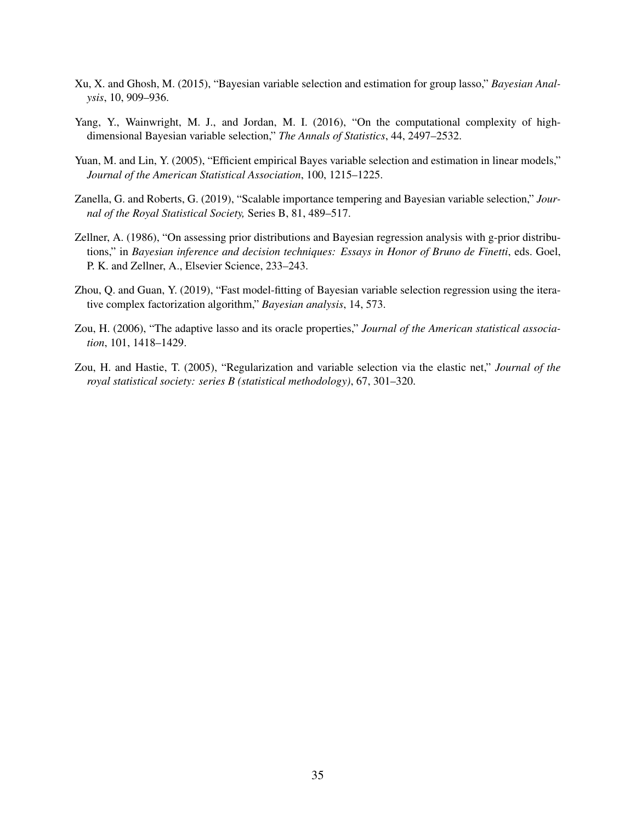- <span id="page-34-2"></span>Xu, X. and Ghosh, M. (2015), "Bayesian variable selection and estimation for group lasso," *Bayesian Analysis*, 10, 909–936.
- <span id="page-34-4"></span>Yang, Y., Wainwright, M. J., and Jordan, M. I. (2016), "On the computational complexity of highdimensional Bayesian variable selection," *The Annals of Statistics*, 44, 2497–2532.
- <span id="page-34-3"></span>Yuan, M. and Lin, Y. (2005), "Efficient empirical Bayes variable selection and estimation in linear models," *Journal of the American Statistical Association*, 100, 1215–1225.
- <span id="page-34-6"></span>Zanella, G. and Roberts, G. (2019), "Scalable importance tempering and Bayesian variable selection," *Journal of the Royal Statistical Society,* Series B, 81, 489–517.
- <span id="page-34-7"></span>Zellner, A. (1986), "On assessing prior distributions and Bayesian regression analysis with g-prior distributions," in *Bayesian inference and decision techniques: Essays in Honor of Bruno de Finetti*, eds. Goel, P. K. and Zellner, A., Elsevier Science, 233–243.
- <span id="page-34-5"></span>Zhou, Q. and Guan, Y. (2019), "Fast model-fitting of Bayesian variable selection regression using the iterative complex factorization algorithm," *Bayesian analysis*, 14, 573.
- <span id="page-34-1"></span>Zou, H. (2006), "The adaptive lasso and its oracle properties," *Journal of the American statistical association*, 101, 1418–1429.
- <span id="page-34-0"></span>Zou, H. and Hastie, T. (2005), "Regularization and variable selection via the elastic net," *Journal of the royal statistical society: series B (statistical methodology)*, 67, 301–320.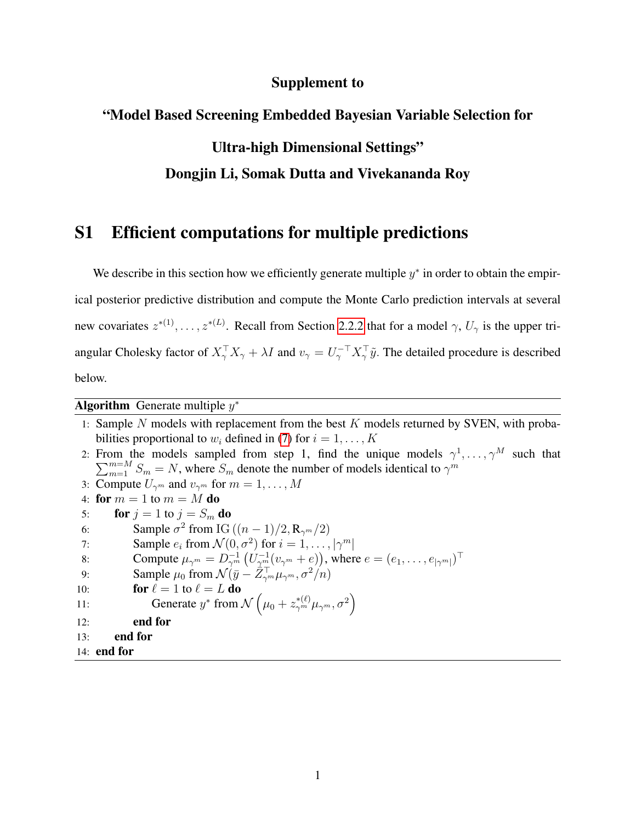#### Supplement to

#### "Model Based Screening Embedded Bayesian Variable Selection for

## Ultra-high Dimensional Settings"

#### Dongjin Li, Somak Dutta and Vivekananda Roy

# S1 Efficient computations for multiple predictions

We describe in this section how we efficiently generate multiple  $y^*$  in order to obtain the empirical posterior predictive distribution and compute the Monte Carlo prediction intervals at several new covariates  $z^{*(1)}, \ldots, z^{*(L)}$ . Recall from Section [2.2.2](#page-12-0) that for a model  $\gamma$ ,  $U_{\gamma}$  is the upper triangular Cholesky factor of  $X_{\gamma}^{\top} X_{\gamma} + \lambda I$  and  $v_{\gamma} = U_{\gamma}^{-\top} X_{\gamma}^{\top} \tilde{y}$ . The detailed procedure is described below.

Algorithm Generate multiple  $y^*$ 

1: Sample N models with replacement from the best  $K$  models returned by SVEN, with probabilities proportional to  $w_i$  defined in [\(7\)](#page-15-0) for  $i = 1, \ldots, K$ 2: From the models sampled from step 1, find the unique models  $\gamma^1, \ldots, \gamma^M$  such that  $\sum_{m=1}^{m=M} S_m = N$ , where  $S_m$  denote the number of models identical to  $\gamma^m$ 3: Compute  $U_{\gamma^m}$  and  $v_{\gamma^m}$  for  $m = 1, \ldots, M$ 4: for  $m = 1$  to  $m = M$  do 5: **for**  $j = 1$  to  $j = S_m$  **do** 6: **Sample**  $\sigma^2$  from IG  $((n-1)/2, \mathbb{R}_{\gamma^m}/2)$ 7: **Sample**  $e_i$  from  $\mathcal{N}(0, \sigma^2)$  for  $i = 1, ..., |\gamma^m|$ 8: Compute  $\mu_{\gamma^m} = D_{\gamma^m}^{-1} (U_{\gamma^m}^{-1}(v_{\gamma^m} + e)),$  where  $e = (e_1, \dots, e_{|\gamma^m|})^{\top}$ 9: Sample  $\mu_0$  from  $\mathcal{N}(\bar{y} - \bar{Z}_{\gamma^m}^\top \mu_{\gamma^m}, \sigma^2/n)$ 10: **for**  $\ell = 1$  to  $\ell = L$  do 11: Generate  $y^*$  from  $\mathcal{N}\left(\mu_0 + z_{\gamma^m}^{*(\ell)}\mu_{\gamma^m}, \sigma^2\right)$ 12: end for 13: end for 14: end for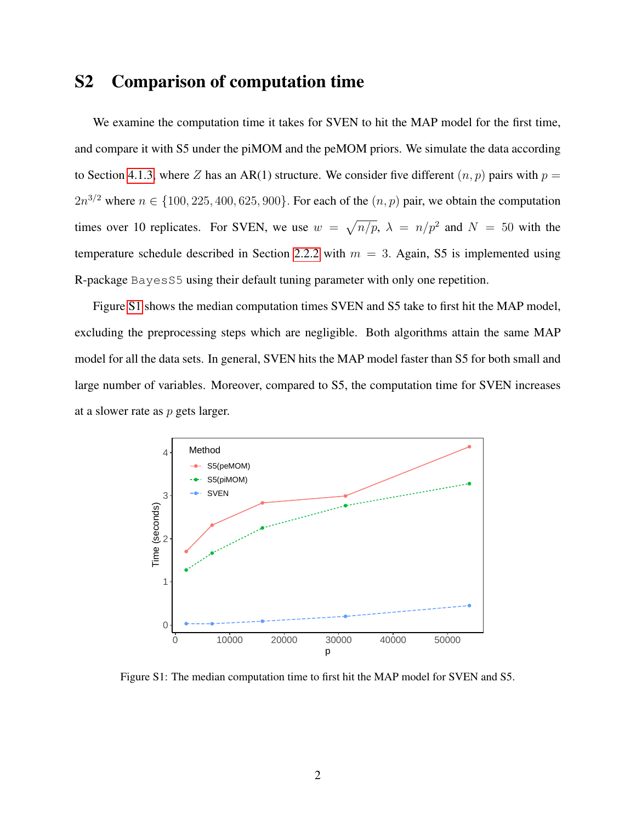# S2 Comparison of computation time

We examine the computation time it takes for SVEN to hit the MAP model for the first time, and compare it with S5 under the piMOM and the peMOM priors. We simulate the data according to Section [4.1.3,](#page-23-0) where Z has an AR(1) structure. We consider five different  $(n, p)$  pairs with  $p =$  $2n^{3/2}$  where  $n \in \{100, 225, 400, 625, 900\}$ . For each of the  $(n, p)$  pair, we obtain the computation times over 10 replicates. For SVEN, we use  $w = \sqrt{n/p}$ ,  $\lambda = n/p^2$  and  $N = 50$  with the temperature schedule described in Section [2.2.2](#page-12-0) with  $m = 3$ . Again, S5 is implemented using R-package BayesS5 using their default tuning parameter with only one repetition.

Figure [S1](#page-36-0) shows the median computation times SVEN and S5 take to first hit the MAP model, excluding the preprocessing steps which are negligible. Both algorithms attain the same MAP model for all the data sets. In general, SVEN hits the MAP model faster than S5 for both small and large number of variables. Moreover, compared to S5, the computation time for SVEN increases at a slower rate as p gets larger.

<span id="page-36-0"></span>

Figure S1: The median computation time to first hit the MAP model for SVEN and S5.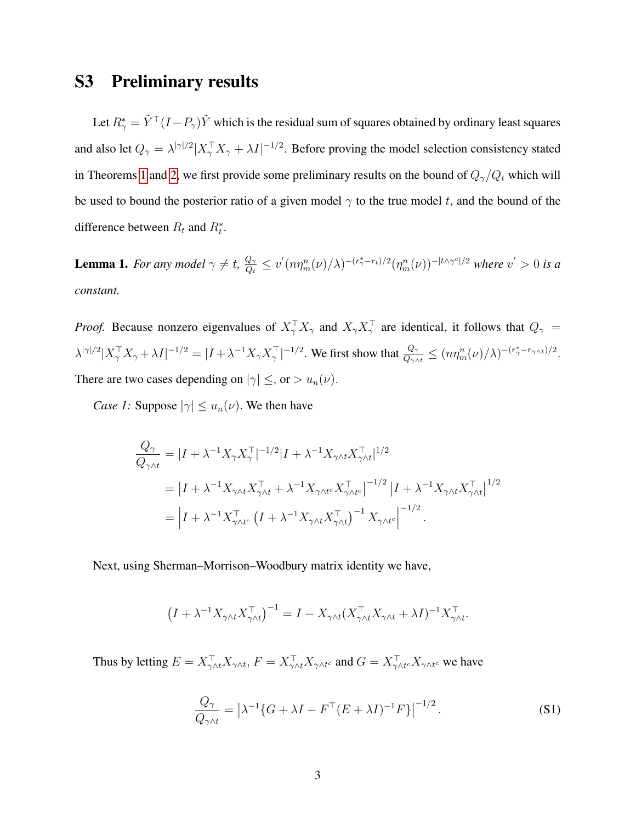# S3 Preliminary results

Let  $R^*_\gamma = \tilde{Y}^\top (I - P_\gamma) \tilde{Y}$  which is the residual sum of squares obtained by ordinary least squares and also let  $Q_{\gamma} = \lambda^{|\gamma|/2} |X_{\gamma}^{\top} X_{\gamma} + \lambda I|^{-1/2}$ . Before proving the model selection consistency stated in Theorems [1](#page-9-1) and [2,](#page-10-0) we first provide some preliminary results on the bound of  $Q_{\gamma}/Q_t$  which will be used to bound the posterior ratio of a given model  $\gamma$  to the true model t, and the bound of the difference between  $R_t$  and  $R_t^*$ .

<span id="page-37-1"></span>**Lemma 1.** For any model  $\gamma \neq t$ ,  $\frac{Q_{\gamma}}{Q_{t}}$  $\frac{Q_\gamma}{Q_t} \le v'(n\eta_m^n(\nu)/\lambda)^{-(r_\gamma^*-r_t)/2}(\eta_m^n(\nu))^{-|t\wedge\gamma^c|/2}$  where  $v'>0$  is a *constant.*

*Proof.* Because nonzero eigenvalues of  $X_{\gamma}^{\top} X_{\gamma}$  and  $X_{\gamma} X_{\gamma}^{\top}$  are identical, it follows that  $Q_{\gamma}$  =  $|\lambda^{|\gamma|/2}|X_{\gamma}^{\top}X_{\gamma} + \lambda I|^{-1/2} = |I + \lambda^{-1}X_{\gamma}X_{\gamma}^{\top}|^{-1/2}$ . We first show that  $\frac{Q_{\gamma}}{Q_{\gamma\wedge t}} \leq (n\eta_m^n(\nu)/\lambda)^{-(r_{\gamma}^* - r_{\gamma\wedge t})/2}$ . There are two cases depending on  $|\gamma| \leq$ , or  $> u_n(\nu)$ .

*Case 1:* Suppose  $|\gamma| \leq u_n(\nu)$ . We then have

$$
\frac{Q_{\gamma}}{Q_{\gamma \wedge t}} = |I + \lambda^{-1} X_{\gamma} X_{\gamma}^{\top}|^{-1/2} |I + \lambda^{-1} X_{\gamma \wedge t} X_{\gamma \wedge t}^{\top}|^{1/2}
$$
\n
$$
= |I + \lambda^{-1} X_{\gamma \wedge t} X_{\gamma \wedge t}^{\top} + \lambda^{-1} X_{\gamma \wedge t^c} X_{\gamma \wedge t^c}^{\top}|^{-1/2} |I + \lambda^{-1} X_{\gamma \wedge t} X_{\gamma \wedge t}^{\top}|^{1/2}
$$
\n
$$
= |I + \lambda^{-1} X_{\gamma \wedge t^c}^{\top} (I + \lambda^{-1} X_{\gamma \wedge t} X_{\gamma \wedge t}^{\top})^{-1} X_{\gamma \wedge t^c}|^{-1/2}.
$$

Next, using Sherman–Morrison–Woodbury matrix identity we have,

$$
\left(I + \lambda^{-1} X_{\gamma \wedge t} X_{\gamma \wedge t}^\top\right)^{-1} = I - X_{\gamma \wedge t} (X_{\gamma \wedge t}^\top X_{\gamma \wedge t} + \lambda I)^{-1} X_{\gamma \wedge t}^\top.
$$

Thus by letting  $E = X_{\gamma \wedge t}^{\top} X_{\gamma \wedge t}$ ,  $F = X_{\gamma \wedge t}^{\top} X_{\gamma \wedge t^c}$  and  $G = X_{\gamma \wedge t^c}^{\top} X_{\gamma \wedge t^c}$  we have

<span id="page-37-0"></span>
$$
\frac{Q_{\gamma}}{Q_{\gamma \wedge t}} = \left| \lambda^{-1} \{ G + \lambda I - F^{\top} (E + \lambda I)^{-1} F \} \right|^{-1/2}.
$$
 (S1)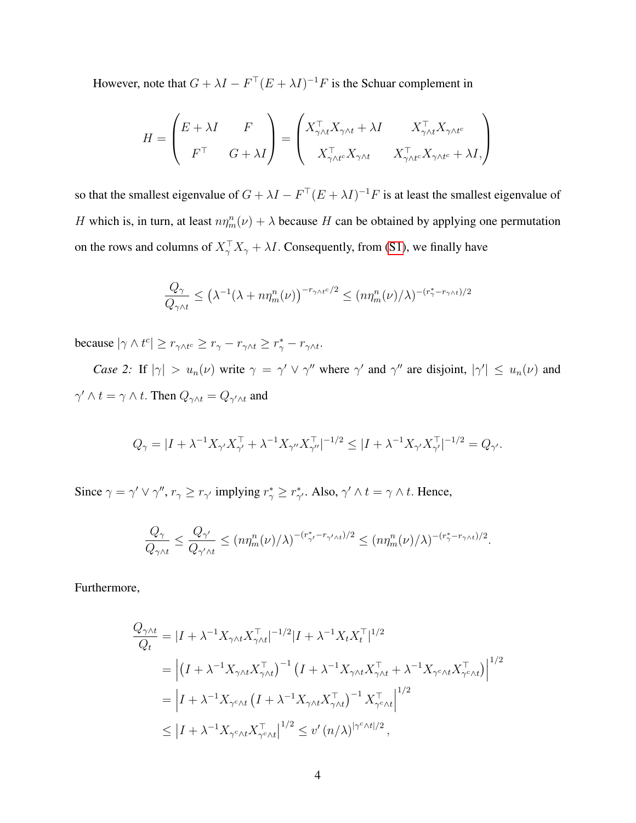However, note that  $G + \lambda I - F^{\top} (E + \lambda I)^{-1} F$  is the Schuar complement in

$$
H = \begin{pmatrix} E + \lambda I & F \\ F^{\top} & G + \lambda I \end{pmatrix} = \begin{pmatrix} X_{\gamma \wedge t}^{\top} X_{\gamma \wedge t} + \lambda I & X_{\gamma \wedge t}^{\top} X_{\gamma \wedge t^c} \\ X_{\gamma \wedge t^c}^{\top} X_{\gamma \wedge t} & X_{\gamma \wedge t^c}^{\top} X_{\gamma \wedge t^c} + \lambda I, \end{pmatrix}
$$

so that the smallest eigenvalue of  $G + \lambda I - F^{\top} (E + \lambda I)^{-1} F$  is at least the smallest eigenvalue of H which is, in turn, at least  $n\eta_m^n(\nu) + \lambda$  because H can be obtained by applying one permutation on the rows and columns of  $X_{\gamma}^{\top} X_{\gamma} + \lambda I$ . Consequently, from [\(S1\)](#page-37-0), we finally have

$$
\frac{Q_{\gamma}}{Q_{\gamma\wedge t}} \le \left(\lambda^{-1}(\lambda + n\eta_m^n(\nu))\right)^{-r_{\gamma\wedge t}c/2} \le (n\eta_m^n(\nu)/\lambda)^{-(r_{\gamma}^*-r_{\gamma\wedge t})/2}
$$

because  $|\gamma \wedge t^c| \ge r_{\gamma \wedge t^c} \ge r_{\gamma} - r_{\gamma \wedge t} \ge r_{\gamma}^* - r_{\gamma \wedge t}.$ 

*Case 2:* If  $|\gamma| > u_n(\nu)$  write  $\gamma = \gamma' \vee \gamma''$  where  $\gamma'$  and  $\gamma''$  are disjoint,  $|\gamma'| \leq u_n(\nu)$  and  $\gamma' \wedge t = \gamma \wedge t$ . Then  $Q_{\gamma \wedge t} = Q_{\gamma' \wedge t}$  and

$$
Q_{\gamma} = |I + \lambda^{-1} X_{\gamma'} X_{\gamma'}^{\top} + \lambda^{-1} X_{\gamma''} X_{\gamma''}^{\top}|^{-1/2} \leq |I + \lambda^{-1} X_{\gamma'} X_{\gamma'}^{\top}|^{-1/2} = Q_{\gamma'}.
$$

Since  $\gamma = \gamma' \vee \gamma''$ ,  $r_{\gamma} \ge r_{\gamma'}$  implying  $r_{\gamma}^* \ge r_{\gamma'}^*$ . Also,  $\gamma' \wedge t = \gamma \wedge t$ . Hence,

$$
\frac{Q_{\gamma}}{Q_{\gamma\wedge t}} \leq \frac{Q_{\gamma'}}{Q_{\gamma'\wedge t}} \leq (n\eta_m^n(\nu)/\lambda)^{-(r_{\gamma'}^* - r_{\gamma'\wedge t})/2} \leq (n\eta_m^n(\nu)/\lambda)^{-(r_{\gamma}^* - r_{\gamma\wedge t})/2}.
$$

Furthermore,

$$
\frac{Q_{\gamma\wedge t}}{Q_t} = |I + \lambda^{-1} X_{\gamma\wedge t} X_{\gamma\wedge t}^{\top}|^{-1/2} |I + \lambda^{-1} X_t X_t^{\top}|^{1/2}
$$
\n
$$
= \left| (I + \lambda^{-1} X_{\gamma\wedge t} X_{\gamma\wedge t}^{\top})^{-1} (I + \lambda^{-1} X_{\gamma\wedge t} X_{\gamma\wedge t}^{\top} + \lambda^{-1} X_{\gamma^c\wedge t} X_{\gamma^c\wedge t}^{\top}) \right|^{1/2}
$$
\n
$$
= \left| I + \lambda^{-1} X_{\gamma^c\wedge t} (I + \lambda^{-1} X_{\gamma\wedge t} X_{\gamma\wedge t}^{\top})^{-1} X_{\gamma^c\wedge t}^{\top} \right|^{1/2}
$$
\n
$$
\leq |I + \lambda^{-1} X_{\gamma^c\wedge t} X_{\gamma^c\wedge t}^{\top}|^{1/2} \leq v'(n/\lambda)^{|\gamma^c\wedge t|/2},
$$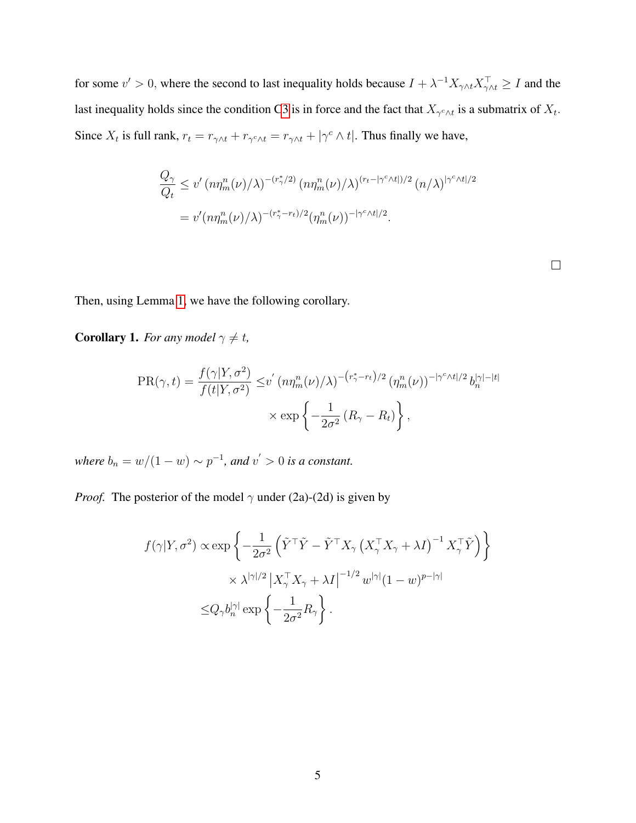for some  $v' > 0$ , where the second to last inequality holds because  $I + \lambda^{-1} X_{\gamma \wedge t} X_{\gamma \wedge t}^{\top} \geq I$  and the last inequality holds since the condition [C3](#page-8-1) is in force and the fact that  $X_{\gamma^c \wedge t}$  is a submatrix of  $X_t$ . Since  $X_t$  is full rank,  $r_t = r_{\gamma \wedge t} + r_{\gamma^c \wedge t} = r_{\gamma \wedge t} + |\gamma^c \wedge t|$ . Thus finally we have,

$$
\frac{Q_{\gamma}}{Q_t} \le v' \left( n \eta_m^n(\nu) / \lambda \right)^{-(r_{\gamma}^*/2)} \left( n \eta_m^n(\nu) / \lambda \right)^{(r_t - |\gamma^c \wedge t|)/2} (n/\lambda)^{|\gamma^c \wedge t|/2}
$$

$$
= v' \left( n \eta_m^n(\nu) / \lambda \right)^{-(r_{\gamma}^* - r_t)/2} \left( \eta_m^n(\nu) \right)^{-|\gamma^c \wedge t|/2}.
$$

 $\Box$ 

Then, using Lemma [1,](#page-37-1) we have the following corollary.

<span id="page-39-0"></span>**Corollary 1.** *For any model*  $\gamma \neq t$ *,* 

$$
PR(\gamma, t) = \frac{f(\gamma|Y, \sigma^2)}{f(t|Y, \sigma^2)} \leq v' (n\eta_m^n(\nu)/\lambda)^{-(r_{\gamma}^* - r_t)/2} (\eta_m^n(\nu))^{-|\gamma^c \wedge t|/2} b_n^{|\gamma| - |t|}
$$

$$
\times \exp\left\{-\frac{1}{2\sigma^2} (R_{\gamma} - R_t)\right\},
$$

*where*  $b_n = w/(1-w) \sim p^{-1}$ , and  $v' > 0$  *is a constant.* 

*Proof.* The posterior of the model  $\gamma$  under (2a)-(2d) is given by

$$
f(\gamma|Y,\sigma^2) \propto \exp\left\{-\frac{1}{2\sigma^2} \left(\tilde{Y}^\top \tilde{Y} - \tilde{Y}^\top X_\gamma \left(X_\gamma^\top X_\gamma + \lambda I\right)^{-1} X_\gamma^\top \tilde{Y}\right)\right\}
$$
  

$$
\times \lambda^{|\gamma|/2} |X_\gamma^\top X_\gamma + \lambda I|^{-1/2} w^{|\gamma|} (1 - w)^{p - |\gamma|}
$$
  

$$
\leq Q_\gamma b_n^{|\gamma|} \exp\left\{-\frac{1}{2\sigma^2} R_\gamma\right\}.
$$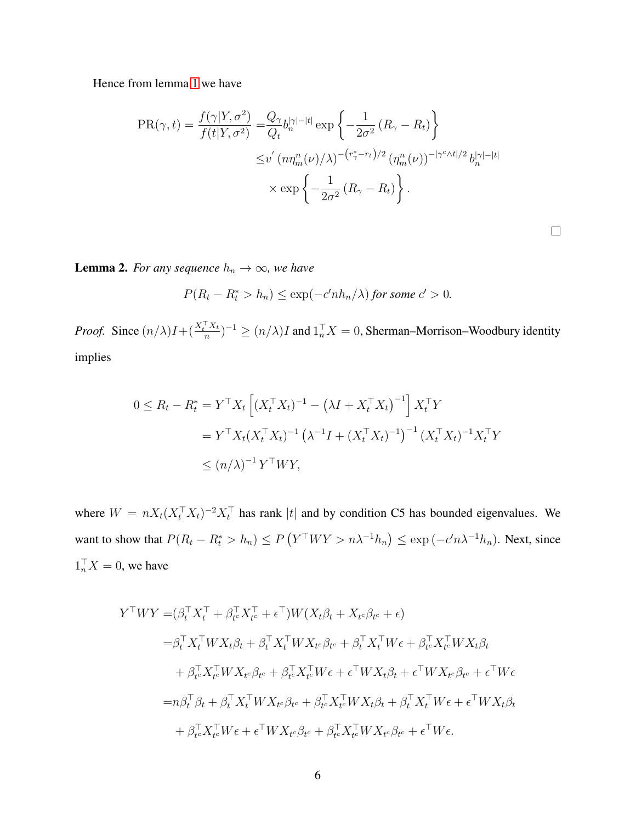Hence from lemma [1](#page-37-1) we have

$$
PR(\gamma, t) = \frac{f(\gamma|Y, \sigma^2)}{f(t|Y, \sigma^2)} = \frac{Q_{\gamma}}{Q_t} b_n^{|\gamma| - |t|} \exp\left\{-\frac{1}{2\sigma^2} \left(R_{\gamma} - R_t\right)\right\}
$$

$$
\leq v' \left(n\eta_m^n(\nu)/\lambda\right)^{-(r_{\gamma}^* - r_t)/2} \left(\eta_m^n(\nu)\right)^{-|\gamma^c \wedge t|/2} b_n^{|\gamma| - |t|}
$$

$$
\times \exp\left\{-\frac{1}{2\sigma^2} \left(R_{\gamma} - R_t\right)\right\}.
$$

 $\Box$ 

<span id="page-40-0"></span>**Lemma 2.** *For any sequence*  $h_n \to \infty$ *, we have* 

$$
P(R_t - R_t^* > h_n) \le \exp(-c' n h_n/\lambda) \text{ for some } c' > 0.
$$

*Proof.* Since  $\left(n/\lambda\right)I + \left(\frac{X_t^\top X_t}{n}\right)$  $(\frac{1}{n})^{-1} \ge (n/\lambda)I$  and  $1_n^{\top}X = 0$ , Sherman–Morrison–Woodbury identity implies

$$
0 \le R_t - R_t^* = Y^\top X_t \left[ (X_t^\top X_t)^{-1} - (\lambda I + X_t^\top X_t)^{-1} \right] X_t^\top Y
$$
  

$$
= Y^\top X_t (X_t^\top X_t)^{-1} (\lambda^{-1} I + (X_t^\top X_t)^{-1})^{-1} (X_t^\top X_t)^{-1} X_t^\top Y
$$
  

$$
\le (n/\lambda)^{-1} Y^\top W Y,
$$

where  $W = nX_t(X_t^{\top}X_t)^{-2}X_t^{\top}$  has rank |t| and by condition C5 has bounded eigenvalues. We want to show that  $P(R_t - R_t^* > h_n) \le P(Y^{\top}WY > n\lambda^{-1}h_n) \le \exp(-c'n\lambda^{-1}h_n)$ . Next, since  $1_n^{\top} X = 0$ , we have

$$
Y^{\top}WY = (\beta_t^{\top} X_t^{\top} + \beta_{te}^{\top} X_{te}^{\top} + \epsilon^{\top})W(X_t \beta_t + X_{te} \beta_{te} + \epsilon)
$$
  
\n
$$
= \beta_t^{\top} X_t^{\top} W X_t \beta_t + \beta_t^{\top} X_t^{\top} W X_{te} \beta_{te} + \beta_t^{\top} X_t^{\top} W \epsilon + \beta_{te}^{\top} X_{te}^{\top} W X_t \beta_t
$$
  
\n
$$
+ \beta_{te}^{\top} X_{te}^{\top} W X_{te} \beta_{te} + \beta_{te}^{\top} X_{te}^{\top} W \epsilon + \epsilon^{\top} W X_t \beta_t + \epsilon^{\top} W X_{te} \beta_{te} + \epsilon^{\top} W \epsilon
$$
  
\n
$$
= n\beta_t^{\top} \beta_t + \beta_t^{\top} X_t^{\top} W X_{te} \beta_{te} + \beta_{te}^{\top} X_{te}^{\top} W X_t \beta_t + \beta_t^{\top} X_t^{\top} W \epsilon + \epsilon^{\top} W X_t \beta_t
$$
  
\n
$$
+ \beta_{te}^{\top} X_{te}^{\top} W \epsilon + \epsilon^{\top} W X_{te} \beta_{te} + \beta_{te}^{\top} X_{te}^{\top} W X_{te} \beta_{te} + \epsilon^{\top} W \epsilon.
$$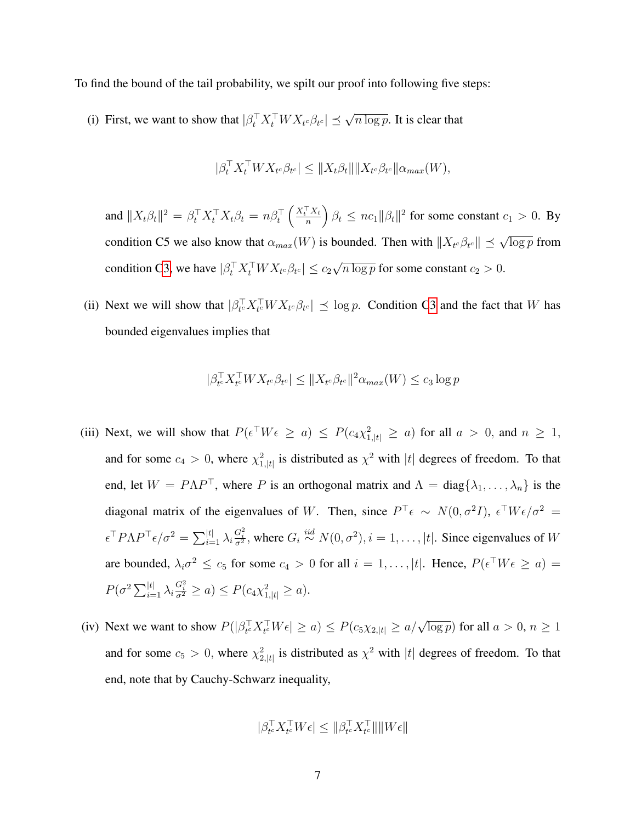To find the bound of the tail probability, we spilt our proof into following five steps:

(i) First, we want to show that  $|\beta_t^{\top} X_t^{\top} W X_{t^c} \beta_{t^c}| \leq \sqrt{n \log p}$ . It is clear that

$$
|\beta_t^\top X_t^\top W X_{t^c} \beta_{t^c}| \leq \|X_t \beta_t\| \|X_{t^c} \beta_{t^c} \| \alpha_{max}(W),
$$

and  $\|X_t\beta_t\|^2 = \beta_t^{\top} X_t^{\top} X_t \beta_t = n\beta_t^{\top} \left(\frac{X_t^{\top} X_t}{n}\right)$  $\left(\frac{d^T X_t}{d n}\right) \beta_t \leq n c_1 ||\beta_t||^2$  for some constant  $c_1 > 0$ . By condition C5 we also know that  $\alpha_{max}(W)$  is bounded. Then with  $||X_{t^c}\beta_{t^c}|| \preceq \sqrt{\log p}$  from condition [C3,](#page-8-1) we have  $|\beta_t^{\top} X_t^{\top} W X_{t^c} \beta_{t^c}| \leq c_2$ √  $\sqrt{n \log p}$  for some constant  $c_2 > 0$ .

(ii) Next we will show that  $|\beta_{t_c}^{\top} X_{t_c}^{\top} W X_{t_c} \beta_{t_c}| \leq \log p$ . Condition [C3](#page-8-1) and the fact that W has bounded eigenvalues implies that

$$
|\beta_{t^c}^\top X_{t^c}^\top W X_{t^c} \beta_{t^c}| \leq \|X_{t^c} \beta_{t^c}\|^2 \alpha_{max}(W) \leq c_3 \log p
$$

- (iii) Next, we will show that  $P(\epsilon^{\top} W \epsilon \ge a) \le P(c_4 \chi_{1,|t|}^2 \ge a)$  for all  $a > 0$ , and  $n \ge 1$ , and for some  $c_4 > 0$ , where  $\chi^2_{1,|t|}$  is distributed as  $\chi^2$  with  $|t|$  degrees of freedom. To that end, let  $W = P\Lambda P^{\top}$ , where P is an orthogonal matrix and  $\Lambda = \text{diag}\{\lambda_1, \ldots, \lambda_n\}$  is the diagonal matrix of the eigenvalues of W. Then, since  $P^{\top} \epsilon \sim N(0, \sigma^2 I)$ ,  $\epsilon^{\top} W \epsilon / \sigma^2 =$  $\epsilon^\top P \Lambda P^\top \epsilon / \sigma^2 = \sum_{i=1}^{|t|} \lambda_i \frac{G_i^2}{\sigma^2}$ , where  $G_i \stackrel{iid}{\sim} N(0, \sigma^2), i = 1, \dots, |t|$ . Since eigenvalues of W are bounded,  $\lambda_i \sigma^2 \leq c_5$  for some  $c_4 > 0$  for all  $i = 1, \ldots, |t|$ . Hence,  $P(\epsilon^\top W \epsilon \geq a) =$  $P(\sigma^2 \sum_{i=1}^{|t|} \lambda_i \frac{G_i^2}{\sigma^2} \ge a) \le P(c_4 \chi_{1,|t|}^2 \ge a).$
- (iv) Next we want to show  $P(|\beta_{t}^{\top} X_{t}^{\top} W \epsilon| \ge a) \le P(c_5 \chi_{2,|t|} \ge a/\sqrt{\log p})$  for all  $a > 0, n \ge 1$ and for some  $c_5 > 0$ , where  $\chi^2_{2,|t|}$  is distributed as  $\chi^2$  with  $|t|$  degrees of freedom. To that end, note that by Cauchy-Schwarz inequality,

$$
|\beta_{t^c}^\top X_{t^c}^\top W \epsilon| \leq \|\beta_{t^c}^\top X_{t^c}^\top\| \|W \epsilon\|
$$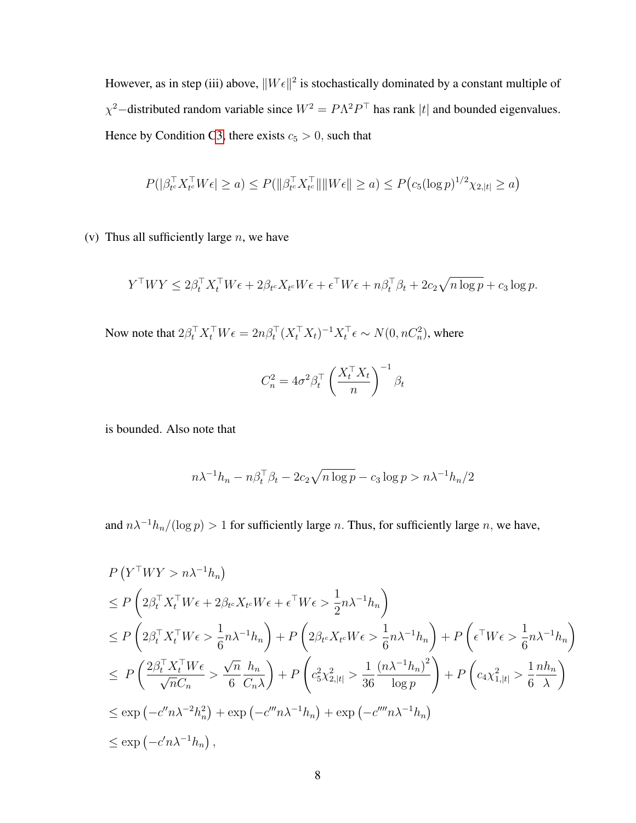However, as in step (iii) above,  $||W \epsilon||^2$  is stochastically dominated by a constant multiple of  $\chi^2$ -distributed random variable since  $W^2 = P\Lambda^2 P^{\top}$  has rank |t| and bounded eigenvalues. Hence by Condition [C3,](#page-8-1) there exists  $c_5 > 0$ , such that

$$
P(|\beta_{t^c}^\top X_{t^c}^\top W \epsilon| \ge a) \le P(\|\beta_{t^c}^\top X_{t^c}^\top \| \|W \epsilon\| \ge a) \le P\big(c_5(\log p)^{1/2}\chi_{2,|t|} \ge a\big)
$$

(v) Thus all sufficiently large  $n$ , we have

$$
Y^{\top}WY \le 2\beta_t^{\top}X_t^{\top}W\epsilon + 2\beta_{t^c}X_{t^c}W\epsilon + \epsilon^{\top}W\epsilon + n\beta_t^{\top}\beta_t + 2c_2\sqrt{n\log p} + c_3\log p.
$$

Now note that  $2\beta_t^{\top} X_t^{\top} W \epsilon = 2n\beta_t^{\top} (X_t^{\top} X_t)^{-1} X_t^{\top} \epsilon \sim N(0, nC_n^2)$ , where

$$
C_n^2 = 4\sigma^2 \beta_t^\top \left(\frac{X_t^\top X_t}{n}\right)^{-1} \beta_t
$$

is bounded. Also note that

$$
n\lambda^{-1}h_n - n\beta_t^{\top}\beta_t - 2c_2\sqrt{n\log p} - c_3\log p > n\lambda^{-1}h_n/2
$$

and  $n\lambda^{-1}h_n/(\log p) > 1$  for sufficiently large n. Thus, for sufficiently large n, we have,

$$
P(Y^{\top}WY > n\lambda^{-1}h_n)
$$
  
\n
$$
\leq P\left(2\beta_t^{\top}X_t^{\top}W\epsilon + 2\beta_{t}X_{t}W\epsilon + \epsilon^{\top}W\epsilon > \frac{1}{2}n\lambda^{-1}h_n\right)
$$
  
\n
$$
\leq P\left(2\beta_t^{\top}X_t^{\top}W\epsilon > \frac{1}{6}n\lambda^{-1}h_n\right) + P\left(2\beta_{t}X_{t}W\epsilon > \frac{1}{6}n\lambda^{-1}h_n\right) + P\left(\epsilon^{\top}W\epsilon > \frac{1}{6}n\lambda^{-1}h_n\right)
$$
  
\n
$$
\leq P\left(\frac{2\beta_t^{\top}X_t^{\top}W\epsilon}{\sqrt{n}C_n} > \frac{\sqrt{n}}{6}\frac{h_n}{C_n\lambda}\right) + P\left(c_5^2\chi_{2,|t|}^2 > \frac{1}{36}\frac{(n\lambda^{-1}h_n)^2}{\log p}\right) + P\left(c_4\chi_{1,|t|}^2 > \frac{1}{6}\frac{nh_n}{\lambda}\right)
$$
  
\n
$$
\leq \exp\left(-c''n\lambda^{-2}h_n^2\right) + \exp\left(-c''''n\lambda^{-1}h_n\right) + \exp\left(-c''''n\lambda^{-1}h_n\right)
$$
  
\n
$$
\leq \exp\left(-c'n\lambda^{-1}h_n\right),
$$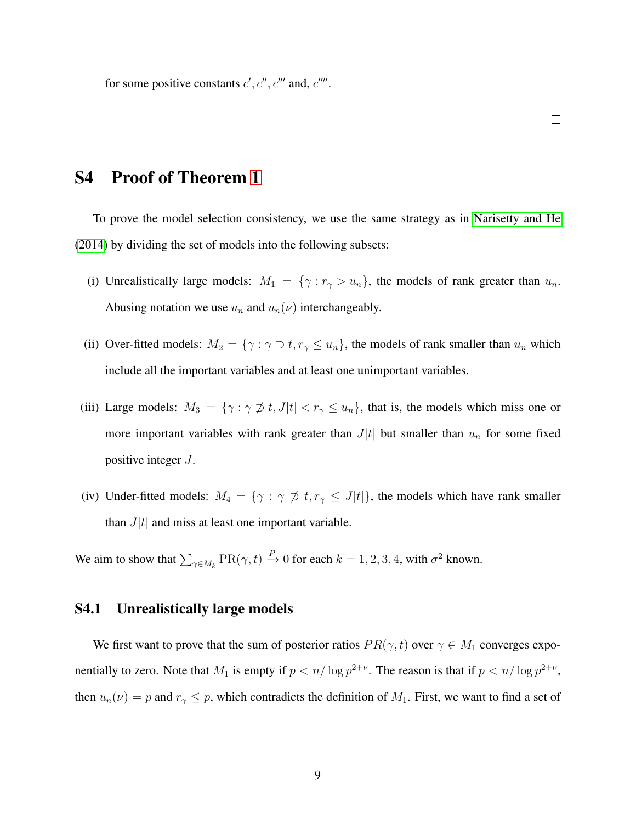for some positive constants  $c', c'', c'''$  and,  $c''''$ .

 $\Box$ 

# S4 Proof of Theorem [1](#page-9-1)

To prove the model selection consistency, we use the same strategy as in [Narisetty and He](#page-33-6) [\(2014\)](#page-33-6) by dividing the set of models into the following subsets:

- (i) Unrealistically large models:  $M_1 = \{ \gamma : r_{\gamma} > u_n \}$ , the models of rank greater than  $u_n$ . Abusing notation we use  $u_n$  and  $u_n(\nu)$  interchangeably.
- (ii) Over-fitted models:  $M_2 = \{ \gamma : \gamma \supset t, r_{\gamma} \le u_n \}$ , the models of rank smaller than  $u_n$  which include all the important variables and at least one unimportant variables.
- (iii) Large models:  $M_3 = \{ \gamma : \gamma \not\supset t, J | t | < r_\gamma \leq u_n \}$ , that is, the models which miss one or more important variables with rank greater than  $J|t|$  but smaller than  $u_n$  for some fixed positive integer J.
- (iv) Under-fitted models:  $M_4 = \{ \gamma : \gamma \not\supset t, r_{\gamma} \leq J|t| \}$ , the models which have rank smaller than  $J|t|$  and miss at least one important variable.

We aim to show that  $\sum_{\gamma \in M_k} \text{PR}(\gamma, t) \stackrel{P}{\to} 0$  for each  $k = 1, 2, 3, 4$ , with  $\sigma^2$  known.

#### S4.1 Unrealistically large models

We first want to prove that the sum of posterior ratios  $PR(\gamma, t)$  over  $\gamma \in M_1$  converges exponentially to zero. Note that  $M_1$  is empty if  $p < n/\log p^{2+\nu}$ . The reason is that if  $p < n/\log p^{2+\nu}$ , then  $u_n(\nu) = p$  and  $r_\gamma \leq p$ , which contradicts the definition of  $M_1$ . First, we want to find a set of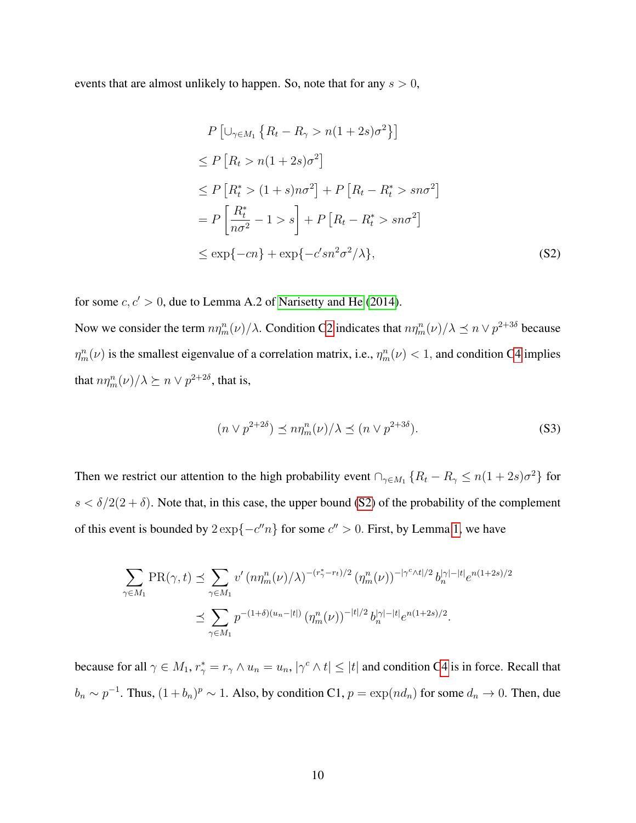events that are almost unlikely to happen. So, note that for any  $s > 0$ ,

<span id="page-44-0"></span>
$$
P\left[\cup_{\gamma \in M_1} \left\{R_t - R_{\gamma} > n(1+2s)\sigma^2\right\}\right]
$$
  
\n
$$
\leq P\left[R_t > n(1+2s)\sigma^2\right]
$$
  
\n
$$
\leq P\left[R_t^* > (1+s)n\sigma^2\right] + P\left[R_t - R_t^* > sn\sigma^2\right]
$$
  
\n
$$
= P\left[\frac{R_t^*}{n\sigma^2} - 1 > s\right] + P\left[R_t - R_t^* > sn\sigma^2\right]
$$
  
\n
$$
\leq \exp\{-cn\} + \exp\{-c'sn^2\sigma^2/\lambda\},
$$
\n(S2)

for some  $c, c' > 0$ , due to Lemma A.2 of [Narisetty and He](#page-33-6) [\(2014\)](#page-33-6).

Now we consider the term  $n\eta_m^n(\nu)/\lambda$ . Condition [C2](#page-8-0) indicates that  $n\eta_m^n(\nu)/\lambda \preceq n \vee p^{2+3\delta}$  because  $\eta_m^n(\nu)$  is the smallest eigenvalue of a correlation matrix, i.e.,  $\eta_m^n(\nu) < 1$ , and condition [C4](#page-8-2) implies that  $n\eta_m^n(\nu)/\lambda \succeq n \vee p^{2+2\delta}$ , that is,

<span id="page-44-1"></span>
$$
(n \vee p^{2+2\delta}) \preceq n\eta_m^n(\nu)/\lambda \preceq (n \vee p^{2+3\delta}).\tag{S3}
$$

Then we restrict our attention to the high probability event  $\bigcap_{\gamma \in M_1} \{R_t - R_{\gamma} \leq n(1+2s)\sigma^2\}$  for  $s < \delta/2(2+\delta)$ . Note that, in this case, the upper bound [\(S2\)](#page-44-0) of the probability of the complement of this event is bounded by  $2 \exp\{-c''n\}$  for some  $c'' > 0$ . First, by Lemma [1,](#page-37-1) we have

$$
\sum_{\gamma \in M_1} \text{PR}(\gamma, t) \preceq \sum_{\gamma \in M_1} v' \left( n \eta_m^n(\nu) / \lambda \right)^{-(r_{\gamma}^* - r_t)/2} \left( \eta_m^n(\nu) \right)^{-|\gamma^c \wedge t|/2} b_n^{|\gamma| - |t|} e^{n(1+2s)/2}
$$
  

$$
\preceq \sum_{\gamma \in M_1} p^{-(1+\delta)(u_n - |t|)} \left( \eta_m^n(\nu) \right)^{-|t|/2} b_n^{|\gamma| - |t|} e^{n(1+2s)/2}.
$$

because for all  $\gamma \in M_1$ ,  $r^*_{\gamma} = r_{\gamma} \wedge u_n = u_n$ ,  $|\gamma^c \wedge t| \leq |t|$  and condition [C4](#page-8-2) is in force. Recall that  $b_n \sim p^{-1}$ . Thus,  $(1+b_n)^p \sim 1$ . Also, by condition C1,  $p = \exp(nd_n)$  for some  $d_n \to 0$ . Then, due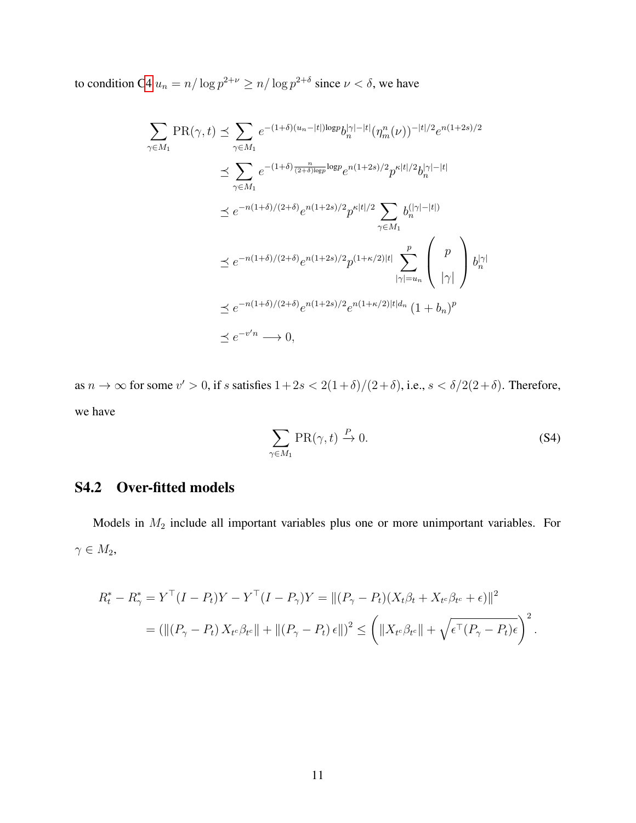to condition [C4](#page-8-2)  $u_n = n/\log p^{2+\nu} \ge n/\log p^{2+\delta}$  since  $\nu < \delta$ , we have

$$
\sum_{\gamma \in M_1} \text{PR}(\gamma, t) \preceq \sum_{\gamma \in M_1} e^{-(1+\delta)(u_n - |t|) \log p} b_n^{|\gamma| - |t|} (\eta_m^n(\nu))^{-|t|/2} e^{n(1+2s)/2}
$$
\n
$$
\preceq \sum_{\gamma \in M_1} e^{-(1+\delta)\frac{n}{(2+\delta)\log p} \log p} e^{n(1+2s)/2} p^{\kappa |t|/2} b_n^{|\gamma| - |t|}
$$
\n
$$
\preceq e^{-n(1+\delta)/(2+\delta)} e^{n(1+2s)/2} p^{\kappa |t|/2} \sum_{\gamma \in M_1} b_n^{(|\gamma| - |t|)}
$$
\n
$$
\preceq e^{-n(1+\delta)/(2+\delta)} e^{n(1+2s)/2} p^{(1+\kappa/2)|t|} \sum_{|\gamma| = u_n}^{p} \binom{p}{|\gamma|} b_n^{|\gamma|}
$$
\n
$$
\preceq e^{-n(1+\delta)/(2+\delta)} e^{n(1+2s)/2} e^{n(1+\kappa/2)|t|d_n} (1+b_n)^p
$$
\n
$$
\preceq e^{-v'n} \longrightarrow 0,
$$

as  $n \to \infty$  for some  $v' > 0$ , if s satisfies  $1 + 2s < 2(1 + \delta)/(2 + \delta)$ , i.e.,  $s < \delta/2(2 + \delta)$ . Therefore, we have

<span id="page-45-0"></span>
$$
\sum_{\gamma \in M_1} \text{PR}(\gamma, t) \xrightarrow{P} 0. \tag{S4}
$$

# S4.2 Over-fitted models

Models in  $M_2$  include all important variables plus one or more unimportant variables. For  $\gamma \in M_2,$ 

$$
R_t^* - R_\gamma^* = Y^\top (I - P_t) Y - Y^\top (I - P_\gamma) Y = || (P_\gamma - P_t) (X_t \beta_t + X_{t^c} \beta_{t^c} + \epsilon) ||^2
$$
  
= 
$$
(|| (P_\gamma - P_t) X_{t^c} \beta_{t^c} || + || (P_\gamma - P_t) \epsilon ||^2 \leq \left( || X_{t^c} \beta_{t^c} || + \sqrt{\epsilon^\top (P_\gamma - P_t) \epsilon} \right)^2.
$$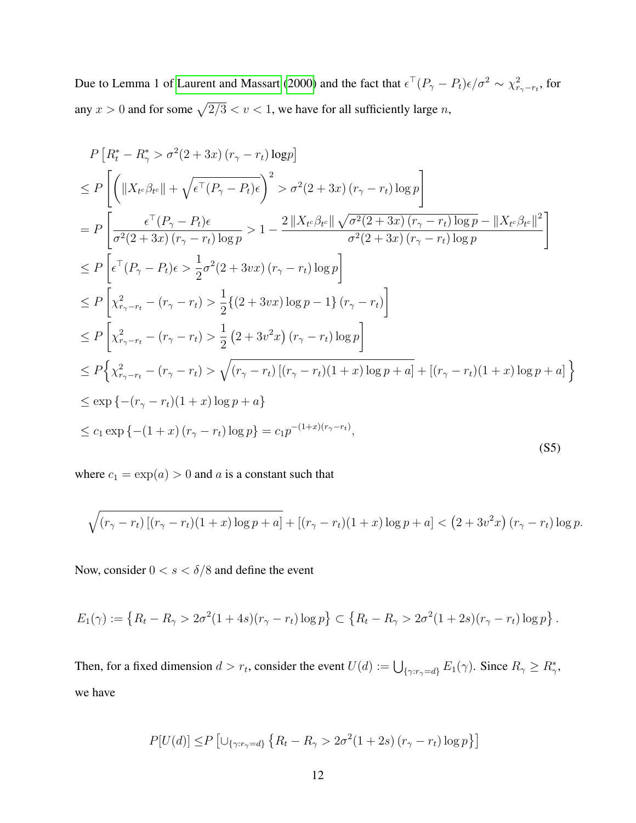Due to Lemma 1 of [Laurent and Massart](#page-33-17) [\(2000\)](#page-33-17) and the fact that  $\epsilon^T (P_\gamma - P_t) \epsilon / \sigma^2 \sim \chi^2_{r_\gamma - r_t}$ , for any  $x > 0$  and for some  $\sqrt{2/3} < v < 1$ , we have for all sufficiently large n,

<span id="page-46-0"></span>
$$
P\left[R_{t}^{*} - R_{\gamma}^{*} > \sigma^{2}(2+3x) (r_{\gamma} - r_{t}) \log p\right]
$$
\n
$$
\leq P\left[\left(\|X_{t^{c}}\beta_{t^{c}}\| + \sqrt{\epsilon^{T}(P_{\gamma} - P_{t})\epsilon}\right)^{2} > \sigma^{2}(2+3x) (r_{\gamma} - r_{t}) \log p\right]
$$
\n
$$
= P\left[\frac{\epsilon^{T}(P_{\gamma} - P_{t})\epsilon}{\sigma^{2}(2+3x) (r_{\gamma} - r_{t}) \log p} > 1 - \frac{2\|X_{t^{c}}\beta_{t^{c}}\| \sqrt{\sigma^{2}(2+3x) (r_{\gamma} - r_{t}) \log p} - \|X_{t^{c}}\beta_{t^{c}}\|^{2}}{\sigma^{2}(2+3x) (r_{\gamma} - r_{t}) \log p}\right]
$$
\n
$$
\leq P\left[\epsilon^{T}(P_{\gamma} - P_{t})\epsilon > \frac{1}{2}\sigma^{2}(2+3vx) (r_{\gamma} - r_{t}) \log p\right]
$$
\n
$$
\leq P\left[\chi_{r_{\gamma} - r_{t}}^{2} - (r_{\gamma} - r_{t}) > \frac{1}{2}\{(2+3vx) \log p - 1\} (r_{\gamma} - r_{t})\right]
$$
\n
$$
\leq P\left[\chi_{r_{\gamma} - r_{t}}^{2} - (r_{\gamma} - r_{t}) > \frac{1}{2}(2+3v^{2}x) (r_{\gamma} - r_{t}) \log p\right]
$$
\n
$$
\leq P\left\{\chi_{r_{\gamma} - r_{t}}^{2} - (r_{\gamma} - r_{t}) > \sqrt{(r_{\gamma} - r_{t})[(r_{\gamma} - r_{t})(1+x) \log p + a] + [(r_{\gamma} - r_{t})(1+x) \log p + a]}\right\}
$$
\n
$$
\leq \exp\left\{-(r_{\gamma} - r_{t})(1+x) \log p + a\right\}
$$
\n
$$
\leq c_{1} \exp\left\{-(1+x) (r_{\gamma} - r_{t}) \log p\right\} = c_{1}p^{-(1+x)(r_{\gamma} - r_{t})}, \tag{S5}
$$

where  $c_1 = \exp(a) > 0$  and a is a constant such that

$$
\sqrt{(r_{\gamma}-r_t)[(r_{\gamma}-r_t)(1+x)\log p + a]} + [(r_{\gamma}-r_t)(1+x)\log p + a] < (2+3v^2x)(r_{\gamma}-r_t)\log p.
$$

Now, consider  $0 < s < \delta/8$  and define the event

$$
E_1(\gamma) := \left\{ R_t - R_{\gamma} > 2\sigma^2 (1 + 4s)(r_{\gamma} - r_t) \log p \right\} \subset \left\{ R_t - R_{\gamma} > 2\sigma^2 (1 + 2s)(r_{\gamma} - r_t) \log p \right\}.
$$

Then, for a fixed dimension  $d > r_t$ , consider the event  $U(d) := \bigcup_{\{\gamma: r_\gamma = d\}} E_1(\gamma)$ . Since  $R_\gamma \ge R_\gamma^*$ , we have

$$
P[U(d)] \le P \left[ \bigcup_{\{\gamma: r_{\gamma} = d\}} \left\{ R_t - R_{\gamma} > 2\sigma^2 (1 + 2s) \left( r_{\gamma} - r_t \right) \log p \right\} \right]
$$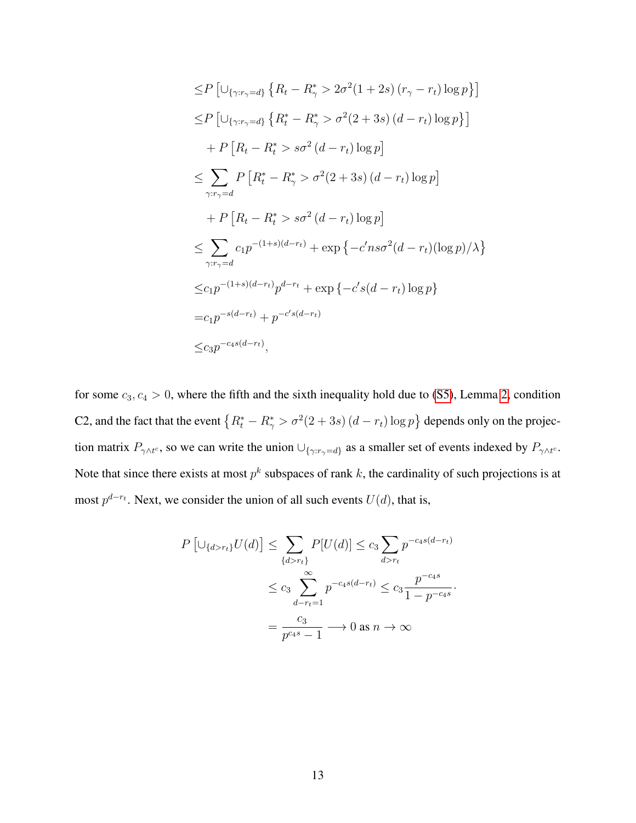$$
\leq P \left[ \bigcup_{\{\gamma: r_{\gamma}=d\}} \left\{ R_t - R_{\gamma}^* > 2\sigma^2 (1+2s) (r_{\gamma} - r_t) \log p \right\} \right]
$$
  
\n
$$
\leq P \left[ \bigcup_{\{\gamma: r_{\gamma}=d\}} \left\{ R_t^* - R_{\gamma}^* > \sigma^2 (2+3s) (d-r_t) \log p \right\} \right]
$$
  
\n
$$
+ P \left[ R_t - R_t^* > s\sigma^2 (d-r_t) \log p \right]
$$
  
\n
$$
\leq \sum_{\gamma: r_{\gamma}=d} P \left[ R_t^* - R_{\gamma}^* > \sigma^2 (2+3s) (d-r_t) \log p \right]
$$
  
\n
$$
+ P \left[ R_t - R_t^* > s\sigma^2 (d-r_t) \log p \right]
$$
  
\n
$$
\leq \sum_{\gamma: r_{\gamma}=d} c_1 p^{-(1+s)(d-r_t)} + \exp \left\{ -c' n s\sigma^2 (d-r_t) (\log p) / \lambda \right\}
$$
  
\n
$$
\leq c_1 p^{-(1+s)(d-r_t)} p^{d-r_t} + \exp \left\{ -c' s(d-r_t) \log p \right\}
$$
  
\n
$$
= c_1 p^{-s(d-r_t)} + p^{-c's(d-r_t)}
$$
  
\n
$$
\leq c_3 p^{-c_4 s(d-r_t)},
$$

for some  $c_3, c_4 > 0$ , where the fifth and the sixth inequality hold due to [\(S5\)](#page-46-0), Lemma [2,](#page-40-0) condition C2, and the fact that the event  $\{R_t^* - R_{\gamma}^* > \sigma^2(2+3s) (d-r_t) \log p\}$  depends only on the projection matrix  $P_{\gamma \wedge t^c}$ , so we can write the union  $\cup_{\{\gamma : r_\gamma = d\}}$  as a smaller set of events indexed by  $P_{\gamma \wedge t^c}$ . Note that since there exists at most  $p^k$  subspaces of rank k, the cardinality of such projections is at most  $p^{d-r_t}$ . Next, we consider the union of all such events  $U(d)$ , that is,

$$
P\left[\cup_{\{d>r_t\}} U(d)\right] \le \sum_{\{d>r_t\}} P[U(d)] \le c_3 \sum_{d>r_t} p^{-c_4 s(d-r_t)}
$$
  

$$
\le c_3 \sum_{d-r_t=1}^{\infty} p^{-c_4 s(d-r_t)} \le c_3 \frac{p^{-c_4 s}}{1 - p^{-c_4 s}}
$$
  

$$
= \frac{c_3}{p^{c_4 s} - 1} \longrightarrow 0 \text{ as } n \longrightarrow \infty
$$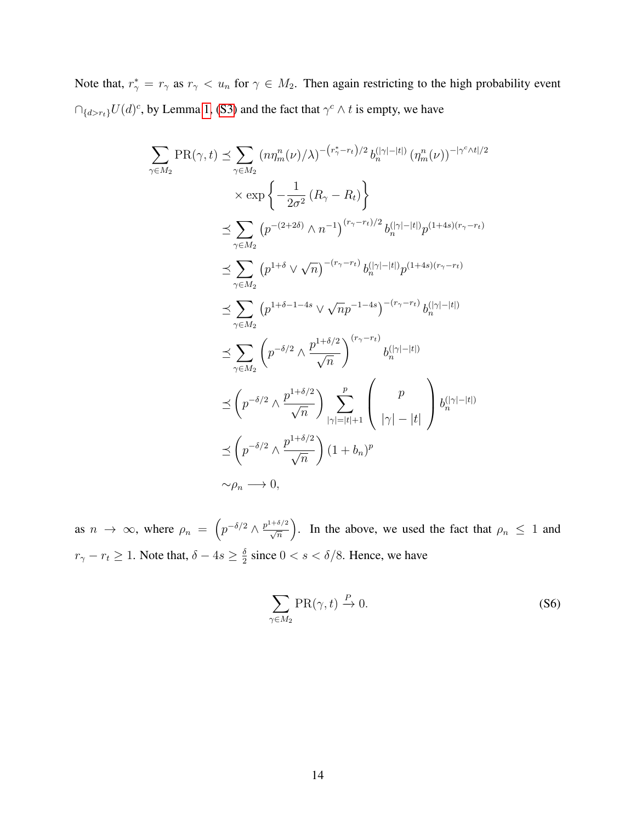Note that,  $r^*_{\gamma} = r_{\gamma}$  as  $r_{\gamma} < u_n$  for  $\gamma \in M_2$ . Then again restricting to the high probability event  $\bigcap_{\{d > r_t\}} U(d)^c$ , by Lemma [1,](#page-37-1) [\(S3\)](#page-44-1) and the fact that  $\gamma^c \wedge t$  is empty, we have

$$
\sum_{\gamma \in M_2} \text{PR}(\gamma, t) \leq \sum_{\gamma \in M_2} (n\eta_n^n(\nu)/\lambda)^{-(r_{\gamma}^* - r_t)/2} b_n^{(|\gamma| - |t|)} (\eta_n^n(\nu))^{-|\gamma^c \wedge t|/2}
$$
\n
$$
\times \exp \left\{ -\frac{1}{2\sigma^2} (R_{\gamma} - R_t) \right\}
$$
\n
$$
\leq \sum_{\gamma \in M_2} (p^{-(2+2\delta)} \wedge n^{-1})^{(r_{\gamma} - r_t)/2} b_n^{(|\gamma| - |t|)} p^{(1+4s)(r_{\gamma} - r_t)}
$$
\n
$$
\leq \sum_{\gamma \in M_2} (p^{1+\delta} \vee \sqrt{n})^{-(r_{\gamma} - r_t)} b_n^{(|\gamma| - |t|)} p^{(1+4s)(r_{\gamma} - r_t)}
$$
\n
$$
\leq \sum_{\gamma \in M_2} (p^{1+\delta-1-4s} \vee \sqrt{n} p^{-1-4s})^{-(r_{\gamma} - r_t)} b_n^{(|\gamma| - |t|)}
$$
\n
$$
\leq \sum_{\gamma \in M_2} \left( p^{-\delta/2} \wedge \frac{p^{1+\delta/2}}{\sqrt{n}} \right) \sum_{|\gamma| = |t|+1}^{(r_{\gamma} - r_t)} b_n^{(|\gamma| - |t|)}
$$
\n
$$
\leq \left( p^{-\delta/2} \wedge \frac{p^{1+\delta/2}}{\sqrt{n}} \right) \sum_{|\gamma| = |t|+1}^{p} \left( \frac{p}{|\gamma| - |t|} \right) b_n^{(|\gamma| - |t|)}
$$
\n
$$
\sim \rho_n \longrightarrow 0,
$$

as  $n \to \infty$ , where  $\rho_n = \left( p^{-\delta/2} \wedge \frac{p^{1+\delta/2}}{\sqrt{n}} \right)$ . In the above, we used the fact that  $\rho_n \leq 1$  and  $r_{\gamma}-r_t \geq 1$ . Note that,  $\delta - 4s \geq \frac{\delta}{2}$  $\frac{\delta}{2}$  since  $0 < s < \delta/8$ . Hence, we have

<span id="page-48-0"></span>
$$
\sum_{\gamma \in M_2} \text{PR}(\gamma, t) \xrightarrow{P} 0. \tag{S6}
$$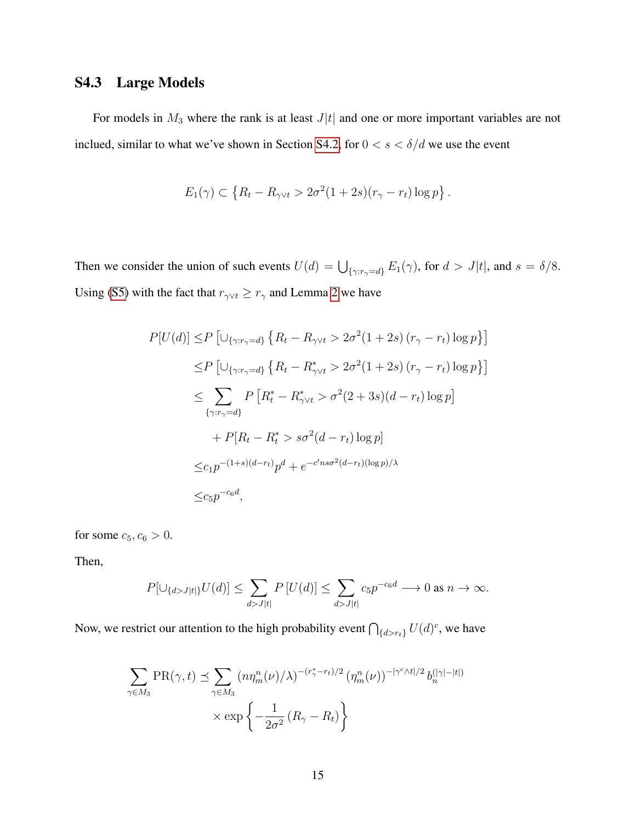# <span id="page-49-0"></span>S4.3 Large Models

For models in  $M_3$  where the rank is at least  $J|t|$  and one or more important variables are not inclued, similar to what we've shown in Section [S4.2,](#page-25-0) for  $0 < s < \delta/d$  we use the event

$$
E_1(\gamma) \subset \left\{ R_t - R_{\gamma \vee t} > 2\sigma^2 (1 + 2s)(r_\gamma - r_t) \log p \right\}.
$$

Then we consider the union of such events  $U(d) = \bigcup_{\{\gamma: r_{\gamma} = d\}} E_1(\gamma)$ , for  $d > J|t|$ , and  $s = \delta/8$ . Using [\(S5\)](#page-46-0) with the fact that  $r_{\gamma \lor t} \ge r_{\gamma}$  and Lemma [2](#page-40-0) we have

$$
P[U(d)] \le P \left[\cup_{\{\gamma: r_{\gamma}=d\}} \left\{ R_t - R_{\gamma \vee t} > 2\sigma^2 (1+2s) (r_{\gamma} - r_t) \log p \right\} \right]
$$
  
\n
$$
\le P \left[\cup_{\{\gamma: r_{\gamma}=d\}} \left\{ R_t - R_{\gamma \vee t}^* > 2\sigma^2 (1+2s) (r_{\gamma} - r_t) \log p \right\} \right]
$$
  
\n
$$
\le \sum_{\{\gamma: r_{\gamma}=d\}} P \left[ R_t^* - R_{\gamma \vee t}^* > \sigma^2 (2+3s) (d-r_t) \log p \right]
$$
  
\n
$$
+ P[R_t - R_t^* > s\sigma^2 (d-r_t) \log p]
$$
  
\n
$$
\le c_1 p^{-(1+s)(d-r_t)} p^d + e^{-c' n s \sigma^2 (d-r_t) (\log p)/\lambda}
$$
  
\n
$$
\le c_5 p^{-c_6 d},
$$

for some  $c_5, c_6 > 0$ .

Then,

$$
P[\cup_{\{d>J|t|\}} U(d)] \le \sum_{d>J|t|} P[U(d)] \le \sum_{d>J|t|} c_5 p^{-c_6 d} \longrightarrow 0 \text{ as } n \to \infty.
$$

Now, we restrict our attention to the high probability event  $\bigcap_{\{d > r_t\}} U(d)^c$ , we have

$$
\sum_{\gamma \in M_3} \text{PR}(\gamma, t) \preceq \sum_{\gamma \in M_3} \left( n \eta_m^n(\nu) / \lambda \right)^{-(r_{\gamma}^* - r_t)/2} \left( \eta_m^n(\nu) \right)^{-|\gamma^c \wedge t|/2} b_n^{(|\gamma| - |t|)} \times \exp \left\{ -\frac{1}{2\sigma^2} \left( R_\gamma - R_t \right) \right\}
$$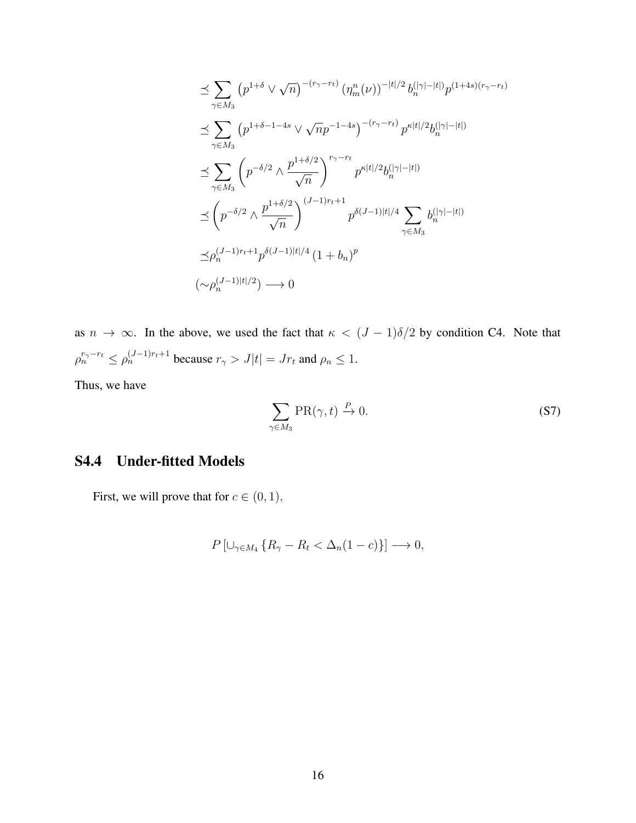$$
\leq \sum_{\gamma \in M_3} (p^{1+\delta} \vee \sqrt{n})^{-(r_{\gamma} - r_t)} (\eta_n^n(\nu))^{-|t|/2} b_n^{(|\gamma| - |t|)} p^{(1+4s)(r_{\gamma} - r_t)} \n\leq \sum_{\gamma \in M_3} (p^{1+\delta-1-4s} \vee \sqrt{n} p^{-1-4s})^{-(r_{\gamma} - r_t)} p^{\kappa |t|/2} b_n^{(|\gamma| - |t|)} \n\leq \sum_{\gamma \in M_3} \left( p^{-\delta/2} \wedge \frac{p^{1+\delta/2}}{\sqrt{n}} \right)^{r_{\gamma} - r_t} p^{\kappa |t|/2} b_n^{(|\gamma| - |t|)} \n\leq \left( p^{-\delta/2} \wedge \frac{p^{1+\delta/2}}{\sqrt{n}} \right)^{(J-1)r_t+1} p^{\delta(J-1)|t|/4} \sum_{\gamma \in M_3} b_n^{(|\gamma| - |t|)} \n\leq \rho_n^{(J-1)r_t+1} p^{\delta(J-1)|t|/4} (1 + b_n)^p \n(\sim \rho_n^{(J-1)|t|/2}) \longrightarrow 0
$$

as  $n \to \infty$ . In the above, we used the fact that  $\kappa < (J - 1)\delta/2$  by condition C4. Note that  $\rho_n^{r_\gamma - r_t} \leq \rho_n^{(J-1)r_t+1}$  because  $r_\gamma > J|t| = Jr_t$  and  $\rho_n \leq 1$ .

Thus, we have

<span id="page-50-0"></span>
$$
\sum_{\gamma \in M_3} \text{PR}(\gamma, t) \xrightarrow{P} 0. \tag{S7}
$$

# S4.4 Under-fitted Models

First, we will prove that for  $c \in (0, 1)$ ,

$$
P\left[\cup_{\gamma\in M_4}\left\{R_{\gamma}-R_t<\Delta_n(1-c)\right\}\right]\longrightarrow 0,
$$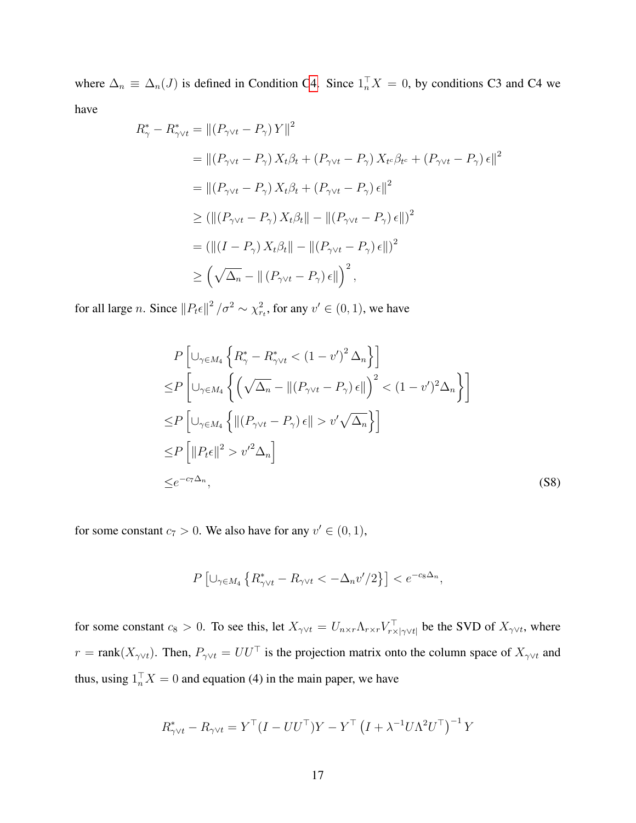where  $\Delta_n \equiv \Delta_n(J)$  is defined in Condition [C4.](#page-8-2) Since  $1_n^{\top} X = 0$ , by conditions C3 and C4 we have

$$
R_{\gamma}^{*} - R_{\gamma \vee t}^{*} = || (P_{\gamma \vee t} - P_{\gamma}) Y ||^{2}
$$
  
\n
$$
= || (P_{\gamma \vee t} - P_{\gamma}) X_{t} \beta_{t} + (P_{\gamma \vee t} - P_{\gamma}) X_{t} e_{t} \beta_{t} + (P_{\gamma \vee t} - P_{\gamma}) \epsilon ||^{2}
$$
  
\n
$$
= || (P_{\gamma \vee t} - P_{\gamma}) X_{t} \beta_{t} + (P_{\gamma \vee t} - P_{\gamma}) \epsilon ||^{2}
$$
  
\n
$$
\geq ( || (P_{\gamma \vee t} - P_{\gamma}) X_{t} \beta_{t} || - || (P_{\gamma \vee t} - P_{\gamma}) \epsilon || )^{2}
$$
  
\n
$$
= ( || (I - P_{\gamma}) X_{t} \beta_{t} || - || (P_{\gamma \vee t} - P_{\gamma}) \epsilon || )^{2}
$$
  
\n
$$
\geq (\sqrt{\Delta_{n}} - || (P_{\gamma \vee t} - P_{\gamma}) \epsilon || )^{2},
$$

for all large *n*. Since  $||P_t \epsilon||^2 / \sigma^2 \sim \chi^2_{r_t}$ , for any  $v' \in (0, 1)$ , we have

$$
P\left[\cup_{\gamma\in M_4}\left\{R_{\gamma}^* - R_{\gamma\vee t}^* < (1 - v')^2 \Delta_n\right\}\right]
$$
\n
$$
\leq P\left[\cup_{\gamma\in M_4}\left\{\left(\sqrt{\Delta_n} - \|(P_{\gamma\vee t} - P_{\gamma})\,\epsilon\|\right)^2 < (1 - v')^2 \Delta_n\right\}\right]
$$
\n
$$
\leq P\left[\cup_{\gamma\in M_4}\left\{\|(P_{\gamma\vee t} - P_{\gamma})\,\epsilon\| > v'\sqrt{\Delta_n}\right\}\right]
$$
\n
$$
\leq P\left[\|P_t\epsilon\|^2 > v'^2 \Delta_n\right]
$$
\n
$$
\leq e^{-c_7 \Delta_n},
$$
\n(S8)

for some constant  $c_7 > 0$ . We also have for any  $v' \in (0, 1)$ ,

<span id="page-51-0"></span>
$$
P\left[\cup_{\gamma\in M_4}\left\{R_{\gamma\vee t}^*-R_{\gamma\vee t}<-\Delta_n v'/2\right\}\right]
$$

for some constant  $c_8 > 0$ . To see this, let  $X_{\gamma \vee t} = U_{n \times r} \Lambda_{r \times r} V_{r \times |\gamma \vee t|}^{\top}$  be the SVD of  $X_{\gamma \vee t}$ , where  $r = \text{rank}(X_{\gamma \lor t})$ . Then,  $P_{\gamma \lor t} = U U^{\top}$  is the projection matrix onto the column space of  $X_{\gamma \lor t}$  and thus, using  $1_n^{\top} X = 0$  and equation (4) in the main paper, we have

$$
R^*_{\gamma \vee t} - R_{\gamma \vee t} = Y^{\top} (I - UU^{\top}) Y - Y^{\top} (I + \lambda^{-1} U \Lambda^2 U^{\top})^{-1} Y
$$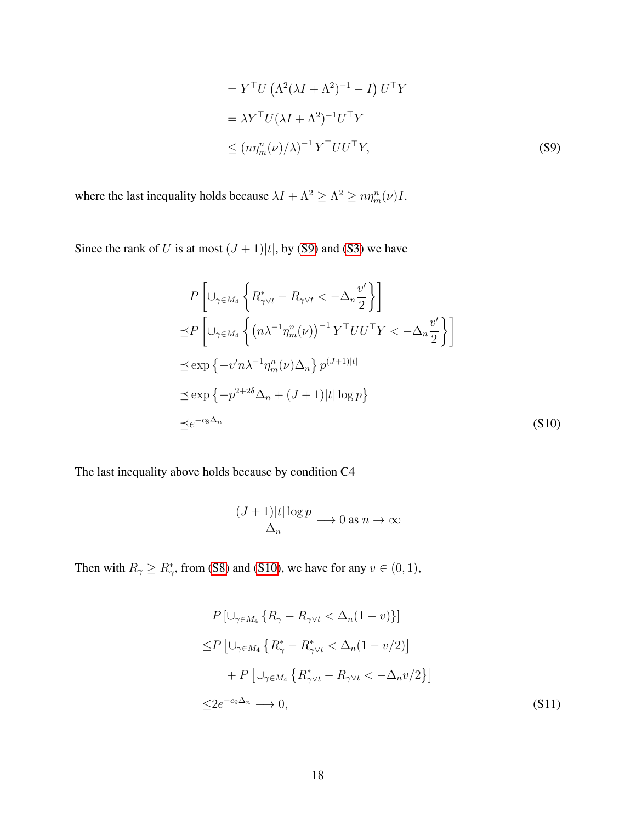<span id="page-52-0"></span>
$$
= Y^{\top} U \left( \Lambda^2 (\lambda I + \Lambda^2)^{-1} - I \right) U^{\top} Y
$$
  

$$
= \lambda Y^{\top} U (\lambda I + \Lambda^2)^{-1} U^{\top} Y
$$
  

$$
\leq (n \eta_m^n(\nu) / \lambda)^{-1} Y^{\top} U U^{\top} Y,
$$
 (S9)

where the last inequality holds because  $\lambda I + \Lambda^2 \ge \Lambda^2 \ge n \eta_m^n(\nu)I$ .

Since the rank of U is at most  $(J + 1)|t|$ , by [\(S9\)](#page-52-0) and [\(S3\)](#page-44-1) we have

$$
P\left[\cup_{\gamma\in M_4}\left\{R_{\gamma\vee t}^* - R_{\gamma\vee t} < -\Delta_n \frac{v'}{2}\right\}\right]
$$
  
\n
$$
\leq P\left[\cup_{\gamma\in M_4}\left\{(n\lambda^{-1}\eta_m^n(\nu))^{-1}Y^\top UU^\top Y < -\Delta_n \frac{v'}{2}\right\}\right]
$$
  
\n
$$
\leq \exp\left\{-v'n\lambda^{-1}\eta_m^n(\nu)\Delta_n\right\}p^{(J+1)|t|}
$$
  
\n
$$
\leq \exp\left\{-p^{2+2\delta}\Delta_n + (J+1)|t|\log p\right\}
$$
  
\n
$$
\leq e^{-c_8\Delta_n}
$$
 (S10)

The last inequality above holds because by condition C4

<span id="page-52-1"></span>
$$
\frac{(J+1)|t|\log p}{\Delta_n} \longrightarrow 0 \text{ as } n \to \infty
$$

Then with  $R_{\gamma} \ge R_{\gamma}^*$ , from [\(S8\)](#page-51-0) and [\(S10\)](#page-52-1), we have for any  $v \in (0, 1)$ ,

<span id="page-52-2"></span>
$$
P\left[\cup_{\gamma \in M_4} \{R_{\gamma} - R_{\gamma \vee t} < \Delta_n(1 - v)\}\right]
$$
\n
$$
\leq P\left[\cup_{\gamma \in M_4} \{R_{\gamma}^* - R_{\gamma \vee t}^* < \Delta_n(1 - v/2)\right]
$$
\n
$$
+ P\left[\cup_{\gamma \in M_4} \{R_{\gamma \vee t}^* - R_{\gamma \vee t} < -\Delta_n v/2\}\right]
$$
\n
$$
\leq 2e^{-c_9\Delta_n} \longrightarrow 0,
$$
\n(S11)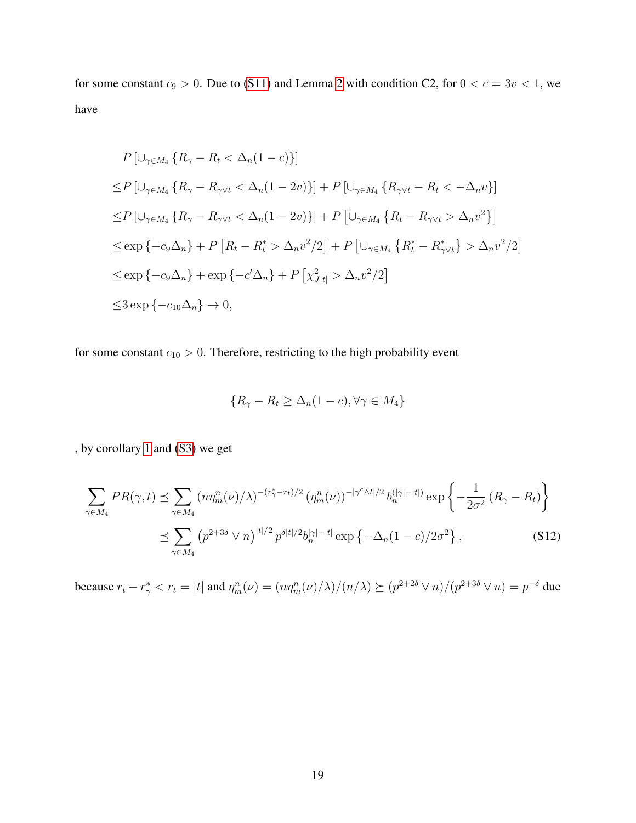for some constant  $c_9 > 0$ . Due to [\(S11\)](#page-52-2) and Lemma [2](#page-40-0) with condition C2, for  $0 < c = 3v < 1$ , we have

$$
P\left[\bigcup_{\gamma\in M_4} \{R_{\gamma} - R_t < \Delta_n(1-c)\}\right]
$$
\n
$$
\leq P\left[\bigcup_{\gamma\in M_4} \{R_{\gamma} - R_{\gamma\vee t} < \Delta_n(1-2v)\}\right] + P\left[\bigcup_{\gamma\in M_4} \{R_{\gamma\vee t} - R_t < -\Delta_n v\}\right]
$$
\n
$$
\leq P\left[\bigcup_{\gamma\in M_4} \{R_{\gamma} - R_{\gamma\vee t} < \Delta_n(1-2v)\}\right] + P\left[\bigcup_{\gamma\in M_4} \{R_t - R_{\gamma\vee t} > \Delta_n v^2\}\right]
$$
\n
$$
\leq \exp\left\{-c_9\Delta_n\right\} + P\left[R_t - R_t^* > \Delta_n v^2/2\right] + P\left[\bigcup_{\gamma\in M_4} \{R_t^* - R_{\gamma\vee t}^*\} > \Delta_n v^2/2\right]
$$
\n
$$
\leq \exp\left\{-c_9\Delta_n\right\} + \exp\left\{-c'\Delta_n\right\} + P\left[\chi_{J|t|}^2 > \Delta_n v^2/2\right]
$$
\n
$$
\leq 3 \exp\left\{-c_{10}\Delta_n\right\} \to 0,
$$

for some constant  $c_{10} > 0$ . Therefore, restricting to the high probability event

<span id="page-53-0"></span>
$$
\{R_{\gamma} - R_t \ge \Delta_n (1 - c), \forall \gamma \in M_4\}
$$

, by corollary [1](#page-39-0) and [\(S3\)](#page-44-1) we get

$$
\sum_{\gamma \in M_4} PR(\gamma, t) \preceq \sum_{\gamma \in M_4} \left( n \eta_m^n(\nu) / \lambda \right)^{-(r_\gamma^* - r_t)/2} \left( \eta_m^n(\nu) \right)^{-|\gamma^c \wedge t|/2} b_n^{(|\gamma| - |t|)} \exp \left\{ - \frac{1}{2\sigma^2} \left( R_\gamma - R_t \right) \right\}
$$

$$
\preceq \sum_{\gamma \in M_4} \left( p^{2+3\delta} \vee n \right)^{|t|/2} p^{\delta|t|/2} b_n^{|\gamma| - |t|} \exp \left\{ - \Delta_n (1 - c) / 2\sigma^2 \right\}, \tag{S12}
$$

because  $r_t - r_\gamma^* < r_t = |t|$  and  $\eta_m^n(\nu) = \frac{((n\eta_m^n(\nu)/\lambda)}{n\lambda} \geq \frac{(p^{2+2\delta} \vee n)}{(p^{2+3\delta} \vee n)} = p^{-\delta}$  due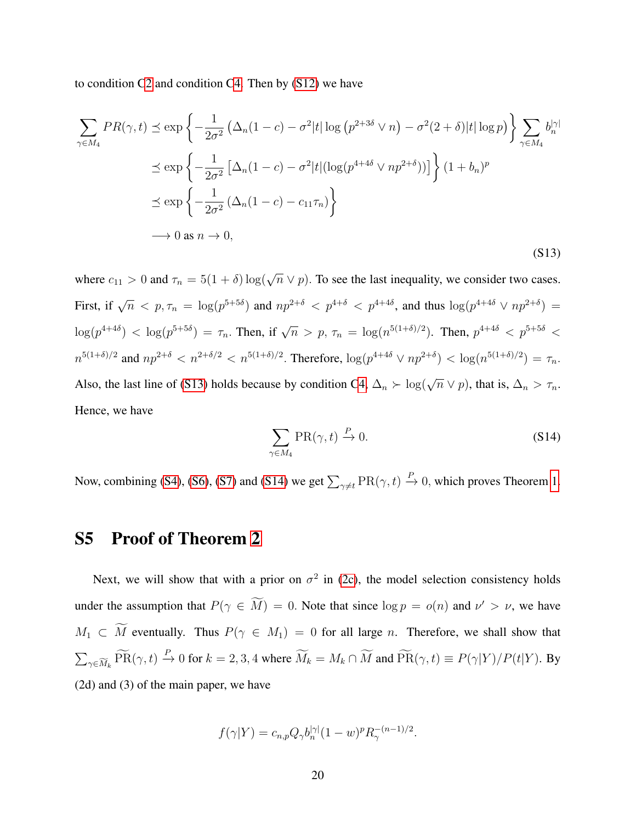to condition [C2](#page-8-0) and condition [C4.](#page-8-2) Then by [\(S12\)](#page-53-0) we have

<span id="page-54-0"></span>
$$
\sum_{\gamma \in M_4} PR(\gamma, t) \preceq \exp\left\{-\frac{1}{2\sigma^2} \left(\Delta_n(1-c) - \sigma^2 |t| \log \left(p^{2+3\delta} \vee n\right) - \sigma^2(2+\delta)|t| \log p\right)\right\} \sum_{\gamma \in M_4} b_n^{|\gamma|}
$$
  

$$
\preceq \exp\left\{-\frac{1}{2\sigma^2} \left[\Delta_n(1-c) - \sigma^2 |t| (\log(p^{4+4\delta} \vee np^{2+\delta}))\right]\right\} (1+b_n)^p
$$
  

$$
\preceq \exp\left\{-\frac{1}{2\sigma^2} \left(\Delta_n(1-c) - c_{11}\tau_n\right)\right\}
$$
  

$$
\longrightarrow 0 \text{ as } n \longrightarrow 0,
$$
 (S13)

where  $c_{11} > 0$  and  $\tau_n = 5(1 + \delta) \log(\sqrt{n} \vee p)$ . To see the last inequality, we consider two cases. First, if  $\sqrt{n}$   $\lt p, \tau_n = \log(p^{5+5\delta})$  and  $np^{2+\delta}$   $\lt p^{4+\delta}$   $\lt p^{4+4\delta}$ , and thus  $\log(p^{4+4\delta} \vee np^{2+\delta})$  =  $\log(p^{4+4\delta}) \, < \, \log(p^{5+5\delta}) \, = \, \tau_n.$  Then, if  $\sqrt{n} \, > \, p, \, \tau_n \, = \, \log(n^{5(1+\delta)/2})$ . Then,  $p^{4+4\delta} \, < \, p^{5+5\delta} \, < \, 0$  $n^{5(1+\delta)/2}$  and  $np^{2+\delta} < n^{2+\delta/2} < n^{5(1+\delta)/2}$ . Therefore,  $\log(p^{4+4\delta} \vee np^{2+\delta}) < \log(n^{5(1+\delta)/2}) = \tau_n$ . Also, the last line of [\(S13\)](#page-54-0) holds because by condition [C4,](#page-8-2)  $\Delta_n \succ \log(\sqrt{n} \vee p)$ , that is,  $\Delta_n > \tau_n$ . Hence, we have

<span id="page-54-1"></span>
$$
\sum_{\gamma \in M_4} \text{PR}(\gamma, t) \xrightarrow{P} 0. \tag{S14}
$$

Now, combining [\(S4\)](#page-45-0), [\(S6\)](#page-48-0), [\(S7\)](#page-50-0) and [\(S14\)](#page-54-1) we get  $\sum_{\gamma \neq t} \text{PR}(\gamma, t) \xrightarrow{P} 0$ , which proves Theorem [1.](#page-9-1)

# S5 Proof of Theorem [2](#page-10-0)

Next, we will show that with a prior on  $\sigma^2$  in [\(2c\)](#page-5-0), the model selection consistency holds under the assumption that  $P(\gamma \in \overline{M}) = 0$ . Note that since  $\log p = o(n)$  and  $\nu' > \nu$ , we have  $M_1 \subset \widetilde{M}$  eventually. Thus  $P(\gamma \in M_1) = 0$  for all large n. Therefore, we shall show that  $\sum_{\gamma \in \widetilde{M}_k} \widetilde{\text{PR}}(\gamma, t) \stackrel{P}{\to} 0$  for  $k = 2, 3, 4$  where  $\widetilde{M}_k = M_k \cap \widetilde{M}$  and  $\widetilde{\text{PR}}(\gamma, t) \equiv P(\gamma | Y) / P(t | Y)$ . By (2d) and (3) of the main paper, we have

$$
f(\gamma|Y) = c_{n,p} Q_{\gamma} b_n^{|\gamma|} (1 - w)^p R_{\gamma}^{-(n-1)/2}.
$$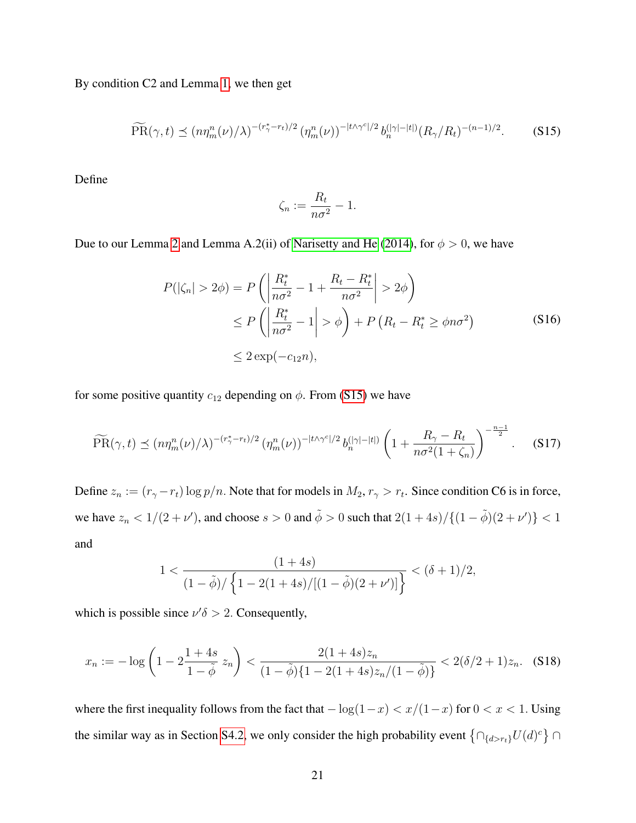By condition C2 and Lemma [1,](#page-37-1) we then get

<span id="page-55-0"></span>
$$
\widetilde{\text{PR}}(\gamma, t) \preceq (n\eta_m^n(\nu)/\lambda)^{-(r_\gamma^*-r_t)/2} \left(\eta_m^n(\nu)\right)^{-|t\wedge\gamma^c|/2} b_n^{(|\gamma|-|t|)} (R_\gamma/R_t)^{-(n-1)/2}.
$$
 (S15)

Define

<span id="page-55-1"></span>
$$
\zeta_n := \frac{R_t}{n\sigma^2} - 1.
$$

Due to our Lemma [2](#page-40-0) and Lemma A.2(ii) of [Narisetty and He](#page-33-6) [\(2014\)](#page-33-6), for  $\phi > 0$ , we have

$$
P(|\zeta_n| > 2\phi) = P\left(\left|\frac{R_t^*}{n\sigma^2} - 1 + \frac{R_t - R_t^*}{n\sigma^2}\right| > 2\phi\right)
$$
  
\n
$$
\leq P\left(\left|\frac{R_t^*}{n\sigma^2} - 1\right| > \phi\right) + P\left(R_t - R_t^* \geq \phi n\sigma^2\right)
$$
  
\n
$$
\leq 2 \exp(-c_{12}n),
$$
\n(S16)

for some positive quantity  $c_{12}$  depending on  $\phi$ . From [\(S15\)](#page-55-0) we have

$$
\widetilde{\text{PR}}(\gamma, t) \preceq (n\eta_m^n(\nu)/\lambda)^{-(r_\gamma^*-r_t)/2} \left(\eta_m^n(\nu)\right)^{-|t\wedge\gamma^c|/2} b_n^{(|\gamma|-|t|)} \left(1 + \frac{R_\gamma - R_t}{n\sigma^2(1+\zeta_n)}\right)^{-\frac{n-1}{2}}. \tag{S17}
$$

Define  $z_n := (r_\gamma - r_t) \log p/n$ . Note that for models in  $M_2, r_\gamma > r_t$ . Since condition C6 is in force, we have  $z_n < 1/(2+\nu')$ , and choose  $s > 0$  and  $\tilde{\phi} > 0$  such that  $2(1+4s)/\{(1-\tilde{\phi})(2+\nu')\} < 1$ and

$$
1 < \frac{(1+4s)}{(1-\tilde{\phi})/\left\{1-2(1+4s)/[(1-\tilde{\phi})(2+\nu')] \right\}} < (\delta+1)/2,
$$

which is possible since  $\nu' \delta > 2$ . Consequently,

<span id="page-55-2"></span>
$$
x_n := -\log\left(1 - 2\frac{1+4s}{1-\tilde{\phi}}\,z_n\right) < \frac{2(1+4s)z_n}{(1-\tilde{\phi})\{1-2(1+4s)z_n/(1-\tilde{\phi})\}} < 2(\delta/2+1)z_n. \tag{S18}
$$

where the first inequality follows from the fact that  $-\log(1-x) < x/(1-x)$  for  $0 < x < 1$ . Using the similar way as in Section [S4.2,](#page-25-0) we only consider the high probability event  $\{\bigcap_{\{d>r_t\}}U(d)^c\}\cap$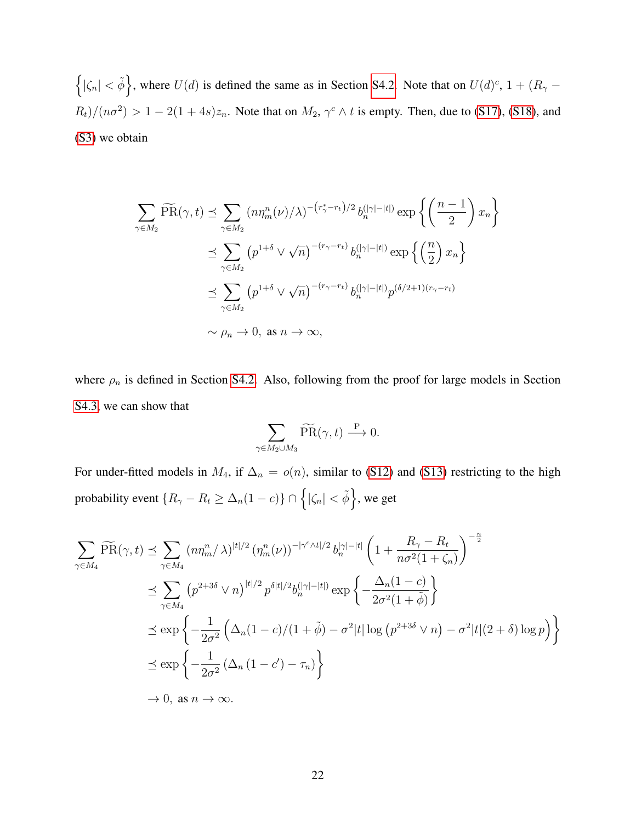$\{|\zeta_n| < \tilde{\phi}\}\,$ , where  $U(d)$  is defined the same as in Section [S4.2.](#page-25-0) Note that on  $U(d)^c$ ,  $1 + (R_\gamma - R_\gamma)$  $R_t/((n\sigma^2) > 1 - 2(1+4s)z_n$ . Note that on  $M_2$ ,  $\gamma^c \wedge t$  is empty. Then, due to [\(S17\)](#page-55-1), [\(S18\)](#page-55-2), and [\(S3\)](#page-44-1) we obtain

$$
\sum_{\gamma \in M_2} \widetilde{\text{PR}}(\gamma, t) \preceq \sum_{\gamma \in M_2} (n\eta_m^n(\nu)/\lambda)^{-(r_{\gamma}^* - r_t)/2} b_n^{(|\gamma| - |t|)} \exp\left\{ \left( \frac{n-1}{2} \right) x_n \right\}
$$
  

$$
\preceq \sum_{\gamma \in M_2} \left( p^{1+\delta} \vee \sqrt{n} \right)^{-(r_{\gamma} - r_t)} b_n^{(|\gamma| - |t|)} \exp\left\{ \left( \frac{n}{2} \right) x_n \right\}
$$
  

$$
\preceq \sum_{\gamma \in M_2} \left( p^{1+\delta} \vee \sqrt{n} \right)^{-(r_{\gamma} - r_t)} b_n^{(|\gamma| - |t|)} p^{(\delta/2 + 1)(r_{\gamma} - r_t)}
$$
  

$$
\sim \rho_n \to 0, \text{ as } n \to \infty,
$$

where  $\rho_n$  is defined in Section [S4.2.](#page-25-0) Also, following from the proof for large models in Section [S4.3,](#page-49-0) we can show that

$$
\sum_{\gamma \in M_2 \cup M_3} \widetilde{\text{PR}}(\gamma, t) \stackrel{\text{P}}{\longrightarrow} 0.
$$

For under-fitted models in  $M_4$ , if  $\Delta_n = o(n)$ , similar to [\(S12\)](#page-53-0) and [\(S13\)](#page-54-0) restricting to the high probability event  $\{R_{\gamma} - R_t \geq \Delta_n(1-c)\} \cap \left\{ |\zeta_n| < \tilde{\phi} \right\}$ , we get

$$
\sum_{\gamma \in M_4} \widetilde{\text{PR}}(\gamma, t) \preceq \sum_{\gamma \in M_4} (n\eta_m^n / \lambda)^{|t|/2} (\eta_m^n(\nu))^{-|\gamma^c \wedge t|/2} b_n^{|\gamma| - |t|} \left( 1 + \frac{R_\gamma - R_t}{n\sigma^2 (1 + \zeta_n)} \right)^{-\frac{n}{2}}
$$
  

$$
\preceq \sum_{\gamma \in M_4} (p^{2+3\delta} \vee n)^{|t|/2} p^{\delta|t|/2} b_n^{(|\gamma| - |t|)} \exp \left\{ -\frac{\Delta_n (1 - c)}{2\sigma^2 (1 + \tilde{\phi})} \right\}
$$
  

$$
\preceq \exp \left\{ -\frac{1}{2\sigma^2} \left( \Delta_n (1 - c)/(1 + \tilde{\phi}) - \sigma^2 |t| \log (p^{2+3\delta} \vee n) - \sigma^2 |t| (2 + \delta) \log p \right) \right\}
$$
  

$$
\preceq \exp \left\{ -\frac{1}{2\sigma^2} (\Delta_n (1 - c') - \tau_n) \right\}
$$
  

$$
\to 0, \text{ as } n \to \infty.
$$